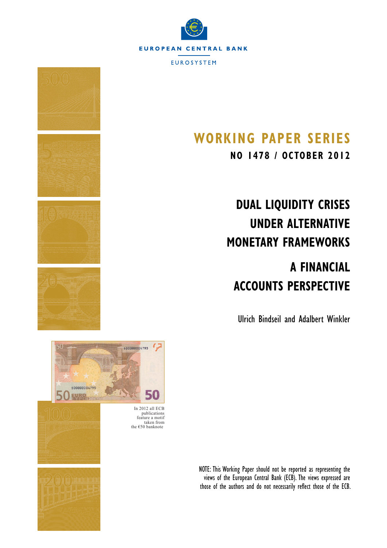

**EUROSYSTEM** 

# **WORKING PAPER SERIES**

**NO 1478 / OCTOBER 2012**

# **DUAL LIQUIDITY CRISES UNDER ALTERNATIVE MONETARY FRAMEWORKS**

# **A FINANCIAL ACCOUNTS PERSPECTIVE**

Ulrich Bindseil and Adalbert Winkler



NOTE: This Working Paper should not be reported as representing the views of the European Central Bank (ECB). The views expressed are those of the authors and do not necessarily reflect those of the ECB.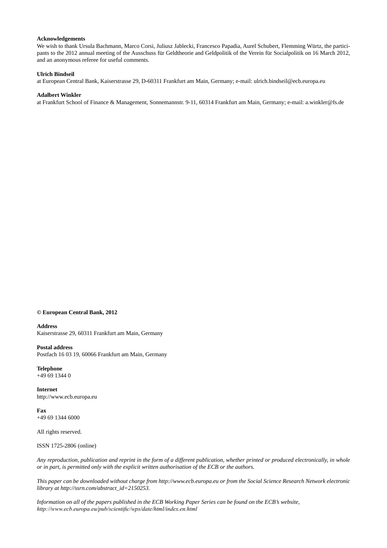#### **Acknowledgements**

We wish to thank Ursula Bachmann, Marco Corsi, Juliusz Jablecki, Francesco Papadia, Aurel Schubert, Flemming Würtz, the participants to the 2012 annual meeting of the Ausschuss für Geldtheorie and Geldpolitik of the Verein für Socialpolitik on 16 March 2012, and an anonymous referee for useful comments.

#### **Ulrich Bindseil**

at European Central Bank, Kaiserstrasse 29, D-60311 Frankfurt am Main, Germany; e-mail: ulrich.bindseil@ecb.europa.eu

#### **Adalbert Winkler**

at Frankfurt School of Finance & Management, Sonnemannstr. 9-11, 60314 Frankfurt am Main, Germany; e-mail: a.winkler@fs.de

#### **© European Central Bank, 2012**

#### **Address**

Kaiserstrasse 29, 60311 Frankfurt am Main, Germany

#### **Postal address**

Postfach 16 03 19, 60066 Frankfurt am Main, Germany

**Telephone** +49 69 1344 0

**Internet** http://www.ecb.europa.eu

**Fax** +49 69 1344 6000

All rights reserved.

ISSN 1725-2806 (online)

*Any reproduction, publication and reprint in the form of a different publication, whether printed or produced electronically, in whole or in part, is permitted only with the explicit written authorisation of the ECB or the authors.*

*This paper can be downloaded without charge from http://www.ecb.europa.eu or from the Social Science Research Network electronic library at http://ssrn.com/abstract\_id=2150253.*

*Information on all of the papers published in the ECB Working Paper Series can be found on the ECB's website, http://www.ecb.europa.eu/pub/scientific/wps/date/html/index.en.html*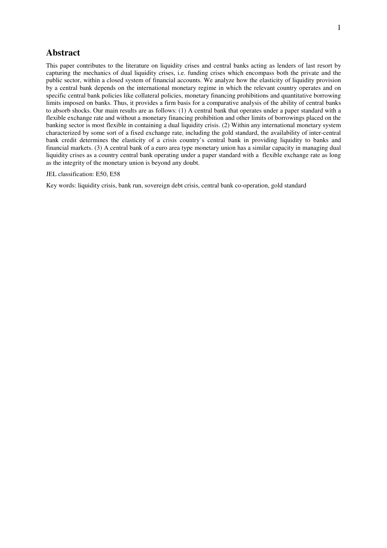# **Abstract**

This paper contributes to the literature on liquidity crises and central banks acting as lenders of last resort by capturing the mechanics of dual liquidity crises, i.e. funding crises which encompass both the private and the public sector, within a closed system of financial accounts. We analyze how the elasticity of liquidity provision by a central bank depends on the international monetary regime in which the relevant country operates and on specific central bank policies like collateral policies, monetary financing prohibitions and quantitative borrowing limits imposed on banks. Thus, it provides a firm basis for a comparative analysis of the ability of central banks to absorb shocks. Our main results are as follows: (1) A central bank that operates under a paper standard with a flexible exchange rate and without a monetary financing prohibition and other limits of borrowings placed on the banking sector is most flexible in containing a dual liquidity crisis. (2) Within any international monetary system characterized by some sort of a fixed exchange rate, including the gold standard, the availability of inter-central bank credit determines the elasticity of a crisis country's central bank in providing liquidity to banks and financial markets. (3) A central bank of a euro area type monetary union has a similar capacity in managing dual liquidity crises as a country central bank operating under a paper standard with a flexible exchange rate as long as the integrity of the monetary union is beyond any doubt.

#### JEL classification: E50, E58

Key words: liquidity crisis, bank run, sovereign debt crisis, central bank co-operation, gold standard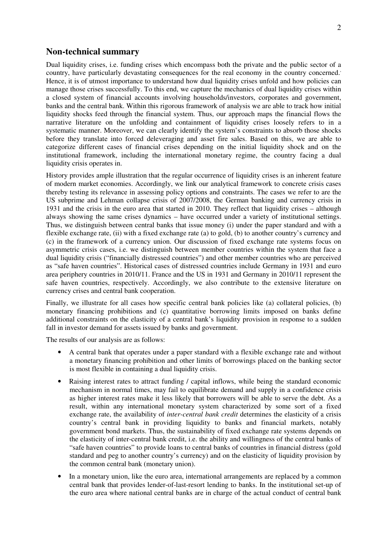# **Non-technical summary**

Dual liquidity crises, i.e. funding crises which encompass both the private and the public sector of a country, have particularly devastating consequences for the real economy in the country concerned. Hence, it is of utmost importance to understand how dual liquidity crises unfold and how policies can manage those crises successfully. To this end, we capture the mechanics of dual liquidity crises within a closed system of financial accounts involving households/investors, corporates and government, banks and the central bank. Within this rigorous framework of analysis we are able to track how initial liquidity shocks feed through the financial system. Thus, our approach maps the financial flows the narrative literature on the unfolding and containment of liquidity crises loosely refers to in a systematic manner. Moreover, we can clearly identify the system's constraints to absorb those shocks before they translate into forced deleveraging and asset fire sales. Based on this, we are able to categorize different cases of financial crises depending on the initial liquidity shock and on the institutional framework, including the international monetary regime, the country facing a dual liquidity crisis operates in.

History provides ample illustration that the regular occurrence of liquidity crises is an inherent feature of modern market economies. Accordingly, we link our analytical framework to concrete crisis cases thereby testing its relevance in assessing policy options and constraints. The cases we refer to are the US subprime and Lehman collapse crisis of 2007/2008, the German banking and currency crisis in 1931 and the crisis in the euro area that started in 2010. They reflect that liquidity crises – although always showing the same crises dynamics – have occurred under a variety of institutional settings. Thus, we distinguish between central banks that issue money (i) under the paper standard and with a flexible exchange rate, (ii) with a fixed exchange rate (a) to gold, (b) to another country's currency and (c) in the framework of a currency union. Our discussion of fixed exchange rate systems focus on asymmetric crisis cases, i.e. we distinguish between member countries within the system that face a dual liquidity crisis ("financially distressed countries") and other member countries who are perceived as "safe haven countries". Historical cases of distressed countries include Germany in 1931 and euro area periphery countries in 2010/11. France and the US in 1931 and Germany in 2010/11 represent the safe haven countries, respectively. Accordingly, we also contribute to the extensive literature on currency crises and central bank cooperation.

Finally, we illustrate for all cases how specific central bank policies like (a) collateral policies, (b) monetary financing prohibitions and (c) quantitative borrowing limits imposed on banks define additional constraints on the elasticity of a central bank's liquidity provision in response to a sudden fall in investor demand for assets issued by banks and government.

The results of our analysis are as follows:

- A central bank that operates under a paper standard with a flexible exchange rate and without a monetary financing prohibition and other limits of borrowings placed on the banking sector is most flexible in containing a dual liquidity crisis.
- Raising interest rates to attract funding / capital inflows, while being the standard economic mechanism in normal times, may fail to equilibrate demand and supply in a confidence crisis as higher interest rates make it less likely that borrowers will be able to serve the debt. As a result, within any international monetary system characterized by some sort of a fixed exchange rate, the availability of *inter-central bank credit* determines the elasticity of a crisis country's central bank in providing liquidity to banks and financial markets, notably government bond markets. Thus, the sustainability of fixed exchange rate systems depends on the elasticity of inter-central bank credit, i.e. the ability and willingness of the central banks of "safe haven countries" to provide loans to central banks of countries in financial distress (gold standard and peg to another country's currency) and on the elasticity of liquidity provision by the common central bank (monetary union).
- In a monetary union, like the euro area, international arrangements are replaced by a common central bank that provides lender-of-last-resort lending to banks. In the institutional set-up of the euro area where national central banks are in charge of the actual conduct of central bank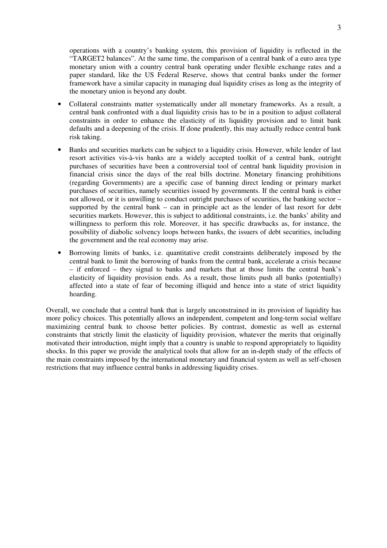operations with a country's banking system, this provision of liquidity is reflected in the "TARGET2 balances". At the same time, the comparison of a central bank of a euro area type monetary union with a country central bank operating under flexible exchange rates and a paper standard, like the US Federal Reserve, shows that central banks under the former framework have a similar capacity in managing dual liquidity crises as long as the integrity of the monetary union is beyond any doubt.

- Collateral constraints matter systematically under all monetary frameworks. As a result, a central bank confronted with a dual liquidity crisis has to be in a position to adjust collateral constraints in order to enhance the elasticity of its liquidity provision and to limit bank defaults and a deepening of the crisis. If done prudently, this may actually reduce central bank risk taking.
- Banks and securities markets can be subject to a liquidity crisis. However, while lender of last resort activities vis-à-vis banks are a widely accepted toolkit of a central bank, outright purchases of securities have been a controversial tool of central bank liquidity provision in financial crisis since the days of the real bills doctrine. Monetary financing prohibitions (regarding Governments) are a specific case of banning direct lending or primary market purchases of securities, namely securities issued by governments. If the central bank is either not allowed, or it is unwilling to conduct outright purchases of securities, the banking sector – supported by the central bank – can in principle act as the lender of last resort for debt securities markets. However, this is subject to additional constraints, i.e. the banks' ability and willingness to perform this role. Moreover, it has specific drawbacks as, for instance, the possibility of diabolic solvency loops between banks, the issuers of debt securities, including the government and the real economy may arise.
- Borrowing limits of banks, i.e. quantitative credit constraints deliberately imposed by the central bank to limit the borrowing of banks from the central bank, accelerate a crisis because – if enforced – they signal to banks and markets that at those limits the central bank's elasticity of liquidity provision ends. As a result, those limits push all banks (potentially) affected into a state of fear of becoming illiquid and hence into a state of strict liquidity hoarding.

Overall, we conclude that a central bank that is largely unconstrained in its provision of liquidity has more policy choices. This potentially allows an independent, competent and long-term social welfare maximizing central bank to choose better policies. By contrast, domestic as well as external constraints that strictly limit the elasticity of liquidity provision, whatever the merits that originally motivated their introduction, might imply that a country is unable to respond appropriately to liquidity shocks. In this paper we provide the analytical tools that allow for an in-depth study of the effects of the main constraints imposed by the international monetary and financial system as well as self-chosen restrictions that may influence central banks in addressing liquidity crises.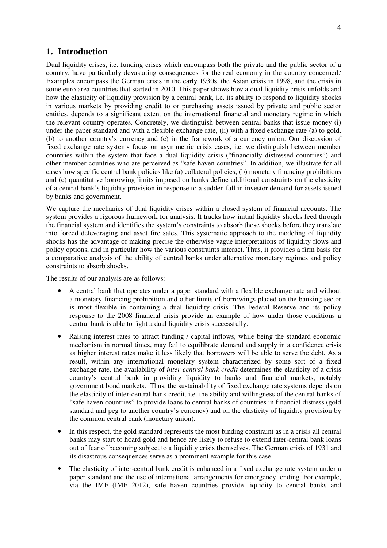## **1. Introduction**

Dual liquidity crises, i.e. funding crises which encompass both the private and the public sector of a country, have particularly devastating consequences for the real economy in the country concerned. Examples encompass the German crisis in the early 1930s, the Asian crisis in 1998, and the crisis in some euro area countries that started in 2010. This paper shows how a dual liquidity crisis unfolds and how the elasticity of liquidity provision by a central bank, i.e. its ability to respond to liquidity shocks in various markets by providing credit to or purchasing assets issued by private and public sector entities, depends to a significant extent on the international financial and monetary regime in which the relevant country operates. Concretely, we distinguish between central banks that issue money (i) under the paper standard and with a flexible exchange rate, (ii) with a fixed exchange rate (a) to gold, (b) to another country's currency and (c) in the framework of a currency union. Our discussion of fixed exchange rate systems focus on asymmetric crisis cases, i.e. we distinguish between member countries within the system that face a dual liquidity crisis ("financially distressed countries") and other member countries who are perceived as "safe haven countries". In addition, we illustrate for all cases how specific central bank policies like (a) collateral policies, (b) monetary financing prohibitions and (c) quantitative borrowing limits imposed on banks define additional constraints on the elasticity of a central bank's liquidity provision in response to a sudden fall in investor demand for assets issued by banks and government.

We capture the mechanics of dual liquidity crises within a closed system of financial accounts. The system provides a rigorous framework for analysis. It tracks how initial liquidity shocks feed through the financial system and identifies the system's constraints to absorb those shocks before they translate into forced deleveraging and asset fire sales. This systematic approach to the modeling of liquidity shocks has the advantage of making precise the otherwise vague interpretations of liquidity flows and policy options, and in particular how the various constraints interact. Thus, it provides a firm basis for a comparative analysis of the ability of central banks under alternative monetary regimes and policy constraints to absorb shocks.

The results of our analysis are as follows:

- A central bank that operates under a paper standard with a flexible exchange rate and without a monetary financing prohibition and other limits of borrowings placed on the banking sector is most flexible in containing a dual liquidity crisis. The Federal Reserve and its policy response to the 2008 financial crisis provide an example of how under those conditions a central bank is able to fight a dual liquidity crisis successfully.
- Raising interest rates to attract funding / capital inflows, while being the standard economic mechanism in normal times, may fail to equilibrate demand and supply in a confidence crisis as higher interest rates make it less likely that borrowers will be able to serve the debt. As a result, within any international monetary system characterized by some sort of a fixed exchange rate, the availability of *inter-central bank credit* determines the elasticity of a crisis country's central bank in providing liquidity to banks and financial markets, notably government bond markets. Thus, the sustainability of fixed exchange rate systems depends on the elasticity of inter-central bank credit, i.e. the ability and willingness of the central banks of "safe haven countries" to provide loans to central banks of countries in financial distress (gold standard and peg to another country's currency) and on the elasticity of liquidity provision by the common central bank (monetary union).
- In this respect, the gold standard represents the most binding constraint as in a crisis all central banks may start to hoard gold and hence are likely to refuse to extend inter-central bank loans out of fear of becoming subject to a liquidity crisis themselves. The German crisis of 1931 and its disastrous consequences serve as a prominent example for this case.
- The elasticity of inter-central bank credit is enhanced in a fixed exchange rate system under a paper standard and the use of international arrangements for emergency lending. For example, via the IMF (IMF 2012), safe haven countries provide liquidity to central banks and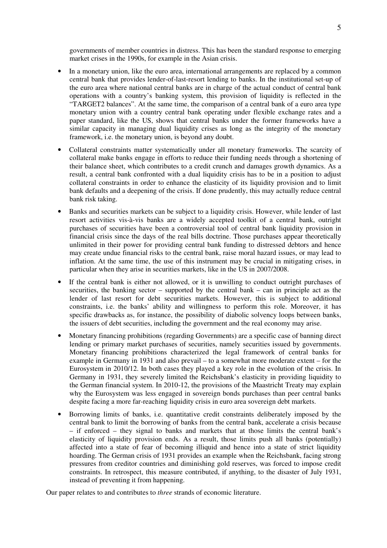governments of member countries in distress. This has been the standard response to emerging market crises in the 1990s, for example in the Asian crisis.

- In a monetary union, like the euro area, international arrangements are replaced by a common central bank that provides lender-of-last-resort lending to banks. In the institutional set-up of the euro area where national central banks are in charge of the actual conduct of central bank operations with a country's banking system, this provision of liquidity is reflected in the "TARGET2 balances". At the same time, the comparison of a central bank of a euro area type monetary union with a country central bank operating under flexible exchange rates and a paper standard, like the US, shows that central banks under the former frameworks have a similar capacity in managing dual liquidity crises as long as the integrity of the monetary framework, i.e. the monetary union, is beyond any doubt.
- Collateral constraints matter systematically under all monetary frameworks. The scarcity of collateral make banks engage in efforts to reduce their funding needs through a shortening of their balance sheet, which contributes to a credit crunch and damages growth dynamics. As a result, a central bank confronted with a dual liquidity crisis has to be in a position to adjust collateral constraints in order to enhance the elasticity of its liquidity provision and to limit bank defaults and a deepening of the crisis. If done prudently, this may actually reduce central bank risk taking.
- Banks and securities markets can be subject to a liquidity crisis. However, while lender of last resort activities vis-à-vis banks are a widely accepted toolkit of a central bank, outright purchases of securities have been a controversial tool of central bank liquidity provision in financial crisis since the days of the real bills doctrine. Those purchases appear theoretically unlimited in their power for providing central bank funding to distressed debtors and hence may create undue financial risks to the central bank, raise moral hazard issues, or may lead to inflation. At the same time, the use of this instrument may be crucial in mitigating crises, in particular when they arise in securities markets, like in the US in 2007/2008.
- If the central bank is either not allowed, or it is unwilling to conduct outright purchases of securities, the banking sector – supported by the central bank – can in principle act as the lender of last resort for debt securities markets. However, this is subject to additional constraints, i.e. the banks' ability and willingness to perform this role. Moreover, it has specific drawbacks as, for instance, the possibility of diabolic solvency loops between banks, the issuers of debt securities, including the government and the real economy may arise.
- Monetary financing prohibitions (regarding Governments) are a specific case of banning direct lending or primary market purchases of securities, namely securities issued by governments. Monetary financing prohibitions characterized the legal framework of central banks for example in Germany in 1931 and also prevail – to a somewhat more moderate extent – for the Eurosystem in 2010/12. In both cases they played a key role in the evolution of the crisis. In Germany in 1931, they severely limited the Reichsbank's elasticity in providing liquidity to the German financial system. In 2010-12, the provisions of the Maastricht Treaty may explain why the Eurosystem was less engaged in sovereign bonds purchases than peer central banks despite facing a more far-reaching liquidity crisis in euro area sovereign debt markets.
- Borrowing limits of banks, i.e. quantitative credit constraints deliberately imposed by the central bank to limit the borrowing of banks from the central bank, accelerate a crisis because – if enforced – they signal to banks and markets that at those limits the central bank's elasticity of liquidity provision ends. As a result, those limits push all banks (potentially) affected into a state of fear of becoming illiquid and hence into a state of strict liquidity hoarding. The German crisis of 1931 provides an example when the Reichsbank, facing strong pressures from creditor countries and diminishing gold reserves, was forced to impose credit constraints. In retrospect, this measure contributed, if anything, to the disaster of July 1931, instead of preventing it from happening.

Our paper relates to and contributes to *three* strands of economic literature.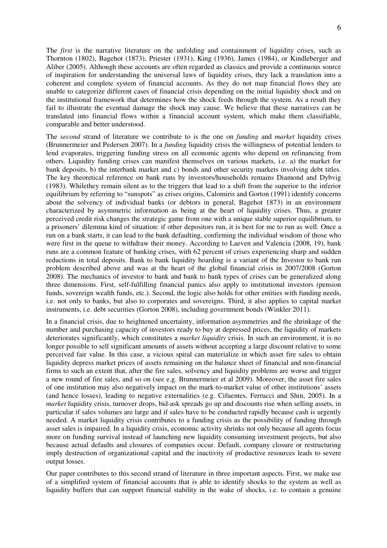The *first* is the narrative literature on the unfolding and containment of liquidity crises, such as Thornton (1802), Bagehot (1873), Priester (1931), King (1936), James (1984), or Kindleberger and Aliber (2005). Although these accounts are often regarded as classics and provide a continuous source of inspiration for understanding the universal laws of liquidity crises, they lack a translation into a coherent and complete system of financial accounts. As they do not map financial flows they are unable to categorize different cases of financial crisis depending on the initial liquidity shock and on the institutional framework that determines how the shock feeds through the system. As a result they fail to illustrate the eventual damage the shock may cause. We believe that these narratives can be translated into financial flows within a financial account system, which make them classifiable, comparable and better understood.

The *second* strand of literature we contribute to is the one on *funding* and *market* liquidity crises (Brunnermeier and Pedersen 2007). In a *funding* liquidity crisis the willingness of potential lenders to lend evaporates, triggering funding stress on all economic agents who depend on refinancing from others. Liquidity funding crises can manifest themselves on various markets, i.e. a) the market for bank deposits, b) the interbank market and c) bonds and other security markets involving debt titles. The key theoretical reference on bank runs by investors/households remains Diamond and Dybvig (1983). Whilethey remain silent as to the triggers that lead to a shift from the superior to the inferior equilibrium by referring to "sunspots" as crises origins, Calomiris and Gorton (1991) identify concerns about the solvency of individual banks (or debtors in general, Bagehot 1873) in an environment characterized by asymmetric information as being at the heart of liquidity crises. Thus, a greater perceived credit risk changes the strategic game from one with a unique stable superior equilibrium, to a prisoners' dilemma kind of situation: if other depositors run, it is best for me to run as well. Once a run on a bank starts, it can lead to the bank defaulting, confirming the individual wisdom of those who were first in the queue to withdraw their money. According to Laeven and Valencia (2008, 19), bank runs are a common feature of banking crises, with 62 percent of crises experiencing sharp and sudden reductions in total deposits. Bank to bank liquidity hoarding is a variant of the Investor to bank run problem described above and was at the heart of the global financial crisis in 2007/2008 (Gorton 2008). The mechanics of investor to bank and bank to bank types of crises can be generalized along three dimensions. First, self-fulfilling financial panics also apply to institutional investors (pension funds, sovereign wealth funds, etc.). Second, the logic also holds for other entities with funding needs, i.e. not only to banks, but also to corporates and sovereigns. Third, it also applies to capital market instruments, i.e. debt securities (Gorton 2008), including government bonds (Winkler 2011).

In a financial crisis, due to heightened uncertainty, information asymmetries and the shrinkage of the number and purchasing capacity of investors ready to buy at depressed prices, the liquidity of markets deteriorates significantly, which constitutes a *market liquidity* crisis. In such an environment, it is no longer possible to sell significant amounts of assets without accepting a large discount relative to some perceived fair value. In this case, a vicious spiral can materialize in which asset fire sales to obtain liquidity depress market prices of assets remaining on the balance sheet of financial and non-financial firms to such an extent that, after the fire sales, solvency and liquidity problems are worse and trigger a new round of fire sales, and so on (see e.g. Brunnermeier et al 2009). Moreover, the asset fire sales of one institution may also negatively impact on the mark-to-market value of other institutions' assets (and hence losses), leading to negative externalities (e.g. Cifuentes, Ferrucci and Shin, 2005). In a *market* liquidity crisis, turnover drops, bid-ask spreads go up and discounts rise when selling assets, in particular if sales volumes are large and if sales have to be conducted rapidly because cash is urgently needed. A market liquidity crisis contributes to a funding crisis as the possibility of funding through asset sales is impaired. In a liquidity crisis, economic activity shrinks not only because all agents focus more on funding survival instead of launching new liquidity consuming investment projects, but also because actual defaults and closures of companies occur. Default, company closure or restructuring imply destruction of organizational capital and the inactivity of productive resources leads to severe output losses.

Our paper contributes to this second strand of literature in three important aspects. First, we make use of a simplified system of financial accounts that is able to identify shocks to the system as well as liquidity buffers that can support financial stability in the wake of shocks, i.e. to contain a genuine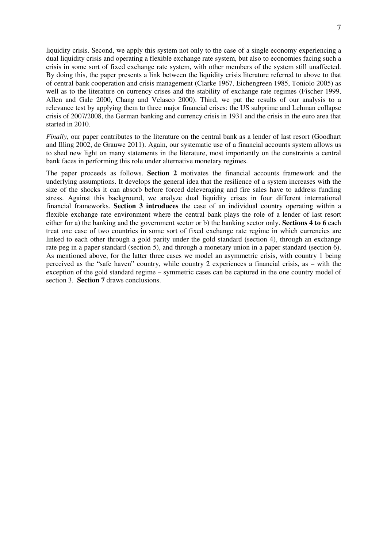liquidity crisis. Second, we apply this system not only to the case of a single economy experiencing a dual liquidity crisis and operating a flexible exchange rate system, but also to economies facing such a crisis in some sort of fixed exchange rate system, with other members of the system still unaffected. By doing this, the paper presents a link between the liquidity crisis literature referred to above to that of central bank cooperation and crisis management (Clarke 1967, Eichengreen 1985, Toniolo 2005) as well as to the literature on currency crises and the stability of exchange rate regimes (Fischer 1999, Allen and Gale 2000, Chang and Velasco 2000). Third, we put the results of our analysis to a relevance test by applying them to three major financial crises: the US subprime and Lehman collapse crisis of 2007/2008, the German banking and currency crisis in 1931 and the crisis in the euro area that started in 2010.

*Finally*, our paper contributes to the literature on the central bank as a lender of last resort (Goodhart and Illing 2002, de Grauwe 2011). Again, our systematic use of a financial accounts system allows us to shed new light on many statements in the literature, most importantly on the constraints a central bank faces in performing this role under alternative monetary regimes.

The paper proceeds as follows. **Section 2** motivates the financial accounts framework and the underlying assumptions. It develops the general idea that the resilience of a system increases with the size of the shocks it can absorb before forced deleveraging and fire sales have to address funding stress. Against this background, we analyze dual liquidity crises in four different international financial frameworks. **Section 3 introduces** the case of an individual country operating within a flexible exchange rate environment where the central bank plays the role of a lender of last resort either for a) the banking and the government sector or b) the banking sector only. **Sections 4 to 6** each treat one case of two countries in some sort of fixed exchange rate regime in which currencies are linked to each other through a gold parity under the gold standard (section 4), through an exchange rate peg in a paper standard (section 5), and through a monetary union in a paper standard (section 6). As mentioned above, for the latter three cases we model an asymmetric crisis, with country 1 being perceived as the "safe haven" country, while country 2 experiences a financial crisis, as – with the exception of the gold standard regime – symmetric cases can be captured in the one country model of section 3. **Section 7** draws conclusions.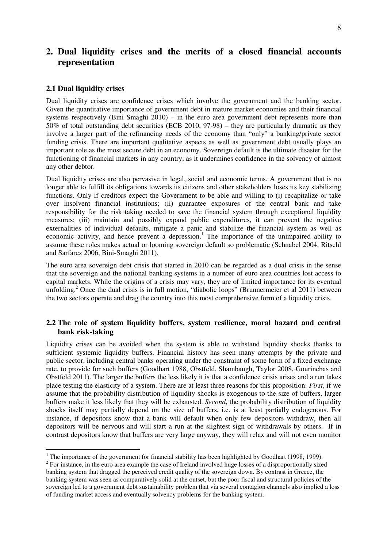# **2. Dual liquidity crises and the merits of a closed financial accounts representation**

#### **2.1 Dual liquidity crises**

 $\overline{a}$ 

Dual liquidity crises are confidence crises which involve the government and the banking sector. Given the quantitative importance of government debt in mature market economies and their financial systems respectively (Bini Smaghi 2010) – in the euro area government debt represents more than 50% of total outstanding debt securities (ECB 2010, 97-98) – they are particularly dramatic as they involve a larger part of the refinancing needs of the economy than "only" a banking/private sector funding crisis. There are important qualitative aspects as well as government debt usually plays an important role as the most secure debt in an economy. Sovereign default is the ultimate disaster for the functioning of financial markets in any country, as it undermines confidence in the solvency of almost any other debtor.

Dual liquidity crises are also pervasive in legal, social and economic terms. A government that is no longer able to fulfill its obligations towards its citizens and other stakeholders loses its key stabilizing functions. Only if creditors expect the Government to be able and willing to (i) recapitalize or take over insolvent financial institutions; (ii) guarantee exposures of the central bank and take responsibility for the risk taking needed to save the financial system through exceptional liquidity measures; (iii) maintain and possibly expand public expenditures, it can prevent the negative externalities of individual defaults, mitigate a panic and stabilize the financial system as well as economic activity, and hence prevent a depression.<sup>1</sup> The importance of the unimpaired ability to assume these roles makes actual or looming sovereign default so problematic (Schnabel 2004, Ritschl and Sarfarez 2006, Bini-Smaghi 2011).

The euro area sovereign debt crisis that started in 2010 can be regarded as a dual crisis in the sense that the sovereign and the national banking systems in a number of euro area countries lost access to capital markets. While the origins of a crisis may vary, they are of limited importance for its eventual unfolding.<sup>2</sup> Once the dual crisis is in full motion, "diabolic loops" (Brunnermeier et al 2011) between the two sectors operate and drag the country into this most comprehensive form of a liquidity crisis.

### **2.2 The role of system liquidity buffers, system resilience, moral hazard and central bank risk-taking**

Liquidity crises can be avoided when the system is able to withstand liquidity shocks thanks to sufficient systemic liquidity buffers. Financial history has seen many attempts by the private and public sector, including central banks operating under the constraint of some form of a fixed exchange rate, to provide for such buffers (Goodhart 1988, Obstfeld, Shambaugh, Taylor 2008, Gourinchas and Obstfeld 2011). The larger the buffers the less likely it is that a confidence crisis arises and a run takes place testing the elasticity of a system. There are at least three reasons for this proposition: *First*, if we assume that the probability distribution of liquidity shocks is exogenous to the size of buffers, larger buffers make it less likely that they will be exhausted. *Second*, the probability distribution of liquidity shocks itself may partially depend on the size of buffers, i.e. is at least partially endogenous. For instance, if depositors know that a bank will default when only few depositors withdraw, then all depositors will be nervous and will start a run at the slightest sign of withdrawals by others. If in contrast depositors know that buffers are very large anyway, they will relax and will not even monitor

<sup>&</sup>lt;sup>1</sup> The importance of the government for financial stability has been highlighted by Goodhart (1998, 1999).

 $2^2$  For instance, in the euro area example the case of Ireland involved huge losses of a disproportionally sized banking system that dragged the perceived credit quality of the sovereign down. By contrast in Greece, the banking system was seen as comparatively solid at the outset, but the poor fiscal and structural policies of the sovereign led to a government debt sustainability problem that via several contagion channels also implied a loss of funding market access and eventually solvency problems for the banking system.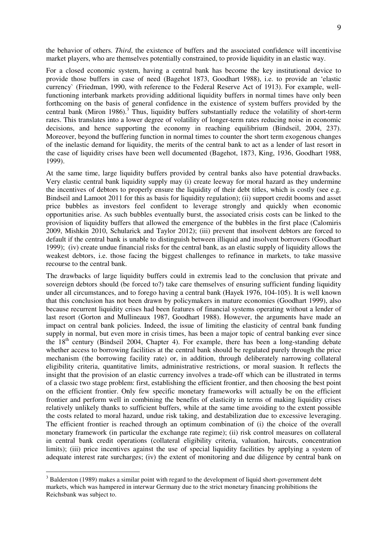the behavior of others. *Third*, the existence of buffers and the associated confidence will incentivise market players, who are themselves potentially constrained, to provide liquidity in an elastic way.

For a closed economic system, having a central bank has become the key institutional device to provide those buffers in case of need (Bagehot 1873, Goodhart 1988), i.e. to provide an 'elastic currency` (Friedman, 1990, with reference to the Federal Reserve Act of 1913). For example, wellfunctioning interbank markets providing additional liquidity buffers in normal times have only been forthcoming on the basis of general confidence in the existence of system buffers provided by the central bank (Miron 1986).<sup>3</sup> Thus, liquidity buffers substantially reduce the volatility of short-term rates. This translates into a lower degree of volatility of longer-term rates reducing noise in economic decisions, and hence supporting the economy in reaching equilibrium (Bindseil, 2004, 237). Moreover, beyond the buffering function in normal times to counter the short term exogenous changes of the inelastic demand for liquidity, the merits of the central bank to act as a lender of last resort in the case of liquidity crises have been well documented (Bagehot, 1873, King, 1936, Goodhart 1988, 1999).

At the same time, large liquidity buffers provided by central banks also have potential drawbacks. Very elastic central bank liquidity supply may (i) create leeway for moral hazard as they undermine the incentives of debtors to properly ensure the liquidity of their debt titles, which is costly (see e.g. Bindseil and Lamoot 2011 for this as basis for liquidity regulation); (ii) support credit booms and asset price bubbles as investors feel confident to leverage strongly and quickly when economic opportunities arise. As such bubbles eventually burst, the associated crisis costs can be linked to the provision of liquidity buffers that allowed the emergence of the bubbles in the first place (Calomiris 2009, Mishkin 2010, Schularick and Taylor 2012); (iii) prevent that insolvent debtors are forced to default if the central bank is unable to distinguish between illiquid and insolvent borrowers (Goodhart 1999); (iv) create undue financial risks for the central bank, as an elastic supply of liquidity allows the weakest debtors, i.e. those facing the biggest challenges to refinance in markets, to take massive recourse to the central bank.

The drawbacks of large liquidity buffers could in extremis lead to the conclusion that private and sovereign debtors should (be forced to?) take care themselves of ensuring sufficient funding liquidity under all circumstances, and to forego having a central bank (Hayek 1976, 104-105). It is well known that this conclusion has not been drawn by policymakers in mature economies (Goodhart 1999), also because recurrent liquidity crises had been features of financial systems operating without a lender of last resort (Gorton and Mullineaux 1987, Goodhart 1988). However, the arguments have made an impact on central bank policies. Indeed, the issue of limiting the elasticity of central bank funding supply in normal, but even more in crisis times, has been a major topic of central banking ever since the  $18<sup>th</sup>$  century (Bindseil 2004, Chapter 4). For example, there has been a long-standing debate whether access to borrowing facilities at the central bank should be regulated purely through the price mechanism (the borrowing facility rate) or, in addition, through deliberately narrowing collateral eligibility criteria, quantitative limits, administrative restrictions, or moral suasion. It reflects the insight that the provision of an elastic currency involves a trade-off which can be illustrated in terms of a classic two stage problem: first, establishing the efficient frontier, and then choosing the best point on the efficient frontier. Only few specific monetary frameworks will actually be on the efficient frontier and perform well in combining the benefits of elasticity in terms of making liquidity crises relatively unlikely thanks to sufficient buffers, while at the same time avoiding to the extent possible the costs related to moral hazard, undue risk taking, and destabilization due to excessive leveraging. The efficient frontier is reached through an optimum combination of (i) the choice of the overall monetary framework (in particular the exchange rate regime); (ii) risk control measures on collateral in central bank credit operations (collateral eligibility criteria, valuation, haircuts, concentration limits); (iii) price incentives against the use of special liquidity facilities by applying a system of adequate interest rate surcharges; (iv) the extent of monitoring and due diligence by central bank on

 $3$  Balderston (1989) makes a similar point with regard to the development of liquid short-government debt markets, which was hampered in interwar Germany due to the strict monetary financing prohibitions the Reichsbank was subject to.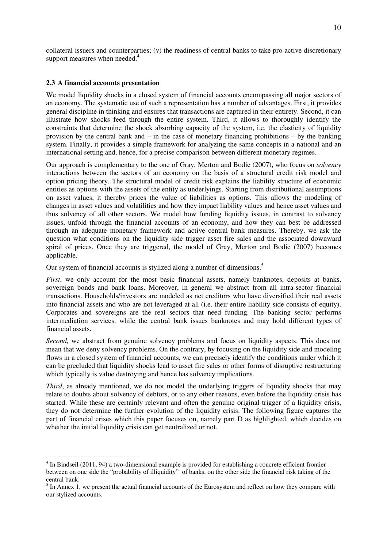collateral issuers and counterparties; (v) the readiness of central banks to take pro-active discretionary support measures when needed.<sup>4</sup>

#### **2.3 A financial accounts presentation**

 $\overline{a}$ 

We model liquidity shocks in a closed system of financial accounts encompassing all major sectors of an economy. The systematic use of such a representation has a number of advantages. First, it provides general discipline in thinking and ensures that transactions are captured in their entirety. Second, it can illustrate how shocks feed through the entire system. Third, it allows to thoroughly identify the constraints that determine the shock absorbing capacity of the system, i.e. the elasticity of liquidity provision by the central bank and – in the case of monetary financing prohibitions – by the banking system. Finally, it provides a simple framework for analyzing the same concepts in a national and an international setting and, hence, for a precise comparison between different monetary regimes.

Our approach is complementary to the one of Gray, Merton and Bodie (2007), who focus on *solvency* interactions between the sectors of an economy on the basis of a structural credit risk model and option pricing theory. The structural model of credit risk explains the liability structure of economic entities as options with the assets of the entity as underlyings. Starting from distributional assumptions on asset values, it thereby prices the value of liabilities as options. This allows the modeling of changes in asset values and volatilities and how they impact liability values and hence asset values and thus solvency of all other sectors. We model how funding liquidity issues, in contrast to solvency issues, unfold through the financial accounts of an economy, and how they can best be addressed through an adequate monetary framework and active central bank measures. Thereby, we ask the question what conditions on the liquidity side trigger asset fire sales and the associated downward spiral of prices. Once they are triggered, the model of Gray, Merton and Bodie (2007) becomes applicable.

Our system of financial accounts is stylized along a number of dimensions.<sup>5</sup>

*First*, we only account for the most basic financial assets, namely banknotes, deposits at banks, sovereign bonds and bank loans. Moreover, in general we abstract from all intra-sector financial transactions. Households/investors are modeled as net creditors who have diversified their real assets into financial assets and who are not leveraged at all (i.e. their entire liability side consists of equity). Corporates and sovereigns are the real sectors that need funding. The banking sector performs intermediation services, while the central bank issues banknotes and may hold different types of financial assets.

*Second*, we abstract from genuine solvency problems and focus on liquidity aspects. This does not mean that we deny solvency problems. On the contrary, by focusing on the liquidity side and modeling flows in a closed system of financial accounts, we can precisely identify the conditions under which it can be precluded that liquidity shocks lead to asset fire sales or other forms of disruptive restructuring which typically is value destroying and hence has solvency implications.

*Third*, as already mentioned, we do not model the underlying triggers of liquidity shocks that may relate to doubts about solvency of debtors, or to any other reasons, even before the liquidity crisis has started. While these are certainly relevant and often the genuine original trigger of a liquidity crisis, they do not determine the further evolution of the liquidity crisis. The following figure captures the part of financial crises which this paper focuses on, namely part D as highlighted, which decides on whether the initial liquidity crisis can get neutralized or not.

<sup>&</sup>lt;sup>4</sup> In Bindseil (2011, 94) a two-dimensional example is provided for establishing a concrete efficient frontier between on one side the "probability of illiquidity" of banks, on the other side the financial risk taking of the central bank.

 $<sup>5</sup>$  In Annex 1, we present the actual financial accounts of the Eurosystem and reflect on how they compare with</sup> our stylized accounts.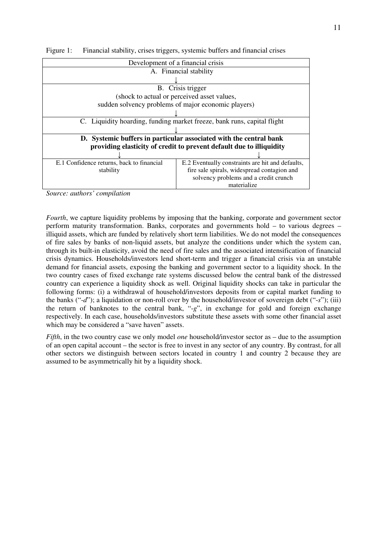| Development of a financial crisis                                                             |                                                                         |  |  |  |
|-----------------------------------------------------------------------------------------------|-------------------------------------------------------------------------|--|--|--|
|                                                                                               | A. Financial stability                                                  |  |  |  |
|                                                                                               |                                                                         |  |  |  |
|                                                                                               | B. Crisis trigger                                                       |  |  |  |
|                                                                                               | (shock to actual or perceived asset values,                             |  |  |  |
|                                                                                               | sudden solvency problems of major economic players)                     |  |  |  |
|                                                                                               |                                                                         |  |  |  |
|                                                                                               | C. Liquidity hoarding, funding market freeze, bank runs, capital flight |  |  |  |
|                                                                                               |                                                                         |  |  |  |
|                                                                                               | D. Systemic buffers in particular associated with the central bank      |  |  |  |
|                                                                                               | providing elasticity of credit to prevent default due to illiquidity    |  |  |  |
|                                                                                               |                                                                         |  |  |  |
| E.2 Eventually constraints are hit and defaults,<br>E.1 Confidence returns, back to financial |                                                                         |  |  |  |
| stability                                                                                     | fire sale spirals, widespread contagion and                             |  |  |  |
|                                                                                               | solvency problems and a credit crunch                                   |  |  |  |
|                                                                                               | materialize                                                             |  |  |  |

Figure 1: Financial stability, crises triggers, systemic buffers and financial crises

*Source: authors' compilation* 

*Fourth*, we capture liquidity problems by imposing that the banking, corporate and government sector perform maturity transformation. Banks, corporates and governments hold – to various degrees – illiquid assets, which are funded by relatively short term liabilities. We do not model the consequences of fire sales by banks of non-liquid assets, but analyze the conditions under which the system can, through its built-in elasticity, avoid the need of fire sales and the associated intensification of financial crisis dynamics. Households/investors lend short-term and trigger a financial crisis via an unstable demand for financial assets, exposing the banking and government sector to a liquidity shock. In the two country cases of fixed exchange rate systems discussed below the central bank of the distressed country can experience a liquidity shock as well. Original liquidity shocks can take in particular the following forms: (i) a withdrawal of household/investors deposits from or capital market funding to the banks ("-*d*"); a liquidation or non-roll over by the household/investor of sovereign debt ("-*s*"); (iii) the return of banknotes to the central bank, "-*g*", in exchange for gold and foreign exchange respectively. In each case, households/investors substitute these assets with some other financial asset which may be considered a "save haven" assets.

*Fifth*, in the two country case we only model *one* household/investor sector as – due to the assumption of an open capital account – the sector is free to invest in any sector of any country. By contrast, for all other sectors we distinguish between sectors located in country 1 and country 2 because they are assumed to be asymmetrically hit by a liquidity shock.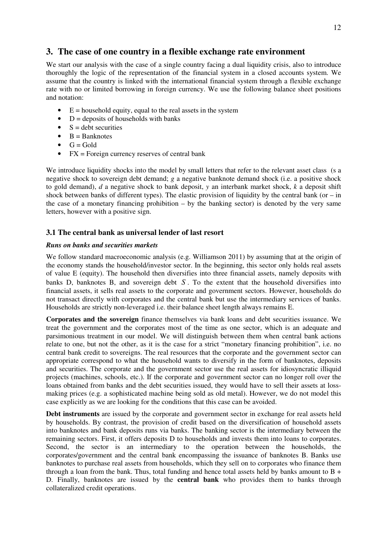# **3. The case of one country in a flexible exchange rate environment**

We start our analysis with the case of a single country facing a dual liquidity crisis, also to introduce thoroughly the logic of the representation of the financial system in a closed accounts system. We assume that the country is linked with the international financial system through a flexible exchange rate with no or limited borrowing in foreign currency. We use the following balance sheet positions and notation:

- $E =$  household equity, equal to the real assets in the system
- $D =$  deposits of households with banks
- $S =$  debt securities
- $\bullet$  B = Banknotes
- $\bullet$   $G = Gold$
- $FX = \text{Foreign currency reserves of central bank}$

We introduce liquidity shocks into the model by small letters that refer to the relevant asset class (s a negative shock to sovereign debt demand; *g* a negative banknote demand shock (i.e. a positive shock to gold demand), *d* a negative shock to bank deposit, *y* an interbank market shock, *k* a deposit shift shock between banks of different types). The elastic provision of liquidity by the central bank (or  $-$  in the case of a monetary financing prohibition  $-$  by the banking sector) is denoted by the very same letters, however with a positive sign.

## **3.1 The central bank as universal lender of last resort**

#### *Runs on banks and securities markets*

We follow standard macroeconomic analysis (e.g. Williamson 2011) by assuming that at the origin of the economy stands the household/investor sector. In the beginning, this sector only holds real assets of value E (equity). The household then diversifies into three financial assets, namely deposits with banks D, banknotes B, and sovereign debt *S* . To the extent that the household diversifies into financial assets, it sells real assets to the corporate and government sectors. However, households do not transact directly with corporates and the central bank but use the intermediary services of banks. Households are strictly non-leveraged i.e. their balance sheet length always remains E.

**Corporates and the sovereign** finance themselves via bank loans and debt securities issuance. We treat the government and the corporates most of the time as one sector, which is an adequate and parsimonious treatment in our model. We will distinguish between them when central bank actions relate to one, but not the other, as it is the case for a strict "monetary financing prohibition", i.e. no central bank credit to sovereigns. The real resources that the corporate and the government sector can appropriate correspond to what the household wants to diversify in the form of banknotes, deposits and securities. The corporate and the government sector use the real assets for idiosyncratic illiquid projects (machines, schools, etc.). If the corporate and government sector can no longer roll over the loans obtained from banks and the debt securities issued, they would have to sell their assets at lossmaking prices (e.g. a sophisticated machine being sold as old metal). However, we do not model this case explicitly as we are looking for the conditions that this case can be avoided.

**Debt instruments** are issued by the corporate and government sector in exchange for real assets held by households. By contrast, the provision of credit based on the diversification of household assets into banknotes and bank deposits runs via banks. The banking sector is the intermediary between the remaining sectors. First, it offers deposits D to households and invests them into loans to corporates. Second, the sector is an intermediary to the operation between the households, the corporates/government and the central bank encompassing the issuance of banknotes B. Banks use banknotes to purchase real assets from households, which they sell on to corporates who finance them through a loan from the bank. Thus, total funding and hence total assets held by banks amount to  $B +$ D. Finally, banknotes are issued by the **central bank** who provides them to banks through collateralized credit operations.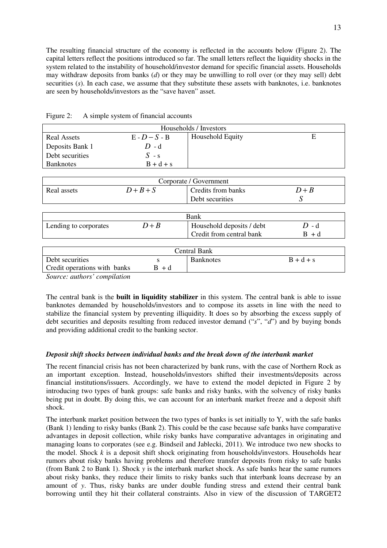The resulting financial structure of the economy is reflected in the accounts below (Figure 2). The capital letters reflect the positions introduced so far. The small letters reflect the liquidity shocks in the system related to the instability of household/investor demand for specific financial assets. Households may withdraw deposits from banks (*d*) or they may be unwilling to roll over (or they may sell) debt securities (*s*). In each case, we assume that they substitute these assets with banknotes, i.e. banknotes are seen by households/investors as the "save haven" asset.

| Households / Investors |                 |                         |  |  |
|------------------------|-----------------|-------------------------|--|--|
| <b>Real Assets</b>     | $E - D - S - B$ | <b>Household Equity</b> |  |  |
| Deposits Bank 1        | $D - d$         |                         |  |  |
| Debt securities        | $S - s$         |                         |  |  |
| <b>Banknotes</b>       | $B + d + s$     |                         |  |  |

Figure 2: A simple system of financial accounts

|                              |         | Corporate / Government    |             |
|------------------------------|---------|---------------------------|-------------|
| Real assets                  | $D+B+S$ | Credits from banks        | $D+B$       |
|                              |         | Debt securities           |             |
|                              |         |                           |             |
|                              |         | Bank                      |             |
| Lending to corporates        | $D+B$   | Household deposits / debt | $D - d$     |
|                              |         | Credit from central bank  | $B + d$     |
|                              |         |                           |             |
|                              |         | <b>Central Bank</b>       |             |
| Debt securities              | S       | <b>Banknotes</b>          | $B + d + s$ |
| Credit operations with banks | $B + d$ |                           |             |
| Source: authors' compilation |         |                           |             |

*Source: authors' compilation* 

The central bank is the **built in liquidity stabilizer** in this system. The central bank is able to issue banknotes demanded by households/investors and to compose its assets in line with the need to stabilize the financial system by preventing illiquidity. It does so by absorbing the excess supply of debt securities and deposits resulting from reduced investor demand ("*s*", "*d*") and by buying bonds and providing additional credit to the banking sector.

### *Deposit shift shocks between individual banks and the break down of the interbank market*

The recent financial crisis has not been characterized by bank runs, with the case of Northern Rock as an important exception. Instead, households/investors shifted their investments/deposits across financial institutions/issuers. Accordingly, we have to extend the model depicted in Figure 2 by introducing two types of bank groups: safe banks and risky banks, with the solvency of risky banks being put in doubt. By doing this, we can account for an interbank market freeze and a deposit shift shock.

The interbank market position between the two types of banks is set initially to Y, with the safe banks (Bank 1) lending to risky banks (Bank 2). This could be the case because safe banks have comparative advantages in deposit collection, while risky banks have comparative advantages in originating and managing loans to corporates (see e.g. Bindseil and Jablecki, 2011). We introduce two new shocks to the model. Shock *k* is a deposit shift shock originating from households/investors. Households hear rumors about risky banks having problems and therefore transfer deposits from risky to safe banks (from Bank 2 to Bank 1). Shock *y* is the interbank market shock. As safe banks hear the same rumors about risky banks, they reduce their limits to risky banks such that interbank loans decrease by an amount of *y*. Thus, risky banks are under double funding stress and extend their central bank borrowing until they hit their collateral constraints. Also in view of the discussion of TARGET2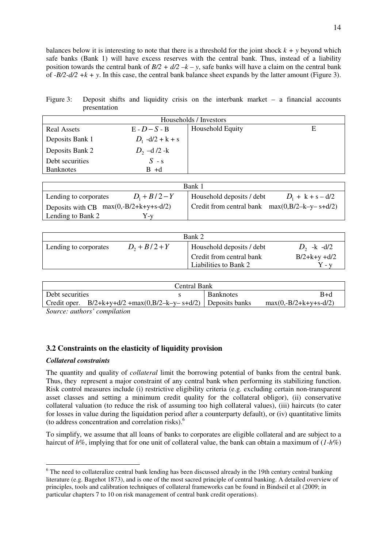balances below it is interesting to note that there is a threshold for the joint shock  $k + y$  beyond which safe banks (Bank 1) will have excess reserves with the central bank. Thus, instead of a liability position towards the central bank of  $B/2 + d/2 - k - y$ , safe banks will have a claim on the central bank of *-B/2-d/2 +k + y*. In this case, the central bank balance sheet expands by the latter amount (Figure 3).

| Figure 3: Deposit shifts and liquidity crisis on the interbank market $-$ a financial accounts |  |  |  |  |  |
|------------------------------------------------------------------------------------------------|--|--|--|--|--|
| presentation                                                                                   |  |  |  |  |  |

| Households / Investors |                    |                  |   |  |
|------------------------|--------------------|------------------|---|--|
| <b>Real Assets</b>     | $E - D - S - B$    | Household Equity | Е |  |
| Deposits Bank 1        | $D_1$ -d/2 + k + s |                  |   |  |
| Deposits Bank 2        | $D_2$ –d /2 -k     |                  |   |  |
| Debt securities        | $S - s$            |                  |   |  |
| <b>Banknotes</b>       | B +d               |                  |   |  |

|                                          | Bank 1                                           |
|------------------------------------------|--------------------------------------------------|
| $D_1 + B/2 - Y$<br>Lending to corporates | Household deposits / debt<br>$D_1 + k + s - d/2$ |
| Deposits with CB $max(0,-B/2+k+y+s-d/2)$ | Credit from central bank $max(0, B/2-k-y-s+d/2)$ |
| Lending to Bank 2<br>r -v                |                                                  |

| Bank 2                |                 |                                                       |                                |  |
|-----------------------|-----------------|-------------------------------------------------------|--------------------------------|--|
| Lending to corporates | $D_2 + B/2 + Y$ | Household deposits / debt<br>Credit from central bank | $D_2$ -k -d/2<br>$B/2+k+y+d/2$ |  |
|                       |                 | Liabilities to Bank 2                                 | $C = V$                        |  |

| Central Bank    |                                                                    |                  |                         |  |  |  |
|-----------------|--------------------------------------------------------------------|------------------|-------------------------|--|--|--|
| Debt securities |                                                                    | <b>Banknotes</b> | $B+d$                   |  |  |  |
|                 | Credit oper. $B/2+k+y+d/2 + max(0,B/2-k-y-s+d/2)$   Deposits banks |                  | $max(0,-B/2+k+y+s-d/2)$ |  |  |  |
|                 |                                                                    |                  |                         |  |  |  |

*Source: authors' compilation* 

# **3.2 Constraints on the elasticity of liquidity provision**

### *Collateral constraints*

The quantity and quality of *collateral* limit the borrowing potential of banks from the central bank. Thus, they represent a major constraint of any central bank when performing its stabilizing function. Risk control measures include (i) restrictive eligibility criteria (e.g. excluding certain non-transparent asset classes and setting a minimum credit quality for the collateral obligor), (ii) conservative collateral valuation (to reduce the risk of assuming too high collateral values), (iii) haircuts (to cater for losses in value during the liquidation period after a counterparty default), or (iv) quantitative limits (to address concentration and correlation risks).<sup>6</sup>

To simplify, we assume that all loans of banks to corporates are eligible collateral and are subject to a haircut of *h*%, implying that for one unit of collateral value, the bank can obtain a maximum of (*1-h*%)

<sup>&</sup>lt;sup>6</sup> The need to collateralize central bank lending has been discussed already in the 19th century central banking literature (e.g. Bagehot 1873), and is one of the most sacred principle of central banking. A detailed overview of principles, tools and calibration techniques of collateral frameworks can be found in Bindseil et al (2009; in particular chapters 7 to 10 on risk management of central bank credit operations).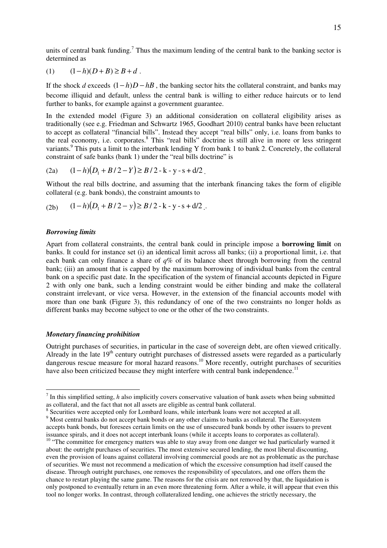units of central bank funding.<sup>7</sup> Thus the maximum lending of the central bank to the banking sector is determined as

(1) 
$$
(1-h)(D+B) \ge B+d
$$
.

If the shock *d* exceeds  $(1-h)D-hB$ , the banking sector hits the collateral constraint, and banks may become illiquid and default, unless the central bank is willing to either reduce haircuts or to lend further to banks, for example against a government guarantee.

In the extended model (Figure 3) an additional consideration on collateral eligibility arises as traditionally (see e.g. Friedman and Schwartz 1965, Goodhart 2010) central banks have been reluctant to accept as collateral "financial bills". Instead they accept "real bills" only, i.e. loans from banks to the real economy, i.e. corporates.<sup>8</sup> This "real bills" doctrine is still alive in more or less stringent variants.<sup>9</sup> This puts a limit to the interbank lending Y from bank 1 to bank 2. Concretely, the collateral constraint of safe banks (bank 1) under the "real bills doctrine" is

(2a) 
$$
(1-h)(D_1 + B/2 - Y) \ge B/2 - k - y - s + d/2.
$$

Without the real bills doctrine, and assuming that the interbank financing takes the form of eligible collateral (e.g. bank bonds), the constraint amounts to

(2b) 
$$
(1-h)(D_1+B/2-y) \ge B/2 - k - y - s + d/2.
$$

#### *Borrowing limits*

Apart from collateral constraints, the central bank could in principle impose a **borrowing limit** on banks. It could for instance set (i) an identical limit across all banks; (ii) a proportional limit, i.e. that each bank can only finance a share of *q*% of its balance sheet through borrowing from the central bank; (iii) an amount that is capped by the maximum borrowing of individual banks from the central bank on a specific past date. In the specification of the system of financial accounts depicted in Figure 2 with only one bank, such a lending constraint would be either binding and make the collateral constraint irrelevant, or vice versa. However, in the extension of the financial accounts model with more than one bank (Figure 3), this redundancy of one of the two constraints no longer holds as different banks may become subject to one or the other of the two constraints.

#### *Monetary financing prohibition*

Outright purchases of securities, in particular in the case of sovereign debt, are often viewed critically. Already in the late  $19<sup>th</sup>$  century outright purchases of distressed assets were regarded as a particularly dangerous rescue measure for moral hazard reasons.<sup>10</sup> More recently, outright purchases of securities have also been criticized because they might interfere with central bank independence.<sup>11</sup>

<sup>&</sup>lt;sup>7</sup> In this simplified setting, *h* also implicitly covers conservative valuation of bank assets when being submitted as collateral, and the fact that not all assets are eligible as central bank collateral.

<sup>&</sup>lt;sup>8</sup> Securities were accepted only for Lombard loans, while interbank loans were not accepted at all.

<sup>&</sup>lt;sup>9</sup> Most central banks do not accept bank bonds or any other claims to banks as collateral. The Eurosystem accepts bank bonds, but foresees certain limits on the use of unsecured bank bonds by other issuers to prevent issuance spirals, and it does not accept interbank loans (while it accepts loans to corporates as collateral).

<sup>&</sup>lt;sup>10</sup> "The committee for emergency matters was able to stay away from one danger we had particularly warned it about: the outright purchases of securities. The most extensive secured lending, the most liberal discounting, even the provision of loans against collateral involving commercial goods are not as problematic as the purchase of securities. We must not recommend a medication of which the excessive consumption had itself caused the disease. Through outright purchases, one removes the responsibility of speculators, and one offers them the chance to restart playing the same game. The reasons for the crisis are not removed by that, the liquidation is only postponed to eventually return in an even more threatening form. After a while, it will appear that even this tool no longer works. In contrast, through collateralized lending, one achieves the strictly necessary, the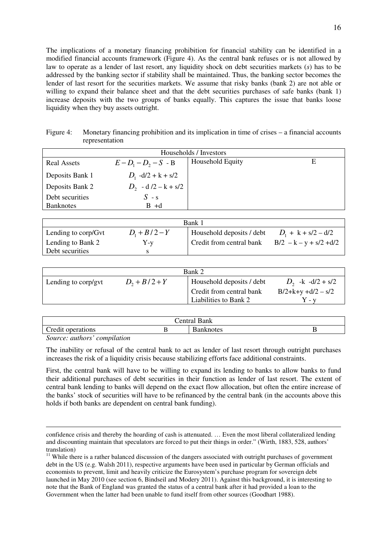The implications of a monetary financing prohibition for financial stability can be identified in a modified financial accounts framework (Figure 4). As the central bank refuses or is not allowed by law to operate as a lender of last resort, any liquidity shock on debt securities markets (*s*) has to be addressed by the banking sector if stability shall be maintained. Thus, the banking sector becomes the lender of last resort for the securities markets. We assume that risky banks (bank 2) are not able or willing to expand their balance sheet and that the debt securities purchases of safe banks (bank 1) increase deposits with the two groups of banks equally. This captures the issue that banks loose liquidity when they buy assets outright.

| Figure 4: | Monetary financing prohibition and its implication in time of crises – a financial accounts |
|-----------|---------------------------------------------------------------------------------------------|
|           | representation                                                                              |

| Households / Investors |                          |                  |   |  |  |
|------------------------|--------------------------|------------------|---|--|--|
| <b>Real Assets</b>     | $E - D_1 - D_2 - S - B$  | Household Equity | E |  |  |
| Deposits Bank 1        | $D_1$ -d/2 + k + s/2     |                  |   |  |  |
| Deposits Bank 2        | $D_2$ - d $/2 - k + s/2$ |                  |   |  |  |
| Debt securities        | $S - s$                  |                  |   |  |  |
| <b>Banknotes</b>       | $B + d$                  |                  |   |  |  |

| Bank 1              |                 |                           |                           |  |  |  |
|---------------------|-----------------|---------------------------|---------------------------|--|--|--|
| Lending to corp/Gvt | $D_1 + B/2 - Y$ | Household deposits / debt | $D_1 + k + s/2 - d/2$     |  |  |  |
| Lending to Bank 2   | $Y-y$           | Credit from central bank  | $B/2 - k - y + s/2 + d/2$ |  |  |  |
| Debt securities     |                 |                           |                           |  |  |  |

| Bank 2              |                 |                                                   |                              |  |  |
|---------------------|-----------------|---------------------------------------------------|------------------------------|--|--|
| Lending to corp/gvt | $D_2 + B/2 + Y$ | Household deposits / debt                         | $D_2$ -k -d/2 + s/2          |  |  |
|                     |                 | Credit from central bank<br>Liabilities to Bank 2 | $B/2+k+y+d/2 - s/2$<br>⁄ - v |  |  |

| $^{\circ}$<br>.<br>ПA                                                                                |  |  |  |  |  |
|------------------------------------------------------------------------------------------------------|--|--|--|--|--|
| $\overline{\phantom{a}}$<br>$\mathbf{r}$<br>$-1$<br>$\sim$ n<br>UHS<br>$\alpha$<br>~<br>$    -$<br>. |  |  |  |  |  |
| $\cdot$ $\cdot$<br>$\sim$                                                                            |  |  |  |  |  |

*Source: authors' compilation* 

 $\overline{a}$ 

The inability or refusal of the central bank to act as lender of last resort through outright purchases increases the risk of a liquidity crisis because stabilizing efforts face additional constraints.

First, the central bank will have to be willing to expand its lending to banks to allow banks to fund their additional purchases of debt securities in their function as lender of last resort. The extent of central bank lending to banks will depend on the exact flow allocation, but often the entire increase of the banks' stock of securities will have to be refinanced by the central bank (in the accounts above this holds if both banks are dependent on central bank funding).

confidence crisis and thereby the hoarding of cash is attenuated. … Even the most liberal collateralized lending and discounting maintain that speculators are forced to put their things in order." (Wirth, 1883, 528, authors' translation)

<sup>&</sup>lt;sup>11</sup> While there is a rather balanced discussion of the dangers associated with outright purchases of government debt in the US (e.g. Walsh 2011), respective arguments have been used in particular by German officials and economists to prevent, limit and heavily criticize the Eurosystem's purchase program for sovereign debt launched in May 2010 (see section 6, Bindseil and Modery 2011). Against this background, it is interesting to note that the Bank of England was granted the status of a central bank after it had provided a loan to the Government when the latter had been unable to fund itself from other sources (Goodhart 1988).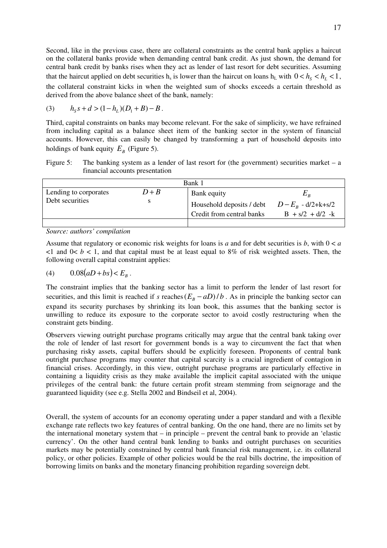Second, like in the previous case, there are collateral constraints as the central bank applies a haircut on the collateral banks provide when demanding central bank credit. As just shown, the demand for central bank credit by banks rises when they act as lender of last resort for debt securities. Assuming that the haircut applied on debt securities  $h_s$  is lower than the haircut on loans  $h_L$  with  $0 < h_s < h_L < 1$ , the collateral constraint kicks in when the weighted sum of shocks exceeds a certain threshold as derived from the above balance sheet of the bank, namely:

(3) 
$$
h_S s + d > (1 - h_L)(D_1 + B) - B
$$
.

Third, capital constraints on banks may become relevant. For the sake of simplicity, we have refrained from including capital as a balance sheet item of the banking sector in the system of financial accounts. However, this can easily be changed by transforming a part of household deposits into holdings of bank equity  $E_B$  (Figure 5).

Figure 5: The banking system as a lender of last resort for (the government) securities market – a financial accounts presentation

| Bank 1                                   |            |                                                                                            |                                  |  |  |  |
|------------------------------------------|------------|--------------------------------------------------------------------------------------------|----------------------------------|--|--|--|
| Lending to corporates<br>Debt securities | $D+B$<br>s | Bank equity<br>Household deposits / debt $D-E_R - d/2+k+ s/2$<br>Credit from central banks | $E_{\,p}$<br>$B + s/2 + d/2 - k$ |  |  |  |
|                                          |            |                                                                                            |                                  |  |  |  |

*Source: authors' compilation* 

Assume that regulatory or economic risk weights for loans is *a* and for debt securities is *b*, with 0 < *a*  $\leq$ 1 and 0 $\leq$  b  $\leq$  1, and that capital must be at least equal to 8% of risk weighted assets. Then, the following overall capital constraint applies:

(4) 
$$
0.08(aD + bs) < E_B
$$
.

The constraint implies that the banking sector has a limit to perform the lender of last resort for securities, and this limit is reached if *s* reaches  $(E_B - aD)/b$ . As in principle the banking sector can expand its security purchases by shrinking its loan book, this assumes that the banking sector is unwilling to reduce its exposure to the corporate sector to avoid costly restructuring when the constraint gets binding.

Observers viewing outright purchase programs critically may argue that the central bank taking over the role of lender of last resort for government bonds is a way to circumvent the fact that when purchasing risky assets, capital buffers should be explicitly foreseen. Proponents of central bank outright purchase programs may counter that capital scarcity is a crucial ingredient of contagion in financial crises. Accordingly, in this view, outright purchase programs are particularly effective in containing a liquidity crisis as they make available the implicit capital associated with the unique privileges of the central bank: the future certain profit stream stemming from seignorage and the guaranteed liquidity (see e.g. Stella 2002 and Bindseil et al, 2004).

Overall, the system of accounts for an economy operating under a paper standard and with a flexible exchange rate reflects two key features of central banking. On the one hand, there are no limits set by the international monetary system that – in principle – prevent the central bank to provide an 'elastic currency'. On the other hand central bank lending to banks and outright purchases on securities markets may be potentially constrained by central bank financial risk management, i.e. its collateral policy, or other policies. Example of other policies would be the real bills doctrine, the imposition of borrowing limits on banks and the monetary financing prohibition regarding sovereign debt.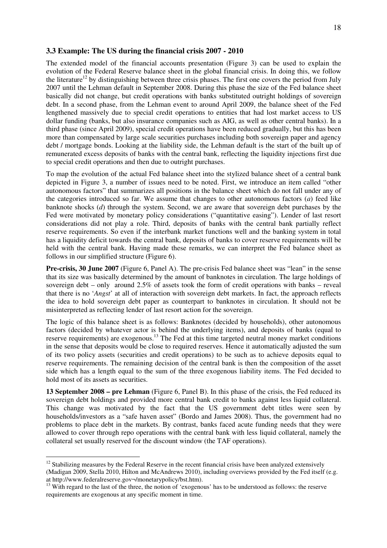#### **3.3 Example: The US during the financial crisis 2007 - 2010**

The extended model of the financial accounts presentation (Figure 3) can be used to explain the evolution of the Federal Reserve balance sheet in the global financial crisis. In doing this, we follow the literature<sup>12</sup> by distinguishing between three crisis phases. The first one covers the period from July 2007 until the Lehman default in September 2008. During this phase the size of the Fed balance sheet basically did not change, but credit operations with banks substituted outright holdings of sovereign debt. In a second phase, from the Lehman event to around April 2009, the balance sheet of the Fed lengthened massively due to special credit operations to entities that had lost market access to US dollar funding (banks, but also insurance companies such as AIG, as well as other central banks). In a third phase (since April 2009), special credit operations have been reduced gradually, but this has been more than compensated by large scale securities purchases including both sovereign paper and agency debt / mortgage bonds. Looking at the liability side, the Lehman default is the start of the built up of remunerated excess deposits of banks with the central bank, reflecting the liquidity injections first due to special credit operations and then due to outright purchases.

To map the evolution of the actual Fed balance sheet into the stylized balance sheet of a central bank depicted in Figure 3, a number of issues need to be noted. First, we introduce an item called "other autonomous factors" that summarizes all positions in the balance sheet which do not fall under any of the categories introduced so far. We assume that changes to other autonomous factors (*a*) feed like banknote shocks (*d*) through the system. Second, we are aware that sovereign debt purchases by the Fed were motivated by monetary policy considerations ("quantitative easing"). Lender of last resort considerations did not play a role. Third, deposits of banks with the central bank partially reflect reserve requirements. So even if the interbank market functions well and the banking system in total has a liquidity deficit towards the central bank, deposits of banks to cover reserve requirements will be held with the central bank. Having made these remarks, we can interpret the Fed balance sheet as follows in our simplified structure (Figure 6).

**Pre-crisis, 30 June 2007** (Figure 6, Panel A). The pre-crisis Fed balance sheet was "lean" in the sense that its size was basically determined by the amount of banknotes in circulation. The large holdings of sovereign debt – only around 2.5% of assets took the form of credit operations with banks – reveal that there is no '*Angst*' at all of interaction with sovereign debt markets. In fact, the approach reflects the idea to hold sovereign debt paper as counterpart to banknotes in circulation. It should not be misinterpreted as reflecting lender of last resort action for the sovereign.

The logic of this balance sheet is as follows: Banknotes (decided by households), other autonomous factors (decided by whatever actor is behind the underlying items), and deposits of banks (equal to reserve requirements) are exogenous.<sup>13</sup> The Fed at this time targeted neutral money market conditions in the sense that deposits would be close to required reserves. Hence it automatically adjusted the sum of its two policy assets (securities and credit operations) to be such as to achieve deposits equal to reserve requirements. The remaining decision of the central bank is then the composition of the asset side which has a length equal to the sum of the three exogenous liability items. The Fed decided to hold most of its assets as securities.

**13 September 2008 – pre Lehman** (Figure 6, Panel B). In this phase of the crisis, the Fed reduced its sovereign debt holdings and provided more central bank credit to banks against less liquid collateral. This change was motivated by the fact that the US government debt titles were seen by households/investors as a "safe haven asset" (Bordo and James 2008). Thus, the government had no problems to place debt in the markets. By contrast, banks faced acute funding needs that they were allowed to cover through repo operations with the central bank with less liquid collateral, namely the collateral set usually reserved for the discount window (the TAF operations).

 $12$  Stabilizing measures by the Federal Reserve in the recent financial crisis have been analyzed extensively (Madigan 2009, Stella 2010, Hilton and McAndrews 2010), including overviews provided by the Fed itself (e.g. at http://www.federalreserve.gov¬/monetarypolicy/bst.htm).

<sup>&</sup>lt;sup>13</sup> With regard to the last of the three, the notion of 'exogenous' has to be understood as follows: the reserve requirements are exogenous at any specific moment in time.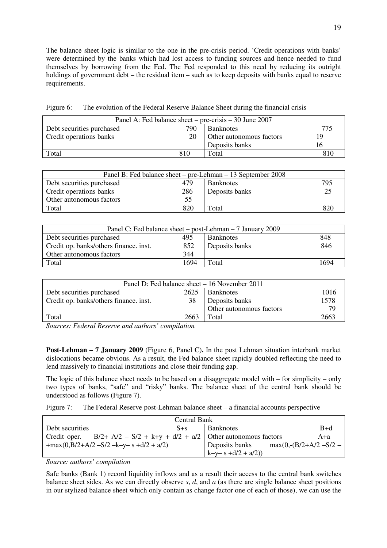The balance sheet logic is similar to the one in the pre-crisis period. 'Credit operations with banks' were determined by the banks which had lost access to funding sources and hence needed to fund themselves by borrowing from the Fed. The Fed responded to this need by reducing its outright holdings of government debt – the residual item – such as to keep deposits with banks equal to reserve requirements.

Figure 6: The evolution of the Federal Reserve Balance Sheet during the financial crisis

| Panel A: Fed balance sheet – pre-crisis – 30 June 2007          |     |       |     |  |  |  |
|-----------------------------------------------------------------|-----|-------|-----|--|--|--|
| 775<br>Debt securities purchased<br>790<br><b>Banknotes</b>     |     |       |     |  |  |  |
| Credit operations banks<br>20<br>Other autonomous factors<br>19 |     |       |     |  |  |  |
| Deposits banks<br>Iб                                            |     |       |     |  |  |  |
| Total                                                           | 810 | Total | 810 |  |  |  |

| Panel B: Fed balance sheet – pre-Lehman – 13 September 2008 |                |                  |     |  |  |
|-------------------------------------------------------------|----------------|------------------|-----|--|--|
| Debt securities purchased                                   | 479            | <b>Banknotes</b> | 795 |  |  |
| Credit operations banks                                     | Deposits banks |                  |     |  |  |
| Other autonomous factors<br>55                              |                |                  |     |  |  |
| Total                                                       | 820            | Total            |     |  |  |

| Panel C: Fed balance sheet – post-Lehman – 7 January 2009   |                |       |      |  |  |  |
|-------------------------------------------------------------|----------------|-------|------|--|--|--|
| 848<br>Debt securities purchased<br>495<br><b>Banknotes</b> |                |       |      |  |  |  |
| Credit op. banks/others finance. inst.                      | Deposits banks | 846   |      |  |  |  |
| 344<br>Other autonomous factors                             |                |       |      |  |  |  |
| Total                                                       | 1694           | Total | 1694 |  |  |  |

| Panel D: Fed balance sheet – 16 November 2011                 |                |      |  |  |  |  |
|---------------------------------------------------------------|----------------|------|--|--|--|--|
| Debt securities purchased<br>1016<br>2625<br><b>Banknotes</b> |                |      |  |  |  |  |
| Credit op. banks/others finance. inst.                        | Deposits banks | 1578 |  |  |  |  |
| Other autonomous factors<br>79                                |                |      |  |  |  |  |
| Total<br>2663<br>2663<br>Total                                |                |      |  |  |  |  |

*Sources: Federal Reserve and authors' compilation* 

**Post-Lehman – 7 January 2009** (Figure 6, Panel C)**.** In the post Lehman situation interbank market dislocations became obvious. As a result, the Fed balance sheet rapidly doubled reflecting the need to lend massively to financial institutions and close their funding gap.

The logic of this balance sheet needs to be based on a disaggregate model with – for simplicity – only two types of banks, "safe" and "risky" banks. The balance sheet of the central bank should be understood as follows (Figure 7).

Figure 7: The Federal Reserve post-Lehman balance sheet – a financial accounts perspective

| Central Bank    |                                                                          |  |                     |                        |       |  |
|-----------------|--------------------------------------------------------------------------|--|---------------------|------------------------|-------|--|
| Debt securities | $S + s$                                                                  |  | <b>Banknotes</b>    |                        | $B+d$ |  |
|                 | Credit oper. B/2+ A/2 – S/2 + k+y + d/2 + a/2   Other autonomous factors |  |                     |                        | A+a   |  |
|                 | $+max(0, B/2+A/2-S/2-k-y-s+ d/2 + a/2)$                                  |  | Deposits banks      | $max(0,-B/2+A/2-S/2 –$ |       |  |
|                 |                                                                          |  | $k-y-s+ d/2 + a/2)$ |                        |       |  |

*Source: authors' compilation* 

Safe banks (Bank 1) record liquidity inflows and as a result their access to the central bank switches balance sheet sides. As we can directly observe *s*, *d*, and *a* (as there are single balance sheet positions in our stylized balance sheet which only contain as change factor one of each of those), we can use the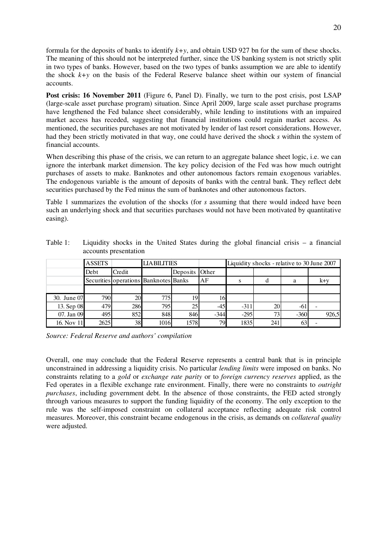formula for the deposits of banks to identify *k+y*, and obtain USD 927 bn for the sum of these shocks. The meaning of this should not be interpreted further, since the US banking system is not strictly split in two types of banks. However, based on the two types of banks assumption we are able to identify the shock *k+y* on the basis of the Federal Reserve balance sheet within our system of financial accounts.

**Post crisis: 16 November 2011** (Figure 6, Panel D). Finally, we turn to the post crisis, post LSAP (large-scale asset purchase program) situation. Since April 2009, large scale asset purchase programs have lengthened the Fed balance sheet considerably, while lending to institutions with an impaired market access has receded, suggesting that financial institutions could regain market access. As mentioned, the securities purchases are not motivated by lender of last resort considerations. However, had they been strictly motivated in that way, one could have derived the shock *s* within the system of financial accounts.

When describing this phase of the crisis, we can return to an aggregate balance sheet logic, i.e. we can ignore the interbank market dimension. The key policy decision of the Fed was how much outright purchases of assets to make. Banknotes and other autonomous factors remain exogenous variables. The endogenous variable is the amount of deposits of banks with the central bank. They reflect debt securities purchased by the Fed minus the sum of banknotes and other autonomous factors.

Table 1 summarizes the evolution of the shocks (for *s* assuming that there would indeed have been such an underlying shock and that securities purchases would not have been motivated by quantitative easing).

|             | <b>ASSETS</b> |                                       | <b>LIABILITIES</b> |          |              | Liquidity shocks - relative to 30 June 2007 |                |        |       |
|-------------|---------------|---------------------------------------|--------------------|----------|--------------|---------------------------------------------|----------------|--------|-------|
|             | Debt          | Credit                                |                    | Deposits | <b>Other</b> |                                             |                |        |       |
|             |               | Securities operations Banknotes Banks |                    |          | AF           | s                                           |                | a      | $k+y$ |
|             |               |                                       |                    |          |              |                                             |                |        |       |
| 30. June 07 | 790           | 20                                    | 775                | 19       | 16           |                                             |                |        |       |
| 13. Sep 08  | 479           | 286                                   | 795                | 25.      | $-45$        | $-31$                                       | 20             | -61    |       |
| 07. Jan 09  | 495           | 852                                   | 848                | 846      | $-344$       | $-295$                                      | 7 <sup>2</sup> | $-360$ | 926,5 |
| 16. Nov 11  | 2625          | 38                                    | 1016               | 1578     | 79           | 1835                                        | 241            | 63     |       |

Table 1: Liquidity shocks in the United States during the global financial crisis – a financial accounts presentation

*Source: Federal Reserve and authors' compilation* 

Overall, one may conclude that the Federal Reserve represents a central bank that is in principle unconstrained in addressing a liquidity crisis. No particular *lending limits* were imposed on banks. No constraints relating to a *gold* or *exchange rate parity* or to *foreign currency reserves* applied, as the Fed operates in a flexible exchange rate environment. Finally, there were no constraints to *outright purchases*, including government debt. In the absence of those constraints, the FED acted strongly through various measures to support the funding liquidity of the economy. The only exception to the rule was the self-imposed constraint on collateral acceptance reflecting adequate risk control measures. Moreover, this constraint became endogenous in the crisis, as demands on *collateral quality*  were adjusted.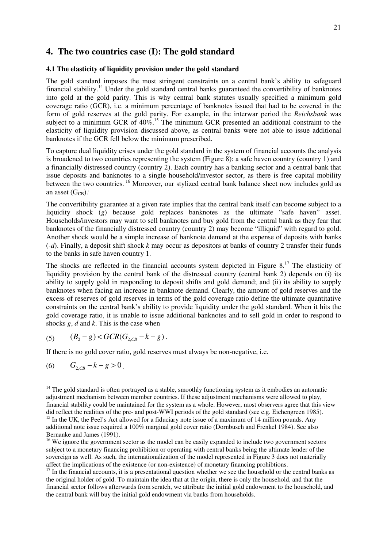## **4. The two countries case (I): The gold standard**

#### **4.1 The elasticity of liquidity provision under the gold standard**

The gold standard imposes the most stringent constraints on a central bank's ability to safeguard financial stability.<sup>14</sup> Under the gold standard central banks guaranteed the convertibility of banknotes into gold at the gold parity. This is why central bank statutes usually specified a minimum gold coverage ratio (GCR), i.e. a minimum percentage of banknotes issued that had to be covered in the form of gold reserves at the gold parity. For example, in the interwar period the *Reichsbank* was subject to a minimum GCR of  $40\%$ .<sup>15</sup> The minimum GCR presented an additional constraint to the elasticity of liquidity provision discussed above, as central banks were not able to issue additional banknotes if the GCR fell below the minimum prescribed.

To capture dual liquidity crises under the gold standard in the system of financial accounts the analysis is broadened to two countries representing the system (Figure 8): a safe haven country (country 1) and a financially distressed country (country 2). Each country has a banking sector and a central bank that issue deposits and banknotes to a single household/investor sector, as there is free capital mobility between the two countries.<sup>16</sup> Moreover, our stylized central bank balance sheet now includes gold as an asset  $(G_{CR})$ .

The convertibility guarantee at a given rate implies that the central bank itself can become subject to a liquidity shock (*g*) because gold replaces banknotes as the ultimate "safe haven" asset. Households/investors may want to sell banknotes and buy gold from the central bank as they fear that banknotes of the financially distressed country (country 2) may become "illiquid" with regard to gold. Another shock would be a simple increase of banknote demand at the expense of deposits with banks (*-d*). Finally, a deposit shift shock *k* may occur as depositors at banks of country 2 transfer their funds to the banks in safe haven country 1.

The shocks are reflected in the financial accounts system depicted in Figure  $8<sup>17</sup>$ . The elasticity of liquidity provision by the central bank of the distressed country (central bank 2) depends on (i) its ability to supply gold in responding to deposit shifts and gold demand; and (ii) its ability to supply banknotes when facing an increase in banknote demand. Clearly, the amount of gold reserves and the excess of reserves of gold reserves in terms of the gold coverage ratio define the ultimate quantitative constraints on the central bank's ability to provide liquidity under the gold standard. When it hits the gold coverage ratio, it is unable to issue additional banknotes and to sell gold in order to respond to shocks *g*, *d* and *k*. This is the case when

(5) 
$$
(B_2 - g) < GCR(G_{2, CB} - k - g).
$$

If there is no gold cover ratio, gold reserves must always be non-negative, i.e.

(6)  $G_{2CR} - k - g > 0$ .

 $14$  The gold standard is often portrayed as a stable, smoothly functioning system as it embodies an automatic adjustment mechanism between member countries. If these adjustment mechanisms were allowed to play, financial stability could be maintained for the system as a whole. However, most observers agree that this view did reflect the realities of the pre- and post-WWI periods of the gold standard (see e.g. Eichengreen 1985). <sup>15</sup> In the UK, the Peel's Act allowed for a fiduciary note issue of a maximum of 14 million pounds. Any additional note issue required a 100% marginal gold cover ratio (Dornbusch and Frenkel 1984). See also Bernanke and James (1991).

<sup>&</sup>lt;sup>16</sup> We ignore the government sector as the model can be easily expanded to include two government sectors subject to a monetary financing prohibition or operating with central banks being the ultimate lender of the sovereign as well. As such, the internationalization of the model represented in Figure 3 does not materially affect the implications of the existence (or non-existence) of monetary financing prohibtions.

<sup>&</sup>lt;sup>17</sup> In the financial accounts, it is a presentational question whether we see the household or the central banks as the original holder of gold. To maintain the idea that at the origin, there is only the household, and that the financial sector follows afterwards from scratch, we attribute the initial gold endowment to the household, and the central bank will buy the initial gold endowment via banks from households.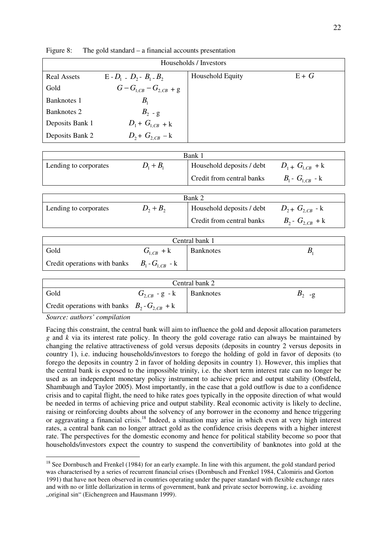| Households / Investors |                                 |                  |       |  |  |  |
|------------------------|---------------------------------|------------------|-------|--|--|--|
| <b>Real Assets</b>     | $E - D_1 - D_2 - B_1 - B_2$     | Household Equity | $E+G$ |  |  |  |
| Gold                   | $G - G_{1, CB} - G_{2, CB} + g$ |                  |       |  |  |  |
| Banknotes 1            | $B_{1}$                         |                  |       |  |  |  |
| <b>Banknotes 2</b>     | $B_2$ - g                       |                  |       |  |  |  |
| Deposits Bank 1        | $D_1 + G_{1,CB} + k$            |                  |       |  |  |  |
| Deposits Bank 2        | $D_2 + G_{2, CB} - k$           |                  |       |  |  |  |

Figure 8: The gold standard – a financial accounts presentation

| Bank 1                |             |                           |                            |  |  |
|-----------------------|-------------|---------------------------|----------------------------|--|--|
| Lending to corporates | $D_1 + B_1$ | Household deposits / debt | $D_{1} + G_{1}{}_{CB} + k$ |  |  |
|                       |             | Credit from central banks | $B_1 - G_{1CR} - k$        |  |  |
|                       |             |                           |                            |  |  |

| Bank 2                |             |                           |                          |  |  |
|-----------------------|-------------|---------------------------|--------------------------|--|--|
| Lending to corporates | $D_2 + B_2$ | Household deposits / debt | $D_{2}$ + $G_{2,CB}$ - k |  |  |
|                       |             | Credit from central banks | $B_2 - G_{2, CB} + k$    |  |  |

| Central bank 1                                     |               |           |  |  |  |
|----------------------------------------------------|---------------|-----------|--|--|--|
| Gold                                               | $G_{1CR}$ + k | Banknotes |  |  |  |
| Credit operations with banks $B_1 - G_{1, CB} - k$ |               |           |  |  |  |

| Central bank 2                                    |                    |           |          |  |  |
|---------------------------------------------------|--------------------|-----------|----------|--|--|
| Gold                                              | $G_{2,CB}$ - g - k | Banknotes | $D_2$ -g |  |  |
| Credit operations with banks $B_2 - G_{2,CB} + k$ |                    |           |          |  |  |

*Source: authors' compilation* 

Facing this constraint, the central bank will aim to influence the gold and deposit allocation parameters *g* and *k* via its interest rate policy. In theory the gold coverage ratio can always be maintained by changing the relative attractiveness of gold versus deposits (deposits in country 2 versus deposits in country 1), i.e. inducing households/investors to forego the holding of gold in favor of deposits (to forego the deposits in country 2 in favor of holding deposits in country 1). However, this implies that the central bank is exposed to the impossible trinity, i.e. the short term interest rate can no longer be used as an independent monetary policy instrument to achieve price and output stability (Obstfeld, Shambaugh and Taylor 2005). Most importantly, in the case that a gold outflow is due to a confidence crisis and to capital flight, the need to hike rates goes typically in the opposite direction of what would be needed in terms of achieving price and output stability. Real economic activity is likely to decline, raising or reinforcing doubts about the solvency of any borrower in the economy and hence triggering or aggravating a financial crisis.<sup>18</sup> Indeed, a situation may arise in which even at very high interest rates, a central bank can no longer attract gold as the confidence crisis deepens with a higher interest rate. The perspectives for the domestic economy and hence for political stability become so poor that households/investors expect the country to suspend the convertibility of banknotes into gold at the

 $\overline{a}$ <sup>18</sup> See Dornbusch and Frenkel (1984) for an early example. In line with this argument, the gold standard period was characterised by a series of recurrent financial crises (Dornbusch and Frenkel 1984, Calomiris and Gorton 1991) that have not been observed in countries operating under the paper standard with flexible exchange rates and with no or little dollarization in terms of government, bank and private sector borrowing, i.e. avoiding "original sin" (Eichengreen and Hausmann 1999).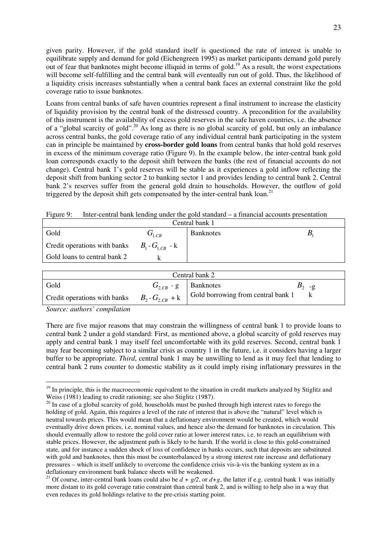given parity. However, if the gold standard itself is questioned the rate of interest is unable to equilibrate supply and demand for gold (Eichengreen 1995) as market participants demand gold purely out of fear that banknotes might become illiquid in terms of gold.<sup>19</sup> As a result, the worst expectations will become self-fulfilling and the central bank will eventually run out of gold. Thus, the likelihood of a liquidity crisis increases substantially when a central bank faces an external constraint like the gold coverage ratio to issue banknotes.

Loans from central banks of safe haven countries represent a final instrument to increase the elasticity of liquidity provision by the central bank of the distressed country. A precondition for the availability of this instrument is the availability of excess gold reserves in the safe haven countries, i.e. the absence of a "global scarcity of gold".<sup>20</sup> As long as there is no global scarcity of gold, but only an imbalance across central banks, the gold coverage ratio of any individual central bank participating in the system can in principle be maintained by **cross-border gold loans** from central banks that hold gold reserves in excess of the minimum coverage ratio (Figure 9). In the example below, the inter-central bank gold loan corresponds exactly to the deposit shift between the banks (the rest of financial accounts do not change). Central bank 1's gold reserves will be stable as it experiences a gold inflow reflecting the deposit shift from banking sector 2 to banking sector 1 and provides lending to central bank 2. Central bank 2's reserves suffer from the general gold drain to households. However, the outflow of gold triggered by the deposit shift gets compensated by the inter-central bank loan.<sup>21</sup>

Figure 9: Inter-central bank lending under the gold standard – a financial accounts presentation

| Central bank 1                                   |             |                  |  |  |  |
|--------------------------------------------------|-------------|------------------|--|--|--|
| Gold                                             | $G_{1, CB}$ | <b>Banknotes</b> |  |  |  |
| Credit operations with banks $B_1 - G_{1CR} - k$ |             |                  |  |  |  |
| Gold loans to central bank 2                     |             |                  |  |  |  |

| Central bank 2                                   |  |                                    |                  |  |  |
|--------------------------------------------------|--|------------------------------------|------------------|--|--|
| Gold                                             |  | $G_{2,CB}$ - g   Banknotes         | $D_2$ - $\sigma$ |  |  |
| Credit operations with banks $B_2 - G_{2CR} + k$ |  | Gold borrowing from central bank 1 |                  |  |  |

*Source: authors' compilation* 

 $\overline{a}$ 

There are five major reasons that may constrain the willingness of central bank 1 to provide loans to central bank 2 under a gold standard: First, as mentioned above, a global scarcity of gold reserves may apply and central bank 1 may itself feel uncomfortable with its gold reserves. Second, central bank 1 may fear becoming subject to a similar crisis as country 1 in the future, i.e. it considers having a larger buffer to be appropriate. *Third*, central bank 1 may be unwilling to lend as it may feel that lending to central bank 2 runs counter to domestic stability as it could imply rising inflationary pressures in the

 $19$  In principle, this is the macroeconomic equivalent to the situation in credit markets analyzed by Stiglitz and Weiss (1981) leading to credit rationing; see also Stiglitz (1987).

<sup>&</sup>lt;sup>20</sup> In case of a global scarcity of gold, households must be pushed through high interest rates to forego the holding of gold. Again, this requires a level of the rate of interest that is above the "natural" level which is neutral towards prices. This would mean that a deflationary environment would be created, which would eventually drive down prices, i.e. nominal values, and hence also the demand for banknotes in circulation. This should eventually allow to restore the gold cover ratio at lower interest rates, i.e. to reach an equilibrium with stable prices. However, the adjustment path is likely to be harsh. If the world is close to this gold-constrained state, and for instance a sudden shock of loss of confidence in banks occurs, such that deposits are substituted with gold and banknotes, then this must be counterbalanced by a strong interest rate increase and deflationary pressures – which is itself unlikely to overcome the confidence crisis vis-à-vis the banking system as in a deflationary environment bank balance sheets will be weakened.

<sup>&</sup>lt;sup>21</sup> Of course, inter-central bank loans could also be  $d + g/2$ , or  $d+g$ , the latter if e.g. central bank 1 was initially more distant to its gold coverage ratio constraint than central bank 2, and is willing to help also in a way that even reduces its gold holdings relative to the pre-crisis starting point.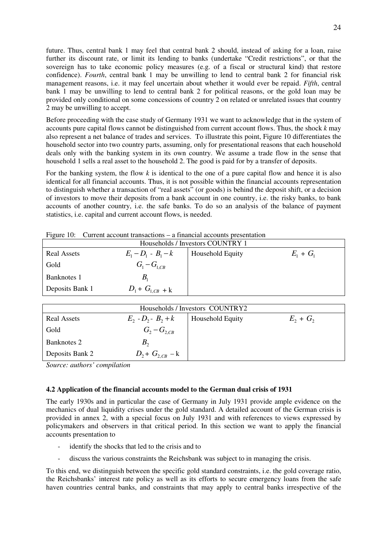future. Thus, central bank 1 may feel that central bank 2 should, instead of asking for a loan, raise further its discount rate, or limit its lending to banks (undertake "Credit restrictions", or that the sovereign has to take economic policy measures (e.g. of a fiscal or structural kind) that restore confidence). *Fourth*, central bank 1 may be unwilling to lend to central bank 2 for financial risk management reasons, i.e. it may feel uncertain about whether it would ever be repaid. *Fifth*, central bank 1 may be unwilling to lend to central bank 2 for political reasons, or the gold loan may be provided only conditional on some concessions of country 2 on related or unrelated issues that country 2 may be unwilling to accept.

Before proceeding with the case study of Germany 1931 we want to acknowledge that in the system of accounts pure capital flows cannot be distinguished from current account flows. Thus, the shock *k* may also represent a net balance of trades and services. To illustrate this point, Figure 10 differentiates the household sector into two country parts, assuming, only for presentational reasons that each household deals only with the banking system in its own country. We assume a trade flow in the sense that household 1 sells a real asset to the household 2. The good is paid for by a transfer of deposits.

For the banking system, the flow *k* is identical to the one of a pure capital flow and hence it is also identical for all financial accounts. Thus, it is not possible within the financial accounts representation to distinguish whether a transaction of "real assets" (or goods) is behind the deposit shift, or a decision of investors to move their deposits from a bank account in one country, i.e. the risky banks, to bank accounts of another country, i.e. the safe banks. To do so an analysis of the balance of payment statistics, i.e. capital and current account flows, is needed.

| Households / Investors COUNTRY 1         |                       |                  |             |  |  |
|------------------------------------------|-----------------------|------------------|-------------|--|--|
| <b>Real Assets</b>                       | $E_1 - D_1 - B_1 - k$ | Household Equity | $E_1 + G_1$ |  |  |
| Gold                                     | $G_1 - G_{1, CB}$     |                  |             |  |  |
| Banknotes 1                              |                       |                  |             |  |  |
| $D_1 + G_{1, CB} + k$<br>Deposits Bank 1 |                       |                  |             |  |  |

Figure 10: Current account transactions – a financial accounts presentation

| Households / Investors COUNTRY2                                                       |                      |  |  |  |  |
|---------------------------------------------------------------------------------------|----------------------|--|--|--|--|
| $E_2 - D_2 - B_2 + k$<br>$E_2 + G_2$<br><b>Household Equity</b><br><b>Real Assets</b> |                      |  |  |  |  |
| Gold                                                                                  | $G_2 - G_{2, CB}$    |  |  |  |  |
| Banknotes 2                                                                           |                      |  |  |  |  |
| Deposits Bank 2                                                                       | $D_2 + G_{2,CB} - k$ |  |  |  |  |

*Source: authors' compilation* 

### **4.2 Application of the financial accounts model to the German dual crisis of 1931**

The early 1930s and in particular the case of Germany in July 1931 provide ample evidence on the mechanics of dual liquidity crises under the gold standard. A detailed account of the German crisis is provided in annex 2, with a special focus on July 1931 and with references to views expressed by policymakers and observers in that critical period. In this section we want to apply the financial accounts presentation to

- identify the shocks that led to the crisis and to
- discuss the various constraints the Reichsbank was subject to in managing the crisis.

To this end, we distinguish between the specific gold standard constraints, i.e. the gold coverage ratio, the Reichsbanks' interest rate policy as well as its efforts to secure emergency loans from the safe haven countries central banks, and constraints that may apply to central banks irrespective of the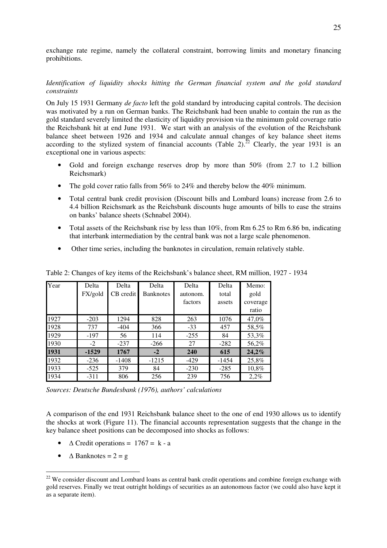exchange rate regime, namely the collateral constraint, borrowing limits and monetary financing prohibitions.

## *Identification of liquidity shocks hitting the German financial system and the gold standard constraints*

On July 15 1931 Germany *de facto* left the gold standard by introducing capital controls. The decision was motivated by a run on German banks. The Reichsbank had been unable to contain the run as the gold standard severely limited the elasticity of liquidity provision via the minimum gold coverage ratio the Reichsbank hit at end June 1931. We start with an analysis of the evolution of the Reichsbank balance sheet between 1926 and 1934 and calculate annual changes of key balance sheet items according to the stylized system of financial accounts (Table 2).<sup>22</sup> Clearly, the year 1931 is an exceptional one in various aspects:

- Gold and foreign exchange reserves drop by more than 50% (from 2.7 to 1.2 billion Reichsmark)
- The gold cover ratio falls from 56% to 24% and thereby below the 40% minimum.
- Total central bank credit provision (Discount bills and Lombard loans) increase from 2.6 to 4.4 billion Reichsmark as the Reichsbank discounts huge amounts of bills to ease the strains on banks' balance sheets (Schnabel 2004).
- Total assets of the Reichsbank rise by less than 10%, from Rm 6.25 to Rm 6.86 bn, indicating that interbank intermediation by the central bank was not a large scale phenomenon.
- Other time series, including the banknotes in circulation, remain relatively stable.

| Year | Delta   | Delta     | Delta            | Delta    | Delta   | Memo:    |
|------|---------|-----------|------------------|----------|---------|----------|
|      | FX/gold | CB credit | <b>Banknotes</b> | autonom. | total   | gold     |
|      |         |           |                  | factors  | assets  | coverage |
|      |         |           |                  |          |         | ratio    |
| 1927 | $-203$  | 1294      | 828              | 263      | 1076    | 47,0%    |
| 1928 | 737     | $-404$    | 366              | $-33$    | 457     | 58,5%    |
| 1929 | $-197$  | 56        | 114              | $-255$   | 84      | 53,3%    |
| 1930 | $-2$    | $-237$    | $-266$           | 27       | $-282$  | 56,2%    |
| 1931 | $-1529$ | 1767      | $-2$             | 240      | 615     | 24,2%    |
| 1932 | $-236$  | $-1408$   | $-1215$          | $-429$   | $-1454$ | 25,8%    |
| 1933 | $-525$  | 379       | 84               | $-230$   | $-285$  | 10,8%    |
| 1934 | $-311$  | 806       | 256              | 239      | 756     | 2,2%     |

Table 2: Changes of key items of the Reichsbank's balance sheet, RM million, 1927 - 1934

*Sources: Deutsche Bundesbank (1976), authors' calculations* 

A comparison of the end 1931 Reichsbank balance sheet to the one of end 1930 allows us to identify the shocks at work (Figure 11). The financial accounts representation suggests that the change in the key balance sheet positions can be decomposed into shocks as follows:

- $\triangle$  Credit operations = 1767 = k a
- $\triangle$  Banknotes =  $2 = g$

<sup>&</sup>lt;sup>22</sup> We consider discount and Lombard loans as central bank credit operations and combine foreign exchange with gold reserves. Finally we treat outright holdings of securities as an autonomous factor (we could also have kept it as a separate item).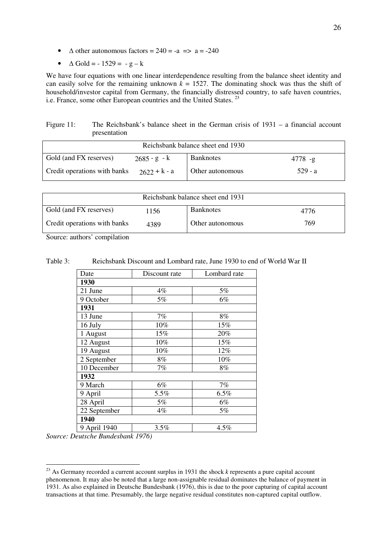- $\triangle$  other autonomous factors = 240 = -a => a = -240
- $\triangle$  Gold = -1529 = -g k

We have four equations with one linear interdependence resulting from the balance sheet identity and can easily solve for the remaining unknown  $k = 1527$ . The dominating shock was thus the shift of household/investor capital from Germany, the financially distressed country, to safe haven countries, i.e. France, some other European countries and the United States.<sup>23</sup>

Figure 11: The Reichsbank's balance sheet in the German crisis of 1931 – a financial account presentation

| Reichsbank balance sheet end 1930 |                |                  |            |  |  |
|-----------------------------------|----------------|------------------|------------|--|--|
| Gold (and FX reserves)            | $2685 - g - k$ | <b>Banknotes</b> | $4778 - g$ |  |  |
| Credit operations with banks      | $2622 + k - a$ | Other autonomous | .529 - a   |  |  |

| Reichsbank balance sheet end 1931 |      |                  |      |  |  |
|-----------------------------------|------|------------------|------|--|--|
| Gold (and FX reserves)            | 1156 | <b>Banknotes</b> | 4776 |  |  |
| Credit operations with banks      | 4389 | Other autonomous | 769  |  |  |

Source: authors' compilation

Table 3: Reichsbank Discount and Lombard rate, June 1930 to end of World War II

| Date         | Discount rate | Lombard rate |
|--------------|---------------|--------------|
| 1930         |               |              |
| 21 June      | 4%            | 5%           |
| 9 October    | 5%            | 6%           |
| 1931         |               |              |
| 13 June      | 7%            | 8%           |
| 16 July      | 10%           | 15%          |
| 1 August     | 15%           | 20%          |
| 12 August    | 10%           | 15%          |
| 19 August    | 10%           | 12%          |
| 2 September  | 8%            | 10%          |
| 10 December  | 7%            | 8%           |
| 1932         |               |              |
| 9 March      | 6%            | 7%           |
| 9 April      | 5.5%          | 6.5%         |
| 28 April     | 5%            | 6%           |
| 22 September | 4%            | 5%           |
| 1940         |               |              |
| 9 April 1940 | 3.5%          | 4.5%         |

*Source: Deutsche Bundesbank 1976)*

<sup>23</sup> As Germany recorded a current account surplus in 1931 the shock *k* represents a pure capital account phenomenon. It may also be noted that a large non-assignable residual dominates the balance of payment in 1931. As also explained in Deutsche Bundesbank (1976), this is due to the poor capturing of capital account transactions at that time. Presumably, the large negative residual constitutes non-captured capital outflow.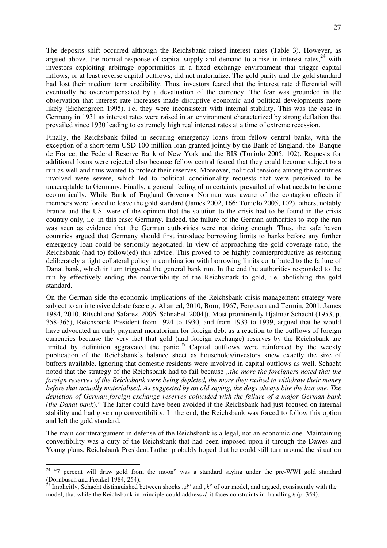The deposits shift occurred although the Reichsbank raised interest rates (Table 3). However, as argued above, the normal response of capital supply and demand to a rise in interest rates,  $24$  with investors exploiting arbitrage opportunities in a fixed exchange environment that trigger capital inflows, or at least reverse capital outflows, did not materialize. The gold parity and the gold standard had lost their medium term credibility. Thus, investors feared that the interest rate differential will eventually be overcompensated by a devaluation of the currency. The fear was grounded in the observation that interest rate increases made disruptive economic and political developments more likely (Eichengreen 1995), i.e. they were inconsistent with internal stability. This was the case in Germany in 1931 as interest rates were raised in an environment characterized by strong deflation that prevailed since 1930 leading to extremely high real interest rates at a time of extreme recession.

Finally, the Reichsbank failed in securing emergency loans from fellow central banks, with the exception of a short-term USD 100 million loan granted jointly by the Bank of England, the Banque de France, the Federal Reserve Bank of New York and the BIS (Toniolo 2005, 102). Requests for additional loans were rejected also because fellow central feared that they could become subject to a run as well and thus wanted to protect their reserves. Moreover, political tensions among the countries involved were severe, which led to political conditionality requests that were perceived to be unacceptable to Germany. Finally, a general feeling of uncertainty prevailed of what needs to be done economically. While Bank of England Governor Norman was aware of the contagion effects if members were forced to leave the gold standard (James 2002, 166; Toniolo 2005, 102), others, notably France and the US, were of the opinion that the solution to the crisis had to be found in the crisis country only, i.e. in this case: Germany. Indeed, the failure of the German authorities to stop the run was seen as evidence that the German authorities were not doing enough. Thus, the safe haven countries argued that Germany should first introduce borrowing limits to banks before any further emergency loan could be seriously negotiated. In view of approaching the gold coverage ratio, the Reichsbank (had to) follow(ed) this advice. This proved to be highly counterproductive as restoring deliberately a tight collateral policy in combination with borrowing limits contributed to the failure of Danat bank, which in turn triggered the general bank run. In the end the authorities responded to the run by effectively ending the convertibility of the Reichsmark to gold, i.e. abolishing the gold standard.

On the German side the economic implications of the Reichsbank crisis management strategy were subject to an intensive debate (see e.g. Ahamed, 2010, Born, 1967, Ferguson and Termin, 2001, James 1984, 2010, Ritschl and Safarez, 2006, Schnabel, 2004]). Most prominently Hjalmar Schacht (1953, p. 358-365), Reichsbank President from 1924 to 1930, and from 1933 to 1939, argued that he would have advocated an early payment moratorium for foreign debt as a reaction to the outflows of foreign currencies because the very fact that gold (and foreign exchange) reserves by the Reichsbank are limited by definition aggravated the panic.<sup>25</sup> Capital outflows were reinforced by the weekly publication of the Reichsbank's balance sheet as households/investors knew exactly the size of buffers available. Ignoring that domestic residents were involved in capital outflows as well, Schacht noted that the strategy of the Reichsbank had to fail because *"the more the foreigners noted that the foreign reserves of the Reichsbank were being depleted, the more they rushed to withdraw their money before that actually materialised. As suggested by an old saying, the dogs always bite the last one. The depletion of German foreign exchange reserves coincided with the failure of a major German bank (the Danat bank*)." The latter could have been avoided if the Reichsbank had just focused on internal stability and had given up convertibility. In the end, the Reichsbank was forced to follow this option and left the gold standard.

The main counterargument in defense of the Reichsbank is a legal, not an economic one. Maintaining convertibility was a duty of the Reichsbank that had been imposed upon it through the Dawes and Young plans. Reichsbank President Luther probably hoped that he could still turn around the situation

 $24$  "7 percent will draw gold from the moon" was a standard saying under the pre-WWI gold standard (Dornbusch and Frenkel 1984, 254).

 $^{25}$  Implicitly, Schacht distinguished between shocks  $,d''$  and  $,k''$  of our model, and argued, consistently with the model, that while the Reichsbank in principle could address *d,* it faces constraints in handling *k* (p. 359).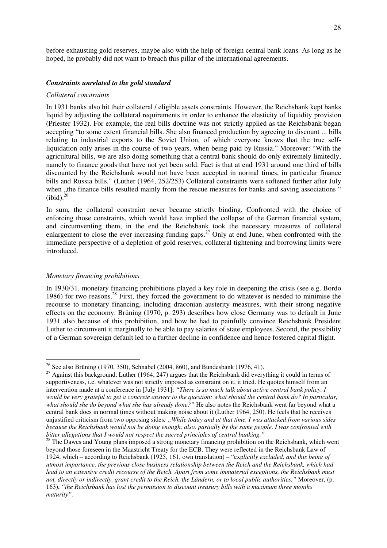before exhausting gold reserves, maybe also with the help of foreign central bank loans. As long as he hoped, he probably did not want to breach this pillar of the international agreements.

#### *Constraints unrelated to the gold standard*

#### *Collateral constraints*

In 1931 banks also hit their collateral / eligible assets constraints. However, the Reichsbank kept banks liquid by adjusting the collateral requirements in order to enhance the elasticity of liquidity provision (Priester 1932). For example, the real bills doctrine was not strictly applied as the Reichsbank began accepting "to some extent financial bills. She also financed production by agreeing to discount ... bills relating to industrial exports to the Soviet Union, of which everyone knows that the true selfliquidation only arises in the course of two years, when being paid by Russia." Moreover: "With the agricultural bills, we are also doing something that a central bank should do only extremely limitedly, namely to finance goods that have not yet been sold. Fact is that at end 1931 around one third of bills discounted by the Reichsbank would not have been accepted in normal times, in particular finance bills and Russia bills." (Luther (1964, 252/253) Collateral constraints were softened further after July when "the finance bills resulted mainly from the rescue measures for banks and saving associations"  $(ibid).^{26}$ 

In sum, the collateral constraint never became strictly binding. Confronted with the choice of enforcing those constraints, which would have implied the collapse of the German financial system, and circumventing them, in the end the Reichsbank took the necessary measures of collateral enlargement to close the ever increasing funding gaps.<sup>27</sup> Only at end June, when confronted with the immediate perspective of a depletion of gold reserves, collateral tightening and borrowing limits were introduced.

#### *Monetary financing prohibitions*

 $\overline{a}$ 

In 1930/31, monetary financing prohibitions played a key role in deepening the crisis (see e.g. Bordo 1986) for two reasons.<sup>28</sup> First, they forced the government to do whatever is needed to minimise the recourse to monetary financing, including draconian austerity measures, with their strong negative effects on the economy. Brüning (1970, p. 293) describes how close Germany was to default in June 1931 also because of this prohibition, and how he had to painfully convince Reichsbank President Luther to circumvent it marginally to be able to pay salaries of state employees. Second, the possibility of a German sovereign default led to a further decline in confidence and hence fostered capital flight.

<sup>&</sup>lt;sup>26</sup> See also Brüning (1970, 350), Schnabel (2004, 860), and Bundesbank (1976, 41).

<sup>&</sup>lt;sup>27</sup> Against this background, Luther (1964, 247) argues that the Reichsbank did everything it could in terms of supportiveness, i.e. whatever was not strictly imposed as constraint on it, it tried. He quotes himself from an intervention made at a conference in [July 1931]: *"There is so much talk about active central bank policy. I would be very grateful to get a concrete answer to the question: what should the central bank do? In particular, what should she do beyond what she has already done?"* He also notes the Reichsbank went far beyond what a central bank does in normal times without making noise about it (Luther 1964, 250). He feels that he receives unjustified criticism from two opposing sides*: "While today and at that time, I was attacked from various sides because the Reichsbank would not be doing enough, also, partially by the same people, I was confronted with bitter allegations that I would not respect the sacred principles of central banking."*

<sup>&</sup>lt;sup>28</sup> The Dawes and Young plans imposed a strong monetary financing prohibition on the Reichsbank, which went beyond those foreseen in the Maastricht Treaty for the ECB. They were reflected in the Reichsbank Law of 1924, which – according to Reichsbank (1925, 161, own translation) – "exp*licitly excluded, and this being of utmost importance, the previous close business relationship between the Reich and the Reichsbank, which had lead to an extensive credit recourse of the Reich. Apart from some immaterial exceptions, the Reichsbank must not, directly or indirectly, grant credit to the Reich, the Ländern, or to local public authorities."* Moreover, (p. 163), *"the Reichsbank has lost the permission to discount treasury bills with a maximum three months maturity".*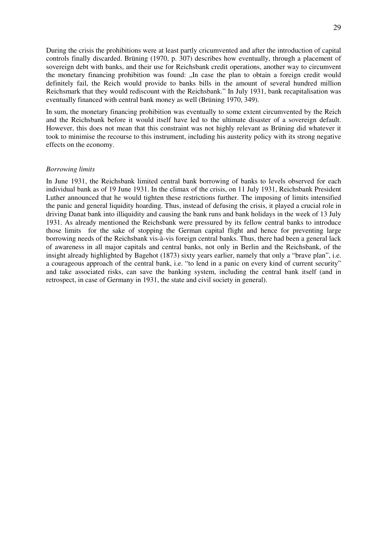During the crisis the prohibitions were at least partly cricumvented and after the introduction of capital controls finally discarded. Brüning (1970, p. 307) describes how eventually, through a placement of sovereign debt with banks, and their use for Reichsbank credit operations, another way to circumvent the monetary financing prohibition was found: "In case the plan to obtain a foreign credit would definitely fail, the Reich would provide to banks bills in the amount of several hundred million Reichsmark that they would rediscount with the Reichsbank." In July 1931, bank recapitalisation was eventually financed with central bank money as well (Brüning 1970, 349).

In sum, the monetary financing prohibition was eventually to some extent circumvented by the Reich and the Reichsbank before it would itself have led to the ultimate disaster of a sovereign default. However, this does not mean that this constraint was not highly relevant as Brüning did whatever it took to minimise the recourse to this instrument, including his austerity policy with its strong negative effects on the economy.

#### *Borrowing limits*

In June 1931, the Reichsbank limited central bank borrowing of banks to levels observed for each individual bank as of 19 June 1931. In the climax of the crisis, on 11 July 1931, Reichsbank President Luther announced that he would tighten these restrictions further. The imposing of limits intensified the panic and general liquidity hoarding. Thus, instead of defusing the crisis, it played a crucial role in driving Danat bank into illiquidity and causing the bank runs and bank holidays in the week of 13 July 1931. As already mentioned the Reichsbank were pressured by its fellow central banks to introduce those limits for the sake of stopping the German capital flight and hence for preventing large borrowing needs of the Reichsbank vis-à-vis foreign central banks. Thus, there had been a general lack of awareness in all major capitals and central banks, not only in Berlin and the Reichsbank, of the insight already highlighted by Bagehot (1873) sixty years earlier, namely that only a "brave plan", i.e. a courageous approach of the central bank, i.e. "to lend in a panic on every kind of current security" and take associated risks, can save the banking system, including the central bank itself (and in retrospect, in case of Germany in 1931, the state and civil society in general).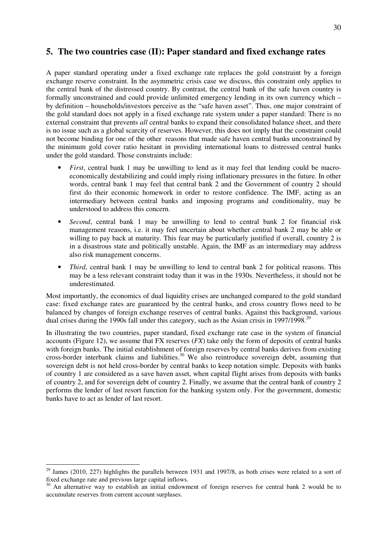# **5. The two countries case (II): Paper standard and fixed exchange rates**

A paper standard operating under a fixed exchange rate replaces the gold constraint by a foreign exchange reserve constraint. In the asymmetric crisis case we discuss, this constraint only applies to the central bank of the distressed country. By contrast, the central bank of the safe haven country is formally unconstrained and could provide unlimited emergency lending in its own currency which – by definition – households/investors perceive as the "safe haven asset". Thus, one major constraint of the gold standard does not apply in a fixed exchange rate system under a paper standard: There is no external constraint that prevents *all* central banks to expand their consolidated balance sheet, and there is no issue such as a global scarcity of reserves. However, this does not imply that the constraint could not become binding for one of the other reasons that made safe haven central banks unconstrained by the minimum gold cover ratio hesitant in providing international loans to distressed central banks under the gold standard. Those constraints include:

- *First*, central bank 1 may be unwilling to lend as it may feel that lending could be macroeconomically destabilizing and could imply rising inflationary pressures in the future. In other words, central bank 1 may feel that central bank 2 and the Government of country 2 should first do their economic homework in order to restore confidence. The IMF, acting as an intermediary between central banks and imposing programs and conditionality, may be understood to address this concern.
- *Second*, central bank 1 may be unwilling to lend to central bank 2 for financial risk management reasons, i.e. it may feel uncertain about whether central bank 2 may be able or willing to pay back at maturity. This fear may be particularly justified if overall, country 2 is in a disastrous state and politically unstable. Again, the IMF as an intermediary may address also risk management concerns.
- *Third*, central bank 1 may be unwilling to lend to central bank 2 for political reasons. This may be a less relevant constraint today than it was in the 1930s. Nevertheless, it should not be underestimated.

Most importantly, the economics of dual liquidity crises are unchanged compared to the gold standard case: fixed exchange rates are guaranteed by the central banks, and cross country flows need to be balanced by changes of foreign exchange reserves of central banks. Against this background, various dual crises during the 1990s fall under this category, such as the Asian crisis in 1997/1998.<sup>29</sup>

In illustrating the two countries, paper standard, fixed exchange rate case in the system of financial accounts (Figure 12), we assume that FX reserves (*FX*) take only the form of deposits of central banks with foreign banks. The initial establishment of foreign reserves by central banks derives from existing cross-border interbank claims and liabilities.<sup>30</sup> We also reintroduce sovereign debt, assuming that sovereign debt is not held cross-border by central banks to keep notation simple. Deposits with banks of country 1 are considered as a save haven asset, when capital flight arises from deposits with banks of country 2, and for sovereign debt of country 2. Finally, we assume that the central bank of country 2 performs the lender of last resort function for the banking system only. For the government, domestic banks have to act as lender of last resort.

 $29$  James (2010, 227) highlights the parallels between 1931 and 1997/8, as both crises were related to a sort of fixed exchange rate and previous large capital inflows.

<sup>&</sup>lt;sup>30</sup> An alternative way to establish an initial endowment of foreign reserves for central bank 2 would be to accumulate reserves from current account surpluses.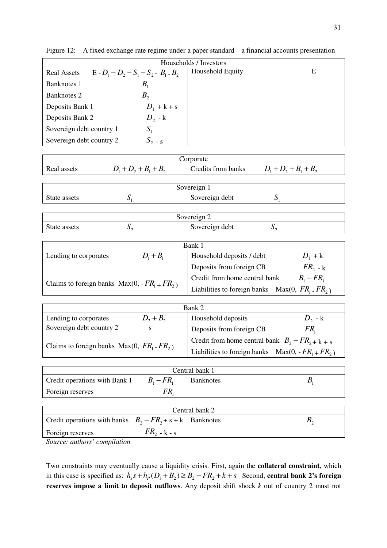| Households / Investors                                        |                                   |                  |   |  |  |
|---------------------------------------------------------------|-----------------------------------|------------------|---|--|--|
| $E - D_1 - D_2 - S_1 - S_2 - B_1 - B_2$<br><b>Real Assets</b> |                                   | Household Equity | E |  |  |
| Banknotes 1                                                   | $B_{\scriptscriptstyle\parallel}$ |                  |   |  |  |
| Banknotes 2                                                   | $B_{\gamma}$                      |                  |   |  |  |
| Deposits Bank 1                                               | $D_1 + k + s$                     |                  |   |  |  |
| Deposits Bank 2                                               | $D_2$ - $k$                       |                  |   |  |  |
| Sovereign debt country 1                                      | $S_{1}$                           |                  |   |  |  |
| Sovereign debt country 2                                      | $S_{2}$ - s                       |                  |   |  |  |

Figure 12: A fixed exchange rate regime under a paper standard – a financial accounts presentation

| orporate       |                                            |                    |               |  |
|----------------|--------------------------------------------|--------------------|---------------|--|
| Real<br>assets | $B_{\gamma}$<br>$\overline{\nu}$<br>∸<br>∼ | Credits from banks | υ,<br>IJ<br>∼ |  |

| Sovereign 1  |  |                |  |  |
|--------------|--|----------------|--|--|
| State assets |  | Sovereign debt |  |  |
|              |  |                |  |  |

| overeign          |   |                        |    |  |
|-------------------|---|------------------------|----|--|
| assets :<br>State | ຼ | 'overeign debt<br>. OC | ້∾ |  |

| Bank 1                                       |             |                                                       |                |  |  |
|----------------------------------------------|-------------|-------------------------------------------------------|----------------|--|--|
| Lending to corporates                        | $D_1 + B_1$ | Household deposits / debt                             | $D_1 + k$      |  |  |
|                                              |             | Deposits from foreign CB                              | $FR_{2-k}$     |  |  |
| Claims to foreign banks $Max(0, -FR1 + FR2)$ |             | Credit from home central bank                         | $B_i$ – $FR_i$ |  |  |
|                                              |             | Liabilities to foreign banks Max $(0, FR_1$ . $FR_2)$ |                |  |  |

| Bank 2                                     |             |                                                        |                 |  |
|--------------------------------------------|-------------|--------------------------------------------------------|-----------------|--|
| Lending to corporates                      | $D_2 + B_2$ | Household deposits                                     | $D_2$ - k       |  |
| Sovereign debt country 2                   | S           | Deposits from foreign CB                               | FR <sub>1</sub> |  |
| Claims to foreign banks Max $(0, FR, -FR)$ |             | Credit from home central bank $B_2$ – $FR_{2}$ + k + s |                 |  |
|                                            |             | Liabilities to foreign banks Max(0, - $FR_1 + FR_2$ )  |                 |  |

| Central bank 1                |              |                  |  |  |  |
|-------------------------------|--------------|------------------|--|--|--|
| Credit operations with Bank 1 | $B_i - FR_i$ | <b>Banknotes</b> |  |  |  |
| Foreign reserves              |              |                  |  |  |  |

| Central bank 2                                              |                  |  |  |  |
|-------------------------------------------------------------|------------------|--|--|--|
| Credit operations with banks $B_2 - FR_2 + s + k$ Banknotes |                  |  |  |  |
| Foreign reserves                                            | $FR_{2}$ - k - s |  |  |  |
|                                                             |                  |  |  |  |

*Source: authors' compilation* 

Two constraints may eventually cause a liquidity crisis. First, again the **collateral constraint**, which in this case is specified as:  $h_s s + h_p(D_1 + B_2) \ge B_2 - FR_2 + k + s$ . Second, **central bank 2's foreign reserves impose a limit to deposit outflows**. Any deposit shift shock *k* out of country 2 must not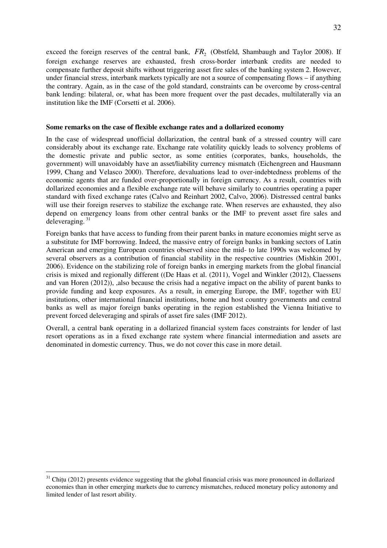exceed the foreign reserves of the central bank,  $FR<sub>2</sub>$  (Obstfeld, Shambaugh and Taylor 2008). If foreign exchange reserves are exhausted, fresh cross-border interbank credits are needed to compensate further deposit shifts without triggering asset fire sales of the banking system 2. However, under financial stress, interbank markets typically are not a source of compensating flows – if anything the contrary. Again, as in the case of the gold standard, constraints can be overcome by cross-central bank lending: bilateral, or, what has been more frequent over the past decades, multilaterally via an institution like the IMF (Corsetti et al. 2006).

#### **Some remarks on the case of flexible exchange rates and a dollarized economy**

In the case of widespread unofficial dollarization, the central bank of a stressed country will care considerably about its exchange rate. Exchange rate volatility quickly leads to solvency problems of the domestic private and public sector, as some entities (corporates, banks, households, the government) will unavoidably have an asset/liability currency mismatch (Eichengreen and Hausmann 1999, Chang and Velasco 2000). Therefore, devaluations lead to over-indebtedness problems of the economic agents that are funded over-proportionally in foreign currency. As a result, countries with dollarized economies and a flexible exchange rate will behave similarly to countries operating a paper standard with fixed exchange rates (Calvo and Reinhart 2002, Calvo, 2006). Distressed central banks will use their foreign reserves to stabilize the exchange rate. When reserves are exhausted, they also depend on emergency loans from other central banks or the IMF to prevent asset fire sales and deleveraging.  $31$ 

Foreign banks that have access to funding from their parent banks in mature economies might serve as a substitute for IMF borrowing. Indeed, the massive entry of foreign banks in banking sectors of Latin American and emerging European countries observed since the mid- to late 1990s was welcomed by several observers as a contribution of financial stability in the respective countries (Mishkin 2001, 2006). Evidence on the stabilizing role of foreign banks in emerging markets from the global financial crisis is mixed and regionally different ((De Haas et al. (2011), Vogel and Winkler (2012), Claessens and van Horen (2012)), ,also because the crisis had a negative impact on the ability of parent banks to provide funding and keep exposures. As a result, in emerging Europe, the IMF, together with EU institutions, other international financial institutions, home and host country governments and central banks as well as major foreign banks operating in the region established the Vienna Initiative to prevent forced deleveraging and spirals of asset fire sales (IMF 2012).

Overall, a central bank operating in a dollarized financial system faces constraints for lender of last resort operations as in a fixed exchange rate system where financial intermediation and assets are denominated in domestic currency. Thus, we do not cover this case in more detail.

 $31$  Chitu (2012) presents evidence suggesting that the global financial crisis was more pronounced in dollarized economies than in other emerging markets due to currency mismatches, reduced monetary policy autonomy and limited lender of last resort ability.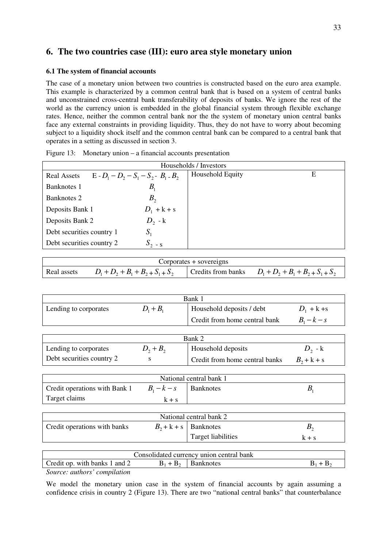# **6. The two countries case (III): euro area style monetary union**

#### **6.1 The system of financial accounts**

The case of a monetary union between two countries is constructed based on the euro area example. This example is characterized by a common central bank that is based on a system of central banks and unconstrained cross-central bank transferability of deposits of banks. We ignore the rest of the world as the currency union is embedded in the global financial system through flexible exchange rates. Hence, neither the common central bank nor the the system of monetary union central banks face any external constraints in providing liquidity. Thus, they do not have to worry about becoming subject to a liquidity shock itself and the common central bank can be compared to a central bank that operates in a setting as discussed in section 3.

| Households / Investors                                        |               |                  |   |  |
|---------------------------------------------------------------|---------------|------------------|---|--|
| $E - D_1 - D_2 - S_1 - S_2 - B_1 - B_2$<br><b>Real Assets</b> |               | Household Equity | Е |  |
| Banknotes 1                                                   | $B_{1}$       |                  |   |  |
| Banknotes 2                                                   | $B_{\gamma}$  |                  |   |  |
| Deposits Bank 1                                               | $D_1 + k + s$ |                  |   |  |
| Deposits Bank 2                                               | $D_2$ - k     |                  |   |  |
| Debt securities country 1                                     | $S_{1}$       |                  |   |  |
| Debt securities country 2                                     | $S_{2-S}$     |                  |   |  |
|                                                               |               |                  |   |  |

Figure 13: Monetary union – a financial accounts presentation

| Corporates + sovereigns |                                     |  |                                                        |  |
|-------------------------|-------------------------------------|--|--------------------------------------------------------|--|
| Real assets             | $D_1 + D_2 + B_1 + B_2 + S_1 + S_2$ |  | Credits from banks $D_1 + D_2 + B_1 + B_2 + S_1 + S_2$ |  |

| Bank 1                |             |                               |               |  |
|-----------------------|-------------|-------------------------------|---------------|--|
| Lending to corporates | $D_1 + B_1$ | Household deposits / debt     | $D_1 + k + s$ |  |
|                       |             | Credit from home central bank | $B1 - k - s$  |  |
|                       |             |                               |               |  |

| Bank 2                    |             |                                |               |  |
|---------------------------|-------------|--------------------------------|---------------|--|
| Lending to corporates     | $D_2 + B_2$ | Household deposits             | $D_{2}$ - K   |  |
| Debt securities country 2 |             | Credit from home central banks | $B_2 + k + s$ |  |

| National central bank 1       |                           |  |  |  |  |
|-------------------------------|---------------------------|--|--|--|--|
| Credit operations with Bank 1 | $B_1 - k - s$   Banknotes |  |  |  |  |
| Target claims                 | $k + s$                   |  |  |  |  |

| National central bank 2      |  |                         |       |  |
|------------------------------|--|-------------------------|-------|--|
| Credit operations with banks |  | $B_2 + k + s$ Banknotes |       |  |
|                              |  | Target liabilities      | k + s |  |

| Consolidated currency union central bank |             |                  |  |  |  |
|------------------------------------------|-------------|------------------|--|--|--|
| Credit op. with banks 1 and 2            | $B_1 + B_2$ | <b>Banknotes</b> |  |  |  |
| Source quilors' compilation              |             |                  |  |  |  |

*Source: authors' compilation* 

We model the monetary union case in the system of financial accounts by again assuming a confidence crisis in country 2 (Figure 13). There are two "national central banks" that counterbalance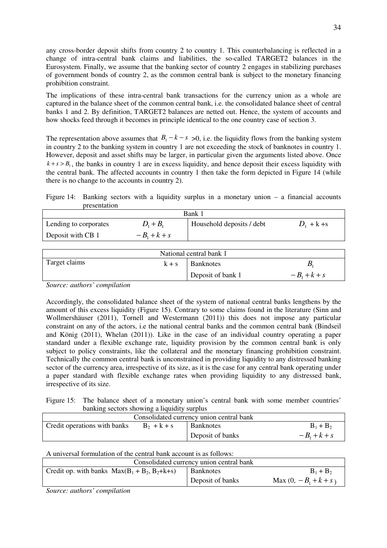any cross-border deposit shifts from country 2 to country 1. This counterbalancing is reflected in a change of intra-central bank claims and liabilities, the so-called TARGET2 balances in the Eurosystem. Finally, we assume that the banking sector of country 2 engages in stabilizing purchases of government bonds of country 2, as the common central bank is subject to the monetary financing prohibition constraint.

The implications of these intra-central bank transactions for the currency union as a whole are captured in the balance sheet of the common central bank, i.e. the consolidated balance sheet of central banks 1 and 2. By definition, TARGET2 balances are netted out. Hence, the system of accounts and how shocks feed through it becomes in principle identical to the one country case of section 3.

The representation above assumes that  $B_1 - k - s > 0$ , i.e. the liquidity flows from the banking system in country 2 to the banking system in country 1 are not exceeding the stock of banknotes in country 1. However, deposit and asset shifts may be larger, in particular given the arguments listed above. Once  $k + s > B<sub>1</sub>$ , the banks in country 1 are in excess liquidity, and hence deposit their excess liquidity with the central bank. The affected accounts in country 1 then take the form depicted in Figure 14 (while there is no change to the accounts in country 2).

Figure 14: Banking sectors with a liquidity surplus in a monetary union  $-$  a financial accounts presentation

| Bank 1                |                |                           |               |  |  |  |
|-----------------------|----------------|---------------------------|---------------|--|--|--|
| Lending to corporates | $D_1 + B_1$    | Household deposits / debt | $D_1 + k + s$ |  |  |  |
| Deposit with CB 1     | $-B_1 + k + s$ |                           |               |  |  |  |

| National central bank 1                      |  |                   |                |  |  |
|----------------------------------------------|--|-------------------|----------------|--|--|
| Target claims<br><b>Banknotes</b><br>$k + s$ |  |                   |                |  |  |
|                                              |  | Deposit of bank 1 | $-B_1 + k + s$ |  |  |

*Source: authors' compilation* 

Accordingly, the consolidated balance sheet of the system of national central banks lengthens by the amount of this excess liquidity (Figure 15). Contrary to some claims found in the literature (Sinn and Wollmershäuser (2011), Tornell and Westermann (2011)) this does not impose any particular constraint on any of the actors, i.e the national central banks and the common central bank (Bindseil and König (2011), Whelan (2011)). Like in the case of an individual country operating a paper standard under a flexible exchange rate, liquidity provision by the common central bank is only subject to policy constraints, like the collateral and the monetary financing prohibition constraint. Technically the common central bank is unconstrained in providing liquidity to any distressed banking sector of the currency area, irrespective of its size, as it is the case for any central bank operating under a paper standard with flexible exchange rates when providing liquidity to any distressed bank, irrespective of its size.

Figure 15: The balance sheet of a monetary union's central bank with some member countries' banking sectors showing a liquidity surplus

| Consolidated currency union central bank |               |                  |                |  |  |  |
|------------------------------------------|---------------|------------------|----------------|--|--|--|
| Credit operations with banks             | $B_2 + k + s$ | <b>Banknotes</b> | $B_1 + B_2$    |  |  |  |
|                                          |               | Deposit of banks | $-B_1 + k + s$ |  |  |  |

A universal formulation of the central bank account is as follows:

| Consolidated currency union central bank        |                  |                         |  |  |  |  |
|-------------------------------------------------|------------------|-------------------------|--|--|--|--|
| Credit op. with banks $Max(B_1 + B_2, B_2+k+s)$ | <b>Banknotes</b> | $B_1 + B_2$             |  |  |  |  |
|                                                 | Deposit of banks | Max $(0, -B_1 + k + s)$ |  |  |  |  |

*Source: authors' compilation*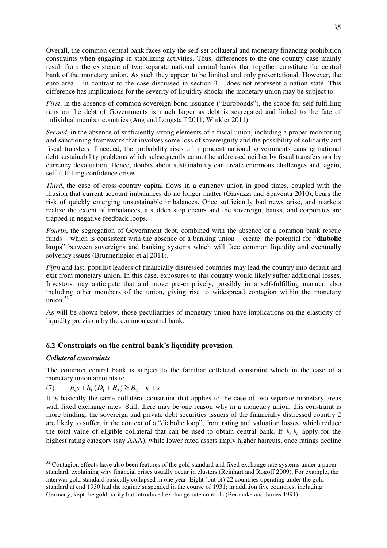Overall, the common central bank faces only the self-set collateral and monetary financing prohibition constraints when engaging in stabilizing activities. Thus, differences to the one country case mainly result from the existence of two separate national central banks that together constitute the central bank of the monetary union. As such they appear to be limited and only presentational. However, the euro area – in contrast to the case discussed in section 3 – does not represent a nation state. This difference has implications for the severity of liquidity shocks the monetary union may be subject to.

*First*, in the absence of common sovereign bond issuance ("Eurobonds"), the scope for self-fulfilling runs on the debt of Governments is much larger as debt is segregated and linked to the fate of individual member countries (Ang and Longstaff 2011, Winkler 2011).

*Second*, in the absence of sufficiently strong elements of a fiscal union, including a proper monitoring and sanctioning framework that involves some loss of sovereignity and the possibility of solidarity and fiscal transfers if needed, the probability rises of imprudent national governments causing national debt sustainability problems which subsequently cannot be addressed neither by fiscal transfers nor by currency devaluation. Hence, doubts about sustainability can create enormous challenges and, again, self-fulfilling confidence crises.

*Third*, the ease of cross-country capital flows in a currency union in good times, coupled with the illusion that current account imbalances do no longer matter (Giavazzi and Spaventa 2010), bears the risk of quickly emerging unsustainable imbalances. Once sufficiently bad news arise, and markets realize the extent of imbalances, a sudden stop occurs and the sovereign, banks, and corporates are trapped in negative feedback loops.

*Fourth*, the segregation of Government debt, combined with the absence of a common bank rescue funds – which is consistent with the absence of a banking union – create the potential for "**diabolic loops**" between sovereigns and banking systems which will face common liquidity and eventually solvency issues (Brunnermeier et al 2011).

*Fifth* and last, populist leaders of financially distressed countries may lead the country into default and exit from monetary union. In this case, exposures to this country would likely suffer additional losses. Investors may anticipate that and move pre-emptively, possibly in a self-fulfilling manner, also including other members of the union, giving rise to widespread contagion within the monetary union. $32$ 

As will be shown below, those peculiarities of monetary union have implications on the elasticity of liquidity provision by the common central bank.

## **6.2 Constraints on the central bank's liquidity provision**

### *Collateral constraints*

 $\overline{a}$ 

The common central bank is subject to the familiar collateral constraint which in the case of a monetary union amounts to

(7) 
$$
h_s s + h_L (D_1 + B_2) \ge B_2 + k + s
$$
.

It is basically the same collateral constraint that applies to the case of two separate monetary areas with fixed exchange rates. Still, there may be one reason why in a monetary union, this constraint is more binding: the sovereign and private debt securities issuers of the financially distressed country 2 are likely to suffer, in the context of a "diabolic loop", from rating and valuation losses, which reduce the total value of eligible collateral that can be used to obtain central bank. If  $h_s, h_t$  apply for the highest rating category (say AAA), while lower rated assets imply higher haircuts, once ratings decline

 $32$  Contagion effects have also been features of the gold standard and fixed exchange rate systems under a paper standard, explaining why financial crises usually occur in clusters (Reinhart and Rogoff 2009). For example, the interwar gold standard basically collapsed in one year: Eight (out of) 22 countries operating under the gold standard at end 1930 had the regime suspended in the course of 1931; in addition five countries, including Germany, kept the gold parity but introduced exchange rate controls (Bernanke and James 1991).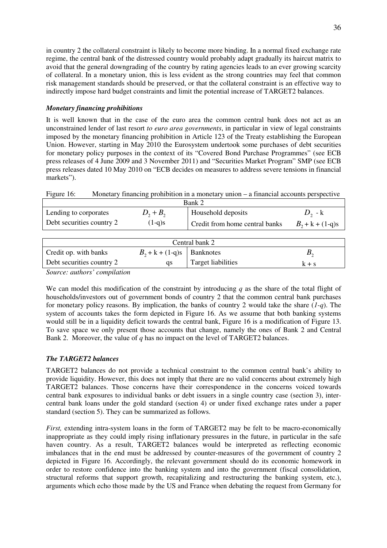in country 2 the collateral constraint is likely to become more binding. In a normal fixed exchange rate regime, the central bank of the distressed country would probably adapt gradually its haircut matrix to avoid that the general downgrading of the country by rating agencies leads to an ever growing scarcity of collateral. In a monetary union, this is less evident as the strong countries may feel that common risk management standards should be preserved, or that the collateral constraint is an effective way to indirectly impose hard budget constraints and limit the potential increase of TARGET2 balances.

## *Monetary financing prohibitions*

It is well known that in the case of the euro area the common central bank does not act as an unconstrained lender of last resort *to euro area governments*, in particular in view of legal constraints imposed by the monetary financing prohibition in Article 123 of the Treaty establishing the European Union. However, starting in May 2010 the Eurosystem undertook some purchases of debt securities for monetary policy purposes in the context of its "Covered Bond Purchase Programmes" (see ECB press releases of 4 June 2009 and 3 November 2011) and "Securities Market Program" SMP (see ECB press releases dated 10 May 2010 on "ECB decides on measures to address severe tensions in financial markets").

Figure 16: Monetary financing prohibition in a monetary union – a financial accounts perspective

| Bank 2                    |             |                                |                    |  |  |
|---------------------------|-------------|--------------------------------|--------------------|--|--|
| Lending to corporates     | $D_2 + B_2$ | Household deposits             | $D_2$ - k          |  |  |
| Debt securities country 2 | $(1-q)s$    | Credit from home central banks | $B_2 + k + (1-q)s$ |  |  |

| Central bank 2            |                                |                    |         |  |  |  |
|---------------------------|--------------------------------|--------------------|---------|--|--|--|
| Credit op. with banks     | $B_2 + k + (1-q)s$   Banknotes |                    |         |  |  |  |
| Debt securities country 2 | as                             | Target liabilities | $k + s$ |  |  |  |

*Source: authors' compilation* 

We can model this modification of the constraint by introducing *q* as the share of the total flight of households/investors out of government bonds of country 2 that the common central bank purchases for monetary policy reasons. By implication, the banks of country 2 would take the share (*1-q*). The system of accounts takes the form depicted in Figure 16. As we assume that both banking systems would still be in a liquidity deficit towards the central bank, Figure 16 is a modification of Figure 13. To save space we only present those accounts that change, namely the ones of Bank 2 and Central Bank 2. Moreover, the value of *q* has no impact on the level of TARGET2 balances.

## *The TARGET2 balances*

TARGET2 balances do not provide a technical constraint to the common central bank's ability to provide liquidity. However, this does not imply that there are no valid concerns about extremely high TARGET2 balances. Those concerns have their correspondence in the concerns voiced towards central bank exposures to individual banks or debt issuers in a single country case (section 3), intercentral bank loans under the gold standard (section 4) or under fixed exchange rates under a paper standard (section 5). They can be summarized as follows.

*First,* extending intra-system loans in the form of TARGET2 may be felt to be macro-economically inappropriate as they could imply rising inflationary pressures in the future, in particular in the safe haven country. As a result, TARGET2 balances would be interpreted as reflecting economic imbalances that in the end must be addressed by counter-measures of the government of country 2 depicted in Figure 16. Accordingly, the relevant government should do its economic homework in order to restore confidence into the banking system and into the government (fiscal consolidation, structural reforms that support growth, recapitalizing and restructuring the banking system, etc.), arguments which echo those made by the US and France when debating the request from Germany for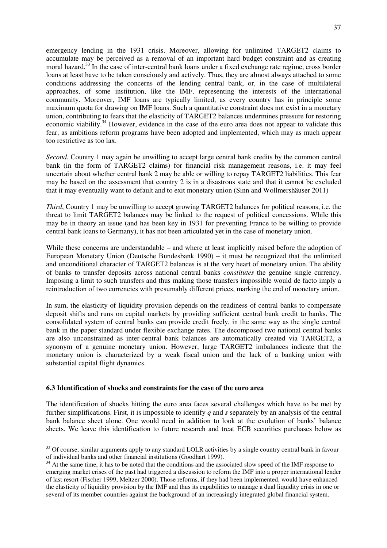emergency lending in the 1931 crisis. Moreover, allowing for unlimited TARGET2 claims to accumulate may be perceived as a removal of an important hard budget constraint and as creating moral hazard.<sup>33</sup> In the case of inter-central bank loans under a fixed exchange rate regime, cross border loans at least have to be taken consciously and actively. Thus, they are almost always attached to some conditions addressing the concerns of the lending central bank, or, in the case of multilateral approaches, of some institution, like the IMF, representing the interests of the international community. Moreover, IMF loans are typically limited, as every country has in principle some maximum quota for drawing on IMF loans. Such a quantitative constraint does not exist in a monetary union, contributing to fears that the elasticity of TARGET2 balances undermines pressure for restoring economic viability.<sup>34</sup> However, evidence in the case of the euro area does not appear to validate this fear, as ambitions reform programs have been adopted and implemented, which may as much appear too restrictive as too lax.

*Second*, Country 1 may again be unwilling to accept large central bank credits by the common central bank (in the form of TARGET2 claims) for financial risk management reasons, i.e. it may feel uncertain about whether central bank 2 may be able or willing to repay TARGET2 liabilities. This fear may be based on the assessment that country 2 is in a disastrous state and that it cannot be excluded that it may eventually want to default and to exit monetary union (Sinn and Wollmershäuser 2011)

*Third*, Country 1 may be unwilling to accept growing TARGET2 balances for political reasons, i.e. the threat to limit TARGET2 balances may be linked to the request of political concessions. While this may be in theory an issue (and has been key in 1931 for preventing France to be willing to provide central bank loans to Germany), it has not been articulated yet in the case of monetary union.

While these concerns are understandable – and where at least implicitly raised before the adoption of European Monetary Union (Deutsche Bundesbank 1990) – it must be recognized that the unlimited and unconditional character of TARGET2 balances is at the very heart of monetary union. The ability of banks to transfer deposits across national central banks *constitutes* the genuine single currency. Imposing a limit to such transfers and thus making those transfers impossible would de facto imply a reintroduction of two currencies with presumably different prices, marking the end of monetary union.

In sum, the elasticity of liquidity provision depends on the readiness of central banks to compensate deposit shifts and runs on capital markets by providing sufficient central bank credit to banks. The consolidated system of central banks can provide credit freely, in the same way as the single central bank in the paper standard under flexible exchange rates. The decomposed two national central banks are also unconstrained as inter-central bank balances are automatically created via TARGET2, a synonym of a genuine monetary union. However, large TARGET2 imbalances indicate that the monetary union is characterized by a weak fiscal union and the lack of a banking union with substantial capital flight dynamics.

#### **6.3 Identification of shocks and constraints for the case of the euro area**

 $\overline{a}$ 

The identification of shocks hitting the euro area faces several challenges which have to be met by further simplifications. First, it is impossible to identify *q* and *s* separately by an analysis of the central bank balance sheet alone. One would need in addition to look at the evolution of banks' balance sheets. We leave this identification to future research and treat ECB securities purchases below as

 $33$  Of course, similar arguments apply to any standard LOLR activities by a single country central bank in favour of individual banks and other financial institutions (Goodhart 1999).

 $34$  At the same time, it has to be noted that the conditions and the associated slow speed of the IMF response to emerging market crises of the past had triggered a discussion to reform the IMF into a proper international lender of last resort (Fischer 1999, Meltzer 2000). Those reforms, if they had been implemented, would have enhanced the elasticity of liquidity provision by the IMF and thus its capabilities to manage a dual liquidity crisis in one or several of its member countries against the background of an increasingly integrated global financial system.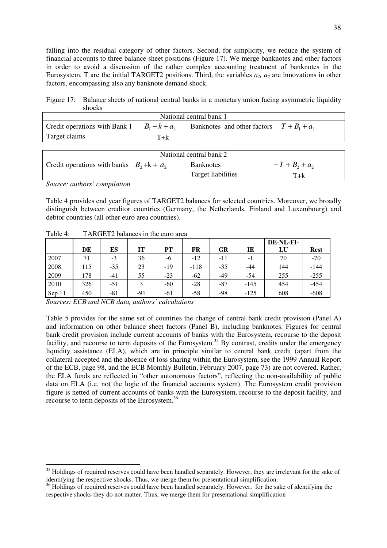falling into the residual category of other factors. Second, for simplicity, we reduce the system of financial accounts to three balance sheet positions (Figure 17). We merge banknotes and other factors in order to avoid a discussion of the rather complex accounting treatment of banknotes in the Eurosystem. T are the initial TARGET2 positions. Third, the variables *a1, a2* are innovations in other factors, encompassing also any banknote demand shock.

Figure 17: Balance sheets of national central banks in a monetary union facing asymmetric liquidity shocks

| National central bank 1                       |     |                                                    |  |  |  |  |
|-----------------------------------------------|-----|----------------------------------------------------|--|--|--|--|
| Credit operations with Bank 1 $B_1 - k + a_1$ |     | <b>Banknotes</b> and other factors $T + B_1 + a_1$ |  |  |  |  |
| Target claims                                 | T+k |                                                    |  |  |  |  |

| National central bank 2                      |                    |                  |  |  |  |  |
|----------------------------------------------|--------------------|------------------|--|--|--|--|
| Credit operations with banks $B_2 + k + a_2$ | <b>Banknotes</b>   | $-T + B_2 + a_2$ |  |  |  |  |
|                                              | Target liabilities | T+k              |  |  |  |  |

*Source: authors' compilation* 

 $\overline{a}$ 

Table 4 provides end year figures of TARGET2 balances for selected countries. Moreover, we broadly distinguish between creditor countries (Germany, the Netherlands, Finland and Luxembourg) and debtor countries (all other euro area countries).

| Table 4: | TARGET2 balances in the euro area |
|----------|-----------------------------------|
|----------|-----------------------------------|

|        |     |       |                   |       |        |           |        | DE-NL-FI- |             |
|--------|-----|-------|-------------------|-------|--------|-----------|--------|-----------|-------------|
|        | DE  | ES    | IT                | PТ    | FR     | <b>GR</b> | IE     | LU        | <b>Rest</b> |
| 2007   | 71  | $-3$  | 36                | -6    | $-12$  | -11       | $-1$   | 70        | $-70$       |
| 2008   | 115 | $-35$ | 23                | $-19$ | $-118$ | $-35$     | $-44$  | 144       | $-144$      |
| 2009   | 178 | $-41$ | 55                | $-23$ | $-62$  | $-49$     | -54    | 255       | $-255$      |
| 2010   | 326 | -51   | $\mathbf{\Omega}$ | $-60$ | $-28$  | $-87$     | $-145$ | 454       | $-454$      |
| Sep 11 | 450 | -81   | -91               | -61   | $-58$  | -98       | $-125$ | 608       | $-608$      |

*Sources: ECB and NCB data, authors' calculations* 

Table 5 provides for the same set of countries the change of central bank credit provision (Panel A) and information on other balance sheet factors (Panel B), including banknotes. Figures for central bank credit provision include current accounts of banks with the Eurosystem, recourse to the deposit facility, and recourse to term deposits of the Eurosystem.<sup>35</sup> By contrast, credits under the emergency liquidity assistance (ELA), which are in principle similar to central bank credit (apart from the collateral accepted and the absence of loss sharing within the Eurosystem, see the 1999 Annual Report of the ECB, page 98, and the ECB Monthly Bulletin, February 2007, page 73) are not covered. Rather, the ELA funds are reflected in "other autonomous factors", reflecting the non-availability of public data on ELA (i.e. not the logic of the financial accounts system). The Eurosystem credit provision figure is netted of current accounts of banks with the Eurosystem, recourse to the deposit facility, and recourse to term deposits of the Eurosystem.<sup>36</sup>

<sup>&</sup>lt;sup>35</sup> Holdings of required reserves could have been handled separately. However, they are irrelevant for the sake of identifying the respective shocks. Thus, we merge them for presentational simplification.

<sup>&</sup>lt;sup>36</sup> Holdings of required reserves could have been handled separately. However, for the sake of identifying the respective shocks they do not matter. Thus, we merge them for presentational simplification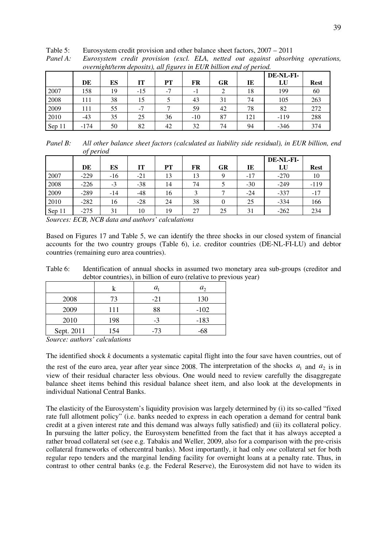|        |        |    |       |      |       |    |     | DE-NL-FI- |             |
|--------|--------|----|-------|------|-------|----|-----|-----------|-------------|
|        | DE     | ES | IT    | PT   | FR    | GR | IE  | LU        | <b>Rest</b> |
| 2007   | 158    | 19 | $-15$ | $-7$ | - 1   |    | 18  | 199       | 60          |
| 2008   | 111    | 38 | 15    |      | 43    | 31 | 74  | 105       | 263         |
| 2009   | 111    | 55 | $-1$  |      | 59    | 42 | 78  | 82        | 272         |
| 2010   | -43    | 35 | 25    | 36   | $-10$ | 87 | 121 | $-119$    | 288         |
| Sep 11 | $-174$ | 50 | 82    | 42   | 32    | 74 | 94  | $-346$    | 374         |

Table 5: Eurosystem credit provision and other balance sheet factors, 2007 – 2011

| Panel A: | Eurosystem credit provision (excl. ELA, netted out against absorbing operations, |  |  |  |  |  |
|----------|----------------------------------------------------------------------------------|--|--|--|--|--|
|          | overnight/term deposits), all figures in EUR billion end of period.              |  |  |  |  |  |

*Panel B: All other balance sheet factors (calculated as liability side residual), in EUR billion, end of period* 

|        |        |       |           |    |    |           |       | DE-NL-FI- |             |
|--------|--------|-------|-----------|----|----|-----------|-------|-----------|-------------|
|        | DE     | ES    | <b>IT</b> | PT | FR | <b>GR</b> | IE    | LU        | <b>Rest</b> |
| 2007   | $-229$ | $-16$ | $-21$     | 13 | 13 |           | $-17$ | $-270$    | 10          |
| 2008   | $-226$ | $-3$  | $-38$     | 14 | 74 |           | $-30$ | $-249$    | $-119$      |
| 2009   | $-289$ | $-14$ | $-48$     | 16 |    |           | $-24$ | $-337$    | $-17$       |
| 2010   | $-282$ | 16    | $-28$     | 24 | 38 |           | 25    | $-334$    | 166         |
| Sep 11 | $-275$ | 31    | 10        | 19 | 27 | 25        | 31    | $-262$    | 234         |

*Sources: ECB, NCB data and authors' calculations* 

Based on Figures 17 and Table 5, we can identify the three shocks in our closed system of financial accounts for the two country groups (Table 6), i.e. creditor countries (DE-NL-FI-LU) and debtor countries (remaining euro area countries).

Table 6: Identification of annual shocks in assumed two monetary area sub-groups (creditor and debtor countries), in billion of euro (relative to previous year)

|            |     | $a_{\scriptscriptstyle 1}$ | $a_{\gamma}$ |
|------------|-----|----------------------------|--------------|
| 2008       | 73  | $-21$                      | 130          |
| 2009       | 111 | 88                         | $-102$       |
| 2010       | 198 | $-3$                       | $-183$       |
| Sept. 2011 | 154 | $-73$                      | -68          |

*Source: authors' calculations* 

The identified shock *k* documents a systematic capital flight into the four save haven countries, out of the rest of the euro area, year after year since 2008. The interpretation of the shocks  $a_1$  and  $a_2$  is in view of their residual character less obvious. One would need to review carefully the disaggregate balance sheet items behind this residual balance sheet item, and also look at the developments in individual National Central Banks.

The elasticity of the Eurosystem's liquidity provision was largely determined by (i) its so-called "fixed rate full allotment policy" (i.e. banks needed to express in each operation a demand for central bank credit at a given interest rate and this demand was always fully satisfied) and (ii) its collateral policy. In pursuing the latter policy, the Eurosystem benefitted from the fact that it has always accepted a rather broad collateral set (see e.g. Tabakis and Weller, 2009, also for a comparison with the pre-crisis collateral frameworks of othercentral banks). Most importantly, it had only *one* collateral set for both regular repo tenders and the marginal lending facility for overnight loans at a penalty rate. Thus, in contrast to other central banks (e.g. the Federal Reserve), the Eurosystem did not have to widen its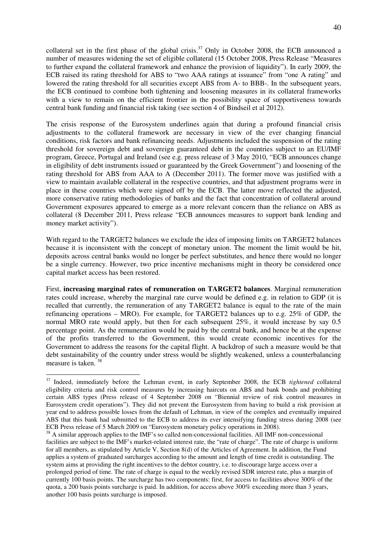collateral set in the first phase of the global crisis.<sup>37</sup> Only in October 2008, the ECB announced a number of measures widening the set of eligible collateral (15 October 2008, Press Release "Measures to further expand the collateral framework and enhance the provision of liquidity"). In early 2009, the ECB raised its rating threshold for ABS to "two AAA ratings at issuance" from "one A rating" and lowered the rating threshold for all securities except ABS from A- to BBB-. In the subsequent years, the ECB continued to combine both tightening and loosening measures in its collateral frameworks with a view to remain on the efficient frontier in the possibility space of supportiveness towards central bank funding and financial risk taking (see section 4 of Bindseil et al 2012).

The crisis response of the Eurosystem underlines again that during a profound financial crisis adjustments to the collateral framework are necessary in view of the ever changing financial conditions, risk factors and bank refinancing needs. Adjustments included the suspension of the rating threshold for sovereign debt and sovereign guaranteed debt in the countries subject to an EU/IMF program, Greece, Portugal and Ireland (see e.g. press release of 3 May 2010, "ECB announces change in eligibility of debt instruments issued or guaranteed by the Greek Government") and loosening of the rating threshold for ABS from AAA to A (December 2011). The former move was justified with a view to maintain available collateral in the respective countries, and that adjustment programs were in place in these countries which were signed off by the ECB. The latter move reflected the adjusted, more conservative rating methodologies of banks and the fact that concentration of collateral around Government exposures appeared to emerge as a more relevant concern than the reliance on ABS as collateral (8 December 2011, Press release "ECB announces measures to support bank lending and money market activity").

With regard to the TARGET2 balances we exclude the idea of imposing limits on TARGET2 balances because it is inconsistent with the concept of monetary union. The moment the limit would be hit, deposits across central banks would no longer be perfect substitutes, and hence there would no longer be a single currency. However, two price incentive mechanisms might in theory be considered once capital market access has been restored.

First, **increasing marginal rates of remuneration on TARGET2 balances**. Marginal remuneration rates could increase, whereby the marginal rate curve would be defined e.g. in relation to GDP (it is recalled that currently, the remuneration of any TARGET2 balance is equal to the rate of the main refinancing operations – MRO). For example, for TARGET2 balances up to e.g. 25% of GDP, the normal MRO rate would apply, but then for each subsequent 25%, it would increase by say 0.5 percentage point. As the remuneration would be paid by the central bank, and hence be at the expense of the profits transferred to the Government, this would create economic incentives for the Government to address the reasons for the capital flight. A backdrop of such a measure would be that debt sustainability of the country under stress would be slightly weakened, unless a counterbalancing measure is taken. <sup>38</sup>

<sup>&</sup>lt;sup>37</sup> Indeed, immediately before the Lehman event, in early September 2008, the ECB *tightened* collateral eligibility criteria and risk control measures by increasing haircuts on ABS and bank bonds and prohibiting certain ABS types (Press release of 4 September 2008 on "Biennial review of risk control measures in Eurosystem credit operations"). They did not prevent the Eurosystem from having to build a risk provision at year end to address possible losses from the default of Lehman, in view of the complex and eventually impaired ABS that this bank had submitted to the ECB to address its ever intensifying funding stress during 2008 (see ECB Press release of 5 March 2009 on "Eurosystem monetary policy operations in 2008).

<sup>&</sup>lt;sup>38</sup> A similar approach applies to the IMF's so called non-concessional facilities. All IMF non-concessional facilities are subject to the IMF's market-related interest rate, the "rate of charge". The rate of charge is uniform for all members, as stipulated by Article V, Section 8(d) of the Articles of Agreement. In addition, the Fund applies a system of graduated surcharges according to the amount and length of time credit is outstanding. The system aims at providing the right incentives to the debtor country, i.e. to discourage large access over a prolonged period of time. The rate of charge is equal to the weekly revised SDR interest rate, plus a margin of currently 100 basis points. The surcharge has two components: first, for access to facilities above 300% of the quota, a 200 basis points surcharge is paid. In addition, for access above 300% exceeding more than 3 years, another 100 basis points surcharge is imposed.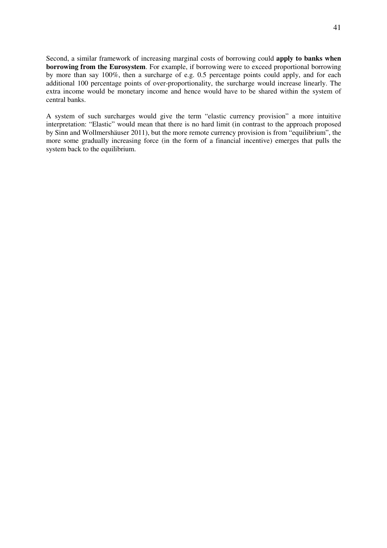Second, a similar framework of increasing marginal costs of borrowing could **apply to banks when borrowing from the Eurosystem**. For example, if borrowing were to exceed proportional borrowing by more than say 100%, then a surcharge of e.g. 0.5 percentage points could apply, and for each additional 100 percentage points of over-proportionality, the surcharge would increase linearly. The extra income would be monetary income and hence would have to be shared within the system of central banks.

A system of such surcharges would give the term "elastic currency provision" a more intuitive interpretation: "Elastic" would mean that there is no hard limit (in contrast to the approach proposed by Sinn and Wollmershäuser 2011), but the more remote currency provision is from "equilibrium", the more some gradually increasing force (in the form of a financial incentive) emerges that pulls the system back to the equilibrium.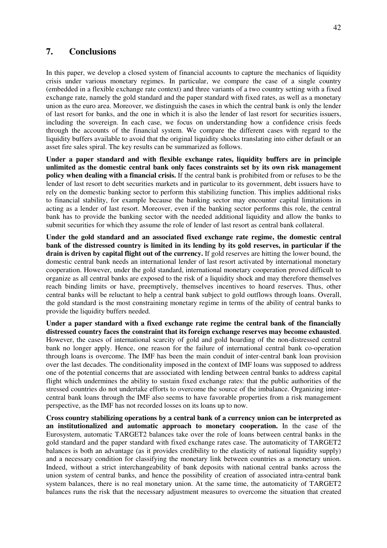# **7. Conclusions**

In this paper, we develop a closed system of financial accounts to capture the mechanics of liquidity crisis under various monetary regimes. In particular, we compare the case of a single country (embedded in a flexible exchange rate context) and three variants of a two country setting with a fixed exchange rate, namely the gold standard and the paper standard with fixed rates, as well as a monetary union as the euro area. Moreover, we distinguish the cases in which the central bank is only the lender of last resort for banks, and the one in which it is also the lender of last resort for securities issuers, including the sovereign. In each case, we focus on understanding how a confidence crisis feeds through the accounts of the financial system. We compare the different cases with regard to the liquidity buffers available to avoid that the original liquidity shocks translating into either default or an asset fire sales spiral. The key results can be summarized as follows.

**Under a paper standard and with flexible exchange rates, liquidity buffers are in principle unlimited as the domestic central bank only faces constraints set by its own risk management policy when dealing with a financial crisis.** If the central bank is prohibited from or refuses to be the lender of last resort to debt securities markets and in particular to its government, debt issuers have to rely on the domestic banking sector to perform this stabilizing function. This implies additional risks to financial stability, for example because the banking sector may encounter capital limitations in acting as a lender of last resort. Moreover, even if the banking sector performs this role, the central bank has to provide the banking sector with the needed additional liquidity and allow the banks to submit securities for which they assume the role of lender of last resort as central bank collateral.

**Under the gold standard and an associated fixed exchange rate regime, the domestic central bank of the distressed country is limited in its lending by its gold reserves, in particular if the drain is driven by capital flight out of the currency.** If gold reserves are hitting the lower bound, the domestic central bank needs an international lender of last resort activated by international monetary cooperation. However, under the gold standard, international monetary cooperation proved difficult to organize as all central banks are exposed to the risk of a liquidity shock and may therefore themselves reach binding limits or have, preemptively, themselves incentives to hoard reserves. Thus, other central banks will be reluctant to help a central bank subject to gold outflows through loans. Overall, the gold standard is the most constraining monetary regime in terms of the ability of central banks to provide the liquidity buffers needed.

**Under a paper standard with a fixed exchange rate regime the central bank of the financially distressed country faces the constraint that its foreign exchange reserves may become exhausted**. However, the cases of international scarcity of gold and gold hoarding of the non-distressed central bank no longer apply. Hence, one reason for the failure of international central bank co-operation through loans is overcome. The IMF has been the main conduit of inter-central bank loan provision over the last decades. The conditionality imposed in the context of IMF loans was supposed to address one of the potential concerns that are associated with lending between central banks to address capital flight which undermines the ability to sustain fixed exchange rates: that the public authorities of the stressed countries do not undertake efforts to overcome the source of the imbalance. Organizing intercentral bank loans through the IMF also seems to have favorable properties from a risk management perspective, as the IMF has not recorded losses on its loans up to now.

**Cross country stabilizing operations by a central bank of a currency union can be interpreted as an institutionalized and automatic approach to monetary cooperation.** In the case of the Eurosystem, automatic TARGET2 balances take over the role of loans between central banks in the gold standard and the paper standard with fixed exchange rates case. The automaticity of TARGET2 balances is both an advantage (as it provides credibility to the elasticity of national liquidity supply) and a necessary condition for classifying the monetary link between countries as a monetary union. Indeed, without a strict interchangeability of bank deposits with national central banks across the union system of central banks, and hence the possibility of creation of associated intra-central bank system balances, there is no real monetary union. At the same time, the automaticity of TARGET2 balances runs the risk that the necessary adjustment measures to overcome the situation that created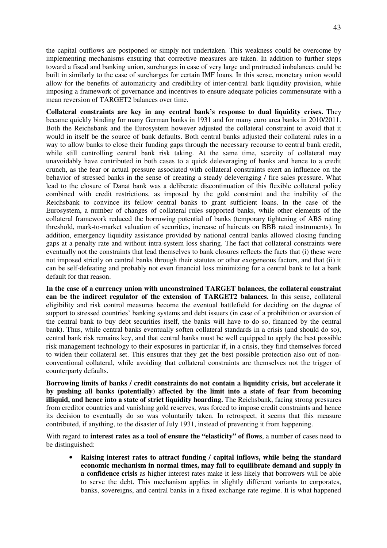the capital outflows are postponed or simply not undertaken. This weakness could be overcome by implementing mechanisms ensuring that corrective measures are taken. In addition to further steps toward a fiscal and banking union, surcharges in case of very large and protracted imbalances could be built in similarly to the case of surcharges for certain IMF loans. In this sense, monetary union would allow for the benefits of automaticity and credibility of inter-central bank liquidity provision, while imposing a framework of governance and incentives to ensure adequate policies commensurate with a mean reversion of TARGET2 balances over time.

**Collateral constraints are key in any central bank's response to dual liquidity crises.** They became quickly binding for many German banks in 1931 and for many euro area banks in 2010/2011. Both the Reichsbank and the Eurosystem however adjusted the collateral constraint to avoid that it would in itself be the source of bank defaults. Both central banks adjusted their collateral rules in a way to allow banks to close their funding gaps through the necessary recourse to central bank credit, while still controlling central bank risk taking. At the same time, scarcity of collateral may unavoidably have contributed in both cases to a quick deleveraging of banks and hence to a credit crunch, as the fear or actual pressure associated with collateral constraints exert an influence on the behavior of stressed banks in the sense of creating a steady deleveraging / fire sales pressure. What lead to the closure of Danat bank was a deliberate discontinuation of this flexible collateral policy combined with credit restrictions, as imposed by the gold constraint and the inability of the Reichsbank to convince its fellow central banks to grant sufficient loans. In the case of the Eurosystem, a number of changes of collateral rules supported banks, while other elements of the collateral framework reduced the borrowing potential of banks (temporary tightening of ABS rating threshold, mark-to-market valuation of securities, increase of haircuts on BBB rated instruments). In addition, emergency liquidity assistance provided by national central banks allowed closing funding gaps at a penalty rate and without intra-system loss sharing. The fact that collateral constraints were eventually not the constraints that lead themselves to bank closures reflects the facts that (i) these were not imposed strictly on central banks through their statutes or other exogeneous factors, and that (ii) it can be self-defeating and probably not even financial loss minimizing for a central bank to let a bank default for that reason.

**In the case of a currency union with unconstrained TARGET balances, the collateral constraint can be the indirect regulator of the extension of TARGET2 balances.** In this sense, collateral eligibility and risk control measures become the eventual battlefield for deciding on the degree of support to stressed countries' banking systems and debt issuers (in case of a prohibition or aversion of the central bank to buy debt securities itself, the banks will have to do so, financed by the central bank). Thus, while central banks eventually soften collateral standards in a crisis (and should do so), central bank risk remains key, and that central banks must be well equipped to apply the best possible risk management technology to their exposures in particular if, in a crisis, they find themselves forced to widen their collateral set. This ensures that they get the best possible protection also out of nonconventional collateral, while avoiding that collateral constraints are themselves not the trigger of counterparty defaults.

**Borrowing limits of banks / credit constraints do not contain a liquidity crisis, but accelerate it by pushing all banks (potentially) affected by the limit into a state of fear from becoming illiquid, and hence into a state of strict liquidity hoarding.** The Reichsbank, facing strong pressures from creditor countries and vanishing gold reserves, was forced to impose credit constraints and hence its decision to eventually do so was voluntarily taken. In retrospect, it seems that this measure contributed, if anything, to the disaster of July 1931, instead of preventing it from happening.

With regard to **interest rates as a tool of ensure the "elasticity" of flows**, a number of cases need to be distinguished:

• **Raising interest rates to attract funding / capital inflows, while being the standard economic mechanism in normal times, may fail to equilibrate demand and supply in a confidence crisis** as higher interest rates make it less likely that borrowers will be able to serve the debt. This mechanism applies in slightly different variants to corporates, banks, sovereigns, and central banks in a fixed exchange rate regime. It is what happened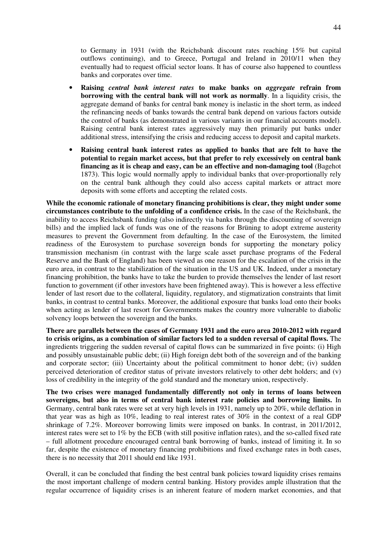to Germany in 1931 (with the Reichsbank discount rates reaching 15% but capital outflows continuing), and to Greece, Portugal and Ireland in 2010/11 when they eventually had to request official sector loans. It has of course also happened to countless banks and corporates over time.

- **Raising** *central bank interest rates* **to make banks on** *aggregate* **refrain from borrowing with the central bank will not work as normally**. In a liquidity crisis, the aggregate demand of banks for central bank money is inelastic in the short term, as indeed the refinancing needs of banks towards the central bank depend on various factors outside the control of banks (as demonstrated in various variants in our financial accounts model). Raising central bank interest rates aggressively may then primarily put banks under additional stress, intensifying the crisis and reducing access to deposit and capital markets.
- **Raising central bank interest rates as applied to banks that are felt to have the potential to regain market access, but that prefer to rely excessively on central bank financing as it is cheap and easy, can be an effective and non-damaging tool** (Bagehot 1873). This logic would normally apply to individual banks that over-proportionally rely on the central bank although they could also access capital markets or attract more deposits with some efforts and accepting the related costs.

**While the economic rationale of monetary financing prohibitions is clear, they might under some circumstances contribute to the unfolding of a confidence crisis.** In the case of the Reichsbank, the inability to access Reichsbank funding (also indirectly via banks through the discounting of sovereign bills) and the implied lack of funds was one of the reasons for Brüning to adopt extreme austerity measures to prevent the Government from defaulting. In the case of the Eurosystem, the limited readiness of the Eurosystem to purchase sovereign bonds for supporting the monetary policy transmission mechanism (in contrast with the large scale asset purchase programs of the Federal Reserve and the Bank of England) has been viewed as one reason for the escalation of the crisis in the euro area, in contrast to the stabilization of the situation in the US and UK. Indeed, under a monetary financing prohibition, the banks have to take the burden to provide themselves the lender of last resort function to government (if other investors have been frightened away). This is however a less effective lender of last resort due to the collateral, liquidity, regulatory, and stigmatization constraints that limit banks, in contrast to central banks. Moreover, the additional exposure that banks load onto their books when acting as lender of last resort for Governments makes the country more vulnerable to diabolic solvency loops between the sovereign and the banks.

**There are parallels between the cases of Germany 1931 and the euro area 2010-2012 with regard to crisis origins, as a combination of similar factors led to a sudden reversal of capital flows.** The ingredients triggering the sudden reversal of capital flows can be summarized in five points: (i) High and possibly unsustainable public debt; (ii) High foreign debt both of the sovereign and of the banking and corporate sector; (iii) Uncertainty about the political commitment to honor debt; (iv) sudden perceived deterioration of creditor status of private investors relatively to other debt holders; and (v) loss of credibility in the integrity of the gold standard and the monetary union, respectively.

**The two crises were managed fundamentally differently not only in terms of loans between sovereigns, but also in terms of central bank interest rate policies and borrowing limits.** In Germany, central bank rates were set at very high levels in 1931, namely up to 20%, while deflation in that year was as high as 10%, leading to real interest rates of 30% in the context of a real GDP shrinkage of 7.2%. Moreover borrowing limits were imposed on banks. In contrast, in 2011/2012, interest rates were set to 1% by the ECB (with still positive inflation rates), and the so-called fixed rate – full allotment procedure encouraged central bank borrowing of banks, instead of limiting it. In so far, despite the existence of monetary financing prohibitions and fixed exchange rates in both cases, there is no necessity that 2011 should end like 1931.

Overall, it can be concluded that finding the best central bank policies toward liquidity crises remains the most important challenge of modern central banking. History provides ample illustration that the regular occurrence of liquidity crises is an inherent feature of modern market economies, and that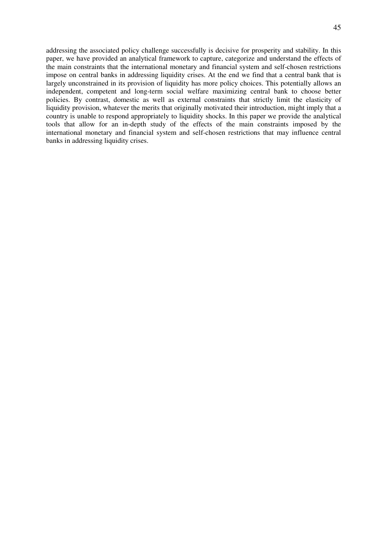addressing the associated policy challenge successfully is decisive for prosperity and stability. In this paper, we have provided an analytical framework to capture, categorize and understand the effects of the main constraints that the international monetary and financial system and self-chosen restrictions impose on central banks in addressing liquidity crises. At the end we find that a central bank that is largely unconstrained in its provision of liquidity has more policy choices. This potentially allows an independent, competent and long-term social welfare maximizing central bank to choose better policies. By contrast, domestic as well as external constraints that strictly limit the elasticity of liquidity provision, whatever the merits that originally motivated their introduction, might imply that a country is unable to respond appropriately to liquidity shocks. In this paper we provide the analytical tools that allow for an in-depth study of the effects of the main constraints imposed by the international monetary and financial system and self-chosen restrictions that may influence central banks in addressing liquidity crises.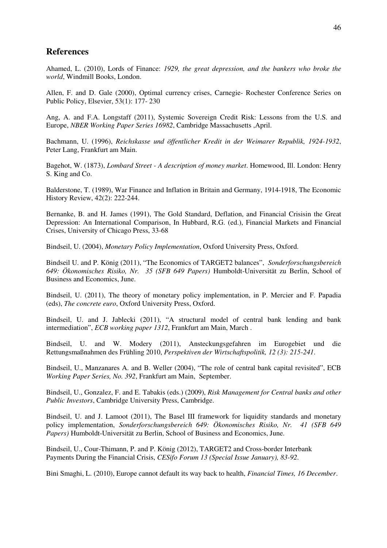# **References**

Ahamed, L. (2010), Lords of Finance: *1929, the great depression, and the bankers who broke the world*, Windmill Books, London.

Allen, F. and D. Gale (2000), Optimal currency crises, Carnegie- Rochester Conference Series on Public Policy, Elsevier, 53(1): 177- 230

Ang, A. and F.A. Longstaff (2011), Systemic Sovereign Credit Risk: Lessons from the U.S. and Europe, *NBER Working Paper Series 16982*, Cambridge Massachusetts ,April.

Bachmann, U. (1996), *Reichskasse und öffentlicher Kredit in der Weimarer Republik, 1924-1932*, Peter Lang, Frankfurt am Main.

Bagehot, W. (1873), *Lombard Street - A description of money market*. Homewood, Ill. London: Henry S. King and Co.

Balderstone, T. (1989), War Finance and Inflation in Britain and Germany, 1914-1918, The Economic History Review, 42(2): 222-244.

Bernanke, B. and H. James (1991), The Gold Standard, Deflation, and Financial Crisisin the Great Depression: An International Comparison, In Hubbard, R.G. (ed.), Financial Markets and Financial Crises, University of Chicago Press, 33-68

Bindseil, U. (2004), *Monetary Policy Implementation*, Oxford University Press, Oxford.

Bindseil U. and P. König (2011), "The Economics of TARGET2 balances", *Sonderforschungsbereich 649: Ökonomisches Risiko, Nr. 35 (SFB 649 Papers)* Humboldt-Universität zu Berlin, School of Business and Economics, June.

Bindseil, U. (2011), The theory of monetary policy implementation, in P. Mercier and F. Papadia (eds), *The concrete euro*, Oxford University Press, Oxford.

Bindseil, U. and J. Jablecki (2011), "A structural model of central bank lending and bank intermediation", *ECB working paper 1312*, Frankfurt am Main, March .

Bindseil, U. and W. Modery (2011), Ansteckungsgefahren im Eurogebiet und die Rettungsmaßnahmen des Frühling 2010, *Perspektiven der Wirtschaftspolitik, 12 (3): 215-241*.

Bindseil, U., Manzanares A. and B. Weller (2004), "The role of central bank capital revisited", ECB *Working Paper Series, No. 392*, Frankfurt am Main, September.

Bindseil, U., Gonzalez, F. and E. Tabakis (eds.) (2009), *Risk Management for Central banks and other Public Investors*, Cambridge University Press, Cambridge.

Bindseil, U. and J. Lamoot (2011), The Basel III framework for liquidity standards and monetary policy implementation, *Sonderforschungsbereich 649: Ökonomisches Risiko, Nr. 41 (SFB 649 Papers)* Humboldt-Universität zu Berlin, School of Business and Economics, June.

Bindseil, U., Cour-Thimann, P. and P. König (2012), TARGET2 and Cross-border Interbank Payments During the Financial Crisis, *CESifo Forum 13 (Special Issue January), 83-92*.

Bini Smaghi, L. (2010), Europe cannot default its way back to health, *Financial Times, 16 December*.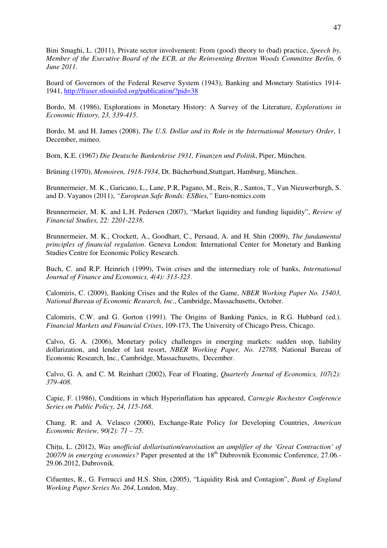Bini Smaghi, L. (2011), Private sector involvement: From (good) theory to (bad) practice, *Speech by, Member of the Executive Board of the ECB, at the Reinventing Bretton Woods Committee Berlin, 6 June 2011*.

Board of Governors of the Federal Reserve System (1943), Banking and Monetary Statistics 1914- 1941, http://fraser.stlouisfed.org/publication/?pid=38

Bordo, M. (1986), Explorations in Monetary History: A Survey of the Literature, *Explorations in Economic History, 23, 339-415*.

Bordo, M. and H. James (2008), *The U.S. Dollar and its Role in the International Monetary Order*, 1 December, mimeo.

Born, K.E. (1967) *Die Deutsche Bankenkrise 1931, Finanzen und Politik*, Piper, München.

Brüning (1970), *Memoiren, 1918-1934*, Dt. Bücherbund,Stuttgart, Hamburg, München..

Brunnermeier, M. K., Garicano, L., Lane, P.R, Pagano, M., Reis, R., Santos, T., Van Nieuwerburgh, S. and D. Vayanos (2011), *"European Safe Bonds: ESBies,"* Euro-nomics.com

Brunnermeier, M. K. and L.H. Pedersen (2007), "Market liquidity and funding liquidity", *Review of Financial Studies, 22: 2201-2238*.

Brunnermeier, M. K., Crockett, A., Goodhart, C., Persaud, A. and H. Shin (2009), *The fundamental principles of financial regulation*. Geneva London: International Center for Monetary and Banking Studies Centre for Economic Policy Research.

Buch, C. and R.P. Heinrich (1999), Twin crises and the intermediary role of banks, *International Journal of Finance and Economics, 4(4): 313-323*.

Calomiris, C. (2009), Banking Crises and the Rules of the Game, *NBER Working Paper No. 15403, National Bureau of Economic Research, Inc.,* Cambridge, Massachusetts, October.

Calomiris, C.W. and G. Gorton (1991). The Origins of Banking Panics, in R.G. Hubbard (ed.). *Financial Markets and Financial Crises*, 109-173, The University of Chicago Press, Chicago.

Calvo, G. A. (2006), Monetary policy challenges in emerging markets: sudden stop, liability dollarization, and lender of last resort, *NBER Working Paper, No. 12788,* National Bureau of Economic Research, Inc., Cambridge, Massachusetts, December.

Calvo, G. A. and C. M. Reinhart (2002), Fear of Floating, *Quarterly Journal of Economics, 107(2): 379-408*.

Capie, F. (1986), Conditions in which Hyperinflation has appeared, *Carnegie Rochester Conference Series on Public Policy, 24, 115-168*.

Chang. R. and A. Velasco (2000), Exchange-Rate Policy for Developing Countries, *American Economic Review, 90(2): 71 – 75*.

Chitu, L. (2012), *Was unofficial dollarisation/euroisation an amplifier of the 'Great Contraction' of* 2007/9 in emerging economies? Paper presented at the 18<sup>th</sup> Dubrovnik Economic Conference, 27.06.-29.06.2012, Dubrovnik.

Cifuentes, R., G. Ferrucci and H.S. Shin, (2005), "Liquidity Risk and Contagion", *Bank of England Working Paper Series No. 264*, London, May.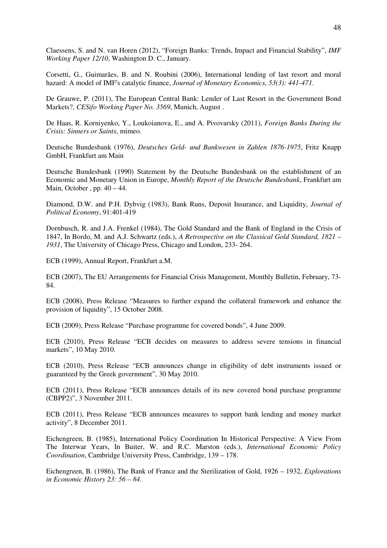Claessens, S. and N. van Horen (2012), "Foreign Banks: Trends, Impact and Financial Stability", *IMF Working Paper 12/10*, Washington D. C., January.

Corsetti, G., Guimarães, B. and N. Roubini (2006), International lending of last resort and moral hazard: A model of IMF's catalytic finance, *Journal of Monetary Economics, 53(3): 441-471*.

De Grauwe, P. (2011), The European Central Bank: Lender of Last Resort in the Government Bond Markets?, *CESifo Working Paper No. 3569*, Munich, August .

De Haas, R. Korniyenko, Y., Loukoianova, E., and A. Pivovarsky (2011), *Foreign Banks During the Crisis: Sinners or Saints*, mimeo.

Deutsche Bundesbank (1976), *Deutsches Geld- und Bankwesen in Zahlen 1876-1975*, Fritz Knapp GmbH, Frankfurt am Main

Deutsche Bundesbank (1990) Statement by the Deutsche Bundesbank on the establishment of an Economic and Monetary Union in Europe, *Monthly Report of the Deutsche Bundesbank*, Frankfurt am Main, October , pp.  $40 - 44$ .

Diamond, D.W. and P.H. Dybvig (1983), Bank Runs, Deposit Insurance, and Liquidity, *Journal of Political Economy*, 91:401-419

Dornbusch, R. and J.A. Frenkel (1984), The Gold Standard and the Bank of England in the Crisis of 1847, In Bordo, M. and A.J. Schwartz (eds.), *A Retrospective on the Classical Gold Standard, 1821 – 1931*, The University of Chicago Press, Chicago and London, 233- 264.

ECB (1999), Annual Report, Frankfurt a.M.

ECB (2007), The EU Arrangements for Financial Crisis Management, Monthly Bulletin, February, 73- 84.

ECB (2008), Press Release "Measures to further expand the collateral framework and enhance the provision of liquidity", 15 October 2008.

ECB (2009), Press Release "Purchase programme for covered bonds", 4 June 2009.

ECB (2010), Press Release "ECB decides on measures to address severe tensions in financial markets", 10 May 2010.

ECB (2010), Press Release "ECB announces change in eligibility of debt instruments issued or guaranteed by the Greek government", 30 May 2010.

ECB (2011), Press Release "ECB announces details of its new covered bond purchase programme (CBPP2)", 3 November 2011.

ECB (2011), Press Release "ECB announces measures to support bank lending and money market activity", 8 December 2011.

Eichengreen, B. (1985), International Policy Coordination In Historical Perspective: A View From The Interwar Years, In Buiter, W. and R.C. Marston (eds.), *International Economic Policy Coordination*, Cambridge University Press, Cambridge, 139 – 178.

Eichengreen, B. (1986), The Bank of France and the Sterilization of Gold, 1926 – 1932, *Explorations in Economic History 23: 56 – 84*.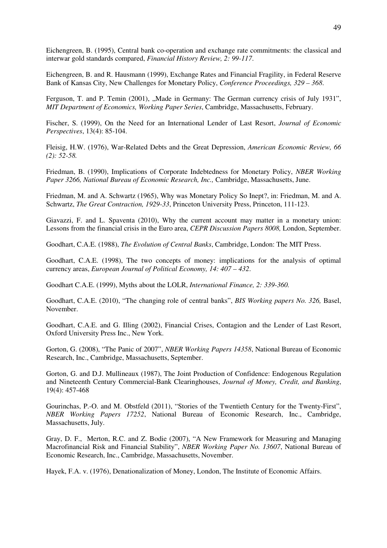Eichengreen, B. (1995), Central bank co-operation and exchange rate commitments: the classical and interwar gold standards compared, *Financial History Review, 2: 99-117*.

Eichengreen, B. and R. Hausmann (1999), Exchange Rates and Financial Fragility, in Federal Reserve Bank of Kansas City, New Challenges for Monetary Policy, *Conference Proceedings, 329 – 368*.

Ferguson, T. and P. Temin (2001), ...Made in Germany: The German currency crisis of July 1931". *MIT Department of Economics, Working Paper Series*, Cambridge, Massachusetts, February.

Fischer, S. (1999), On the Need for an International Lender of Last Resort, *Journal of Economic Perspectives*, 13(4): 85-104.

Fleisig, H.W. (1976), War-Related Debts and the Great Depression, *American Economic Review, 66 (2): 52-58.*

Friedman, B. (1990), Implications of Corporate Indebtedness for Monetary Policy, *NBER Working Paper 3266, National Bureau of Economic Research, Inc.,* Cambridge, Massachusetts, June.

Friedman, M. and A. Schwartz (1965), Why was Monetary Policy So Inept?, in: Friedman, M. and A. Schwartz, *The Great Contraction, 1929-33*, Princeton University Press, Princeton, 111-123.

Giavazzi, F. and L. Spaventa (2010), Why the current account may matter in a monetary union: Lessons from the financial crisis in the Euro area, *CEPR Discussion Papers 8008,* London, September.

Goodhart, C.A.E. (1988), *The Evolution of Central Banks*, Cambridge, London: The MIT Press.

Goodhart, C.A.E. (1998), The two concepts of money: implications for the analysis of optimal currency areas, *European Journal of Political Economy, 14: 407 – 432*.

Goodhart C.A.E. (1999), Myths about the LOLR, *International Finance, 2: 339-360.*

Goodhart, C.A.E. (2010), "The changing role of central banks", *BIS Working papers No. 326,* Basel, November.

Goodhart, C.A.E. and G. Illing (2002), Financial Crises, Contagion and the Lender of Last Resort, Oxford University Press Inc., New York.

Gorton, G. (2008), "The Panic of 2007", *NBER Working Papers 14358*, National Bureau of Economic Research, Inc., Cambridge, Massachusetts, September.

Gorton, G. and D.J. Mullineaux (1987), The Joint Production of Confidence: Endogenous Regulation and Nineteenth Century Commercial-Bank Clearinghouses, *Journal of Money, Credit, and Banking*, 19(4): 457-468

Gourinchas, P.-O. and M. Obstfeld (2011), "Stories of the Twentieth Century for the Twenty-First", *NBER Working Papers 17252*, National Bureau of Economic Research, Inc., Cambridge, Massachusetts, July.

Gray, D. F., Merton, R.C. and Z. Bodie (2007), "A New Framework for Measuring and Managing Macrofinancial Risk and Financial Stability", *NBER Working Paper No. 13607*, National Bureau of Economic Research, Inc., Cambridge, Massachusetts, November.

Hayek, F.A. v. (1976), Denationalization of Money, London, The Institute of Economic Affairs.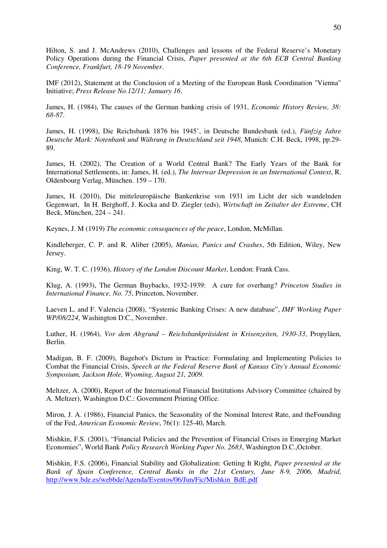Hilton, S. and J. McAndrews (2010), Challenges and lessons of the Federal Reserve's Monetary Policy Operations during the Financial Crisis, *Paper presented at the 6th ECB Central Banking Conference, Frankfurt, 18-19 November*.

IMF (2012), Statement at the Conclusion of a Meeting of the European Bank Coordination "Vienna" Initiative; *Press Release No.12/11; January 16*.

James, H. (1984), The causes of the German banking crisis of 1931, *Economic History Review, 38: 68-87*.

James, H. (1998), Die Reichsbank 1876 bis 1945', in Deutsche Bundesbank (ed.), *Fünfzig Jahre Deutsche Mark: Notenbank und Währung in Deutschland seit 1948*, Munich: C.H. Beck, 1998, pp.29- 89.

James, H. (2002), The Creation of a World Central Bank? The Early Years of the Bank for International Settlements, in: James, H. (ed.), *The Interwar Depression in an International Context*, R. Oldenbourg Verlag, München. 159 – 170.

James, H. (2010), Die mitteleuropäische Bankenkrise von 1931 im Licht der sich wandelnden Gegenwart, In H. Berghoff, J. Kocka and D. Ziegler (eds), *Wirtschaft im Zeitalter der Extreme*, CH Beck, München, 224 – 241.

Keynes, J. M (1919) *The economic consequences of the peace*, London, McMillan.

Kindleberger, C. P. and R. Aliber (2005), *Manias, Panics and Crashes*, 5th Edition, Wiley, New Jersey.

King, W. T. C. (1936), *History of the London Discount Market*, London: Frank Cass.

Klug, A. (1993), The German Buybacks, 1932-1939: A cure for overhang? *Princeton Studies in International Finance, No. 75*, Princeton, November.

Laeven L. and F. Valencia (2008), "Systemic Banking Crises: A new database", *IMF Working Paper WP/08/224*, Washington D.C., November.

Luther, H. (1964), *Vor dem Abgrund – Reichsbankpräsident in Krisenzeiten, 1930-33*, Propyläen, Berlin.

Madigan, B. F. (2009), Bagehot's Dictum in Practice: Formulating and Implementing Policies to Combat the Financial Crisis, *Speech at the Federal Reserve Bank of Kansas City's Annual Economic Symposium, Jackson Hole, Wyoming, August 21, 2009*.

Meltzer, A. (2000), Report of the International Financial Institutions Advisory Committee (chaired by A. Meltzer), Washington D.C.: Government Printing Office.

Miron, J. A. (1986), Financial Panics, the Seasonality of the Nominal Interest Rate, and theFounding of the Fed, *American Economic Review*, 76(1): 125-40, March.

Mishkin, F.S. (2001), "Financial Policies and the Prevention of Financial Crises in Emerging Market Economies", World Bank *Policy Research Working Paper No. 2683*, Washington D.C.,October.

Mishkin, F.S. (2006), Financial Stability and Globalization: Getting It Right, *Paper presented at the Bank of Spain Conference, Central Banks in the 21st Century, June 8-9, 2006, Madrid*, http://www.bde.es/webbde/Agenda/Eventos/06/Jun/Fic/Mishkin BdE.pdf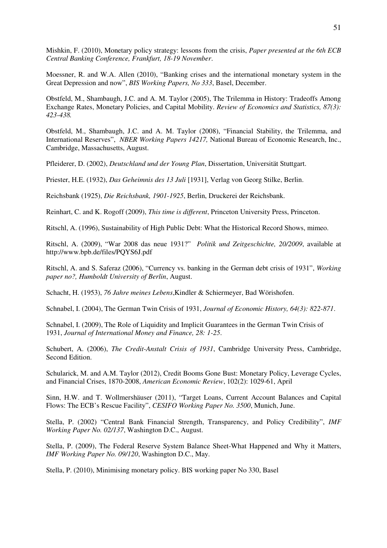Mishkin, F. (2010), Monetary policy strategy: lessons from the crisis, *Paper presented at the 6th ECB Central Banking Conference, Frankfurt, 18-19 November*.

Moessner, R. and W.A. Allen (2010), "Banking crises and the international monetary system in the Great Depression and now", *BIS Working Papers, No 333*, Basel, December.

Obstfeld, M., Shambaugh, J.C. and A. M. Taylor (2005), The Trilemma in History: Tradeoffs Among Exchange Rates, Monetary Policies, and Capital Mobility. *Review of Economics and Statistics, 87(3): 423-438.*

Obstfeld, M., Shambaugh, J.C. and A. M. Taylor (2008), "Financial Stability, the Trilemma, and International Reserves", *NBER Working Papers 14217,* National Bureau of Economic Research, Inc., Cambridge, Massachusetts, August.

Pfleiderer, D. (2002), *Deutschland und der Young Plan*, Dissertation, Universität Stuttgart.

Priester, H.E. (1932), *Das Geheimnis des 13 Juli* [1931], Verlag von Georg Stilke, Berlin.

Reichsbank (1925), *Die Reichsbank, 1901-1925*, Berlin, Druckerei der Reichsbank.

Reinhart, C. and K. Rogoff (2009), *This time is different*, Princeton University Press, Princeton.

Ritschl, A. (1996), Sustainability of High Public Debt: What the Historical Record Shows, mimeo.

Ritschl, A. (2009), "War 2008 das neue 1931?" *Politik und Zeitgeschichte, 20/2009*, available at http://www.bpb.de/files/PQYS6J.pdf

Ritschl, A. and S. Saferaz (2006), "Currency vs. banking in the German debt crisis of 1931", *Working paper no?, Humboldt University of Berlin*, August.

Schacht, H. (1953), *76 Jahre meines Lebens*,Kindler & Schiermeyer, Bad Wörishofen.

Schnabel, I. (2004), The German Twin Crisis of 1931, *Journal of Economic History, 64(3): 822-871*.

Schnabel, I. (2009), The Role of Liquidity and Implicit Guarantees in the German Twin Crisis of 1931, *Journal of International Money and Finance, 28: 1-25*.

Schubert, A. (2006), *The Credit-Anstalt Crisis of 1931*, Cambridge University Press, Cambridge, Second Edition.

Schularick, M. and A.M. Taylor (2012), Credit Booms Gone Bust: Monetary Policy, Leverage Cycles, and Financial Crises, 1870-2008, *American Economic Review*, 102(2): 1029-61, April

Sinn, H.W. and T. Wollmershäuser (2011), "Target Loans, Current Account Balances and Capital Flows: The ECB's Rescue Facility", *CESIFO Working Paper No. 3500*, Munich, June.

Stella, P. (2002) "Central Bank Financial Strength, Transparency, and Policy Credibility", *IMF Working Paper No. 02/137*, Washington D.C., August.

Stella, P. (2009), The Federal Reserve System Balance Sheet-What Happened and Why it Matters, *IMF Working Paper No. 09/120*, Washington D.C., May.

Stella, P. (2010), Minimising monetary policy. BIS working paper No 330, Basel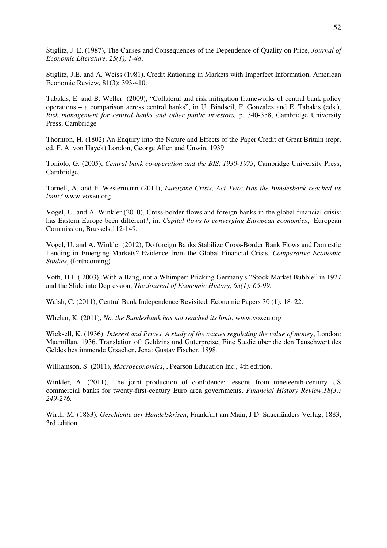Stiglitz, J. E. (1987), The Causes and Consequences of the Dependence of Quality on Price, *Journal of Economic Literature, 25(1), 1-48*.

Stiglitz, J.E. and A. Weiss (1981), Credit Rationing in Markets with Imperfect Information, American Economic Review, 81(3): 393-410.

Tabakis, E. and B. Weller (2009), "Collateral and risk mitigation frameworks of central bank policy operations – a comparison across central banks", in U. Bindseil, F. Gonzalez and E. Tabakis (eds.), *Risk management for central banks and other public investors,* p. 340-358, Cambridge University Press, Cambridge

Thornton, H. (1802) An Enquiry into the Nature and Effects of the Paper Credit of Great Britain (repr. ed. F. A. von Hayek) London, George Allen and Unwin, 1939

Toniolo, G. (2005), *Central bank co-operation and the BIS, 1930-1973*, Cambridge University Press, Cambridge.

Tornell, A. and F. Westermann (2011), *Eurozone Crisis, Act Two: Has the Bundesbank reached its limit?* www.voxeu.org

Vogel, U. and A. Winkler (2010), Cross-border flows and foreign banks in the global financial crisis: has Eastern Europe been different?, in: *Capital flows to converging European economies*, European Commission, Brussels,112-149.

Vogel, U. and A. Winkler (2012), Do foreign Banks Stabilize Cross-Border Bank Flows and Domestic Lending in Emerging Markets? Evidence from the Global Financial Crisis, *Comparative Economic Studies*, (forthcoming)

Voth, H.J. ( 2003), With a Bang, not a Whimper: Pricking Germany's "Stock Market Bubble" in 1927 and the Slide into Depression, *The Journal of Economic History, 63(1): 65-99*.

Walsh, C. (2011), Central Bank Independence Revisited, Economic Papers 30 (1): 18–22.

Whelan, K. (2011), *No, the Bundesbank has not reached its limit*, www.voxeu.org

Wicksell, K. (1936): *Interest and Prices. A study of the causes regulating the value of mone*y, London: Macmillan, 1936. Translation of: Geldzins und Güterpreise, Eine Studie über die den Tauschwert des Geldes bestimmende Ursachen, Jena: Gustav Fischer, 1898.

Williamson, S. (2011), *Macroeconomics*, , Pearson Education Inc., 4th edition.

Winkler, A. (2011), The joint production of confidence: lessons from nineteenth-century US commercial banks for twenty-first-century Euro area governments, *Financial History Review,18(3): 249-276.* 

Wirth, M. (1883), *Geschichte der Handelskrisen*, Frankfurt am Main, J.D. Sauerländers Verlag, 1883, 3rd edition.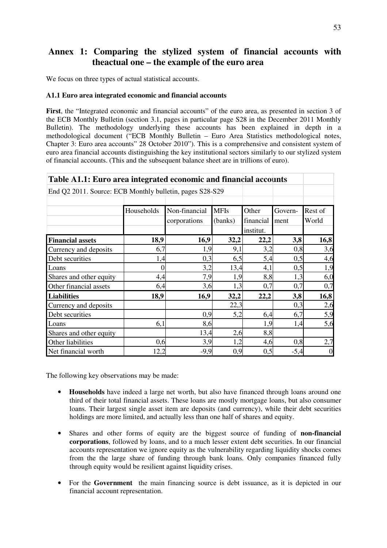# **Annex 1: Comparing the stylized system of financial accounts with theactual one – the example of the euro area**

We focus on three types of actual statistical accounts.

### **A1.1 Euro area integrated economic and financial accounts**

**First**, the "Integrated economic and financial accounts" of the euro area, as presented in section 3 of the ECB Monthly Bulletin (section 3.1, pages in particular page S28 in the December 2011 Monthly Bulletin). The methodology underlying these accounts has been explained in depth in a methodological document ("ECB Monthly Bulletin – Euro Area Statistics methodological notes, Chapter 3: Euro area accounts" 28 October 2010"). This is a comprehensive and consistent system of euro area financial accounts distinguishing the key institutional sectors similarly to our stylized system of financial accounts. (This and the subsequent balance sheet are in trillions of euro).

| Table A1.1: Euro area integrated economic and financial accounts |                  |               |             |           |         |                |  |  |  |  |  |
|------------------------------------------------------------------|------------------|---------------|-------------|-----------|---------|----------------|--|--|--|--|--|
| End Q2 2011. Source: ECB Monthly bulletin, pages S28-S29         |                  |               |             |           |         |                |  |  |  |  |  |
|                                                                  |                  |               |             |           |         |                |  |  |  |  |  |
|                                                                  | Households       | Non-financial | <b>MFIs</b> | Other     | Govern- | Rest of        |  |  |  |  |  |
|                                                                  |                  | corporations  | (banks)     | financial | ment    | World          |  |  |  |  |  |
|                                                                  |                  |               |             | institut. |         |                |  |  |  |  |  |
| <b>Financial assets</b>                                          | 18,9             | 16,9          | 32,2        | 22,2      | 3,8     | 16,8           |  |  |  |  |  |
| Currency and deposits                                            | 6,7              | 1,9           | 9,1         | 3,2       | 0,8     | 3,6            |  |  |  |  |  |
| Debt securities                                                  | 1,4              | 0,3           | 6,5         | 5,4       | 0,5     | 4,6            |  |  |  |  |  |
| Loans                                                            | $\boldsymbol{0}$ | 3,2           | 13,4        | 4,1       | 0,5     | 1,9            |  |  |  |  |  |
| Shares and other equity                                          | 4,4              | 7,9           | 1,9         | 8,8       | 1,3     | 6,0            |  |  |  |  |  |
| Other financial assets                                           | 6,4              | 3,6           | 1,3         | 0,7       | 0,7     | 0,7            |  |  |  |  |  |
| <b>Liabilities</b>                                               | 18,9             | 16,9          | 32,2        | 22,2      | 3,8     | 16,8           |  |  |  |  |  |
| Currency and deposits                                            |                  |               | 22,3        |           | 0,3     | 2,6            |  |  |  |  |  |
| Debt securities                                                  |                  | 0,9           | 5,2         | 6,4       | 6,7     | 5,9            |  |  |  |  |  |
| Loans                                                            | 6,1              | 8,6           |             | 1,9       | 1,4     | 5,6            |  |  |  |  |  |
| Shares and other equity                                          |                  | 13,4          | 2,6         | 8,8       |         |                |  |  |  |  |  |
| Other liabilities                                                | 0,6              | 3,9           | 1,2         | 4,6       | 0,8     | 2,7            |  |  |  |  |  |
| Net financial worth                                              | 12,2             | $-9,9$        | 0,9         | 0,5       | $-5,4$  | $\overline{0}$ |  |  |  |  |  |

The following key observations may be made:

- **Households** have indeed a large net worth, but also have financed through loans around one third of their total financial assets. These loans are mostly mortgage loans, but also consumer loans. Their largest single asset item are deposits (and currency), while their debt securities holdings are more limited, and actually less than one half of shares and equity.
- Shares and other forms of equity are the biggest source of funding of **non-financial corporations**, followed by loans, and to a much lesser extent debt securities. In our financial accounts representation we ignore equity as the vulnerability regarding liquidity shocks comes from the the large share of funding through bank loans. Only companies financed fully through equity would be resilient against liquidity crises.
- For the **Government** the main financing source is debt issuance, as it is depicted in our financial account representation.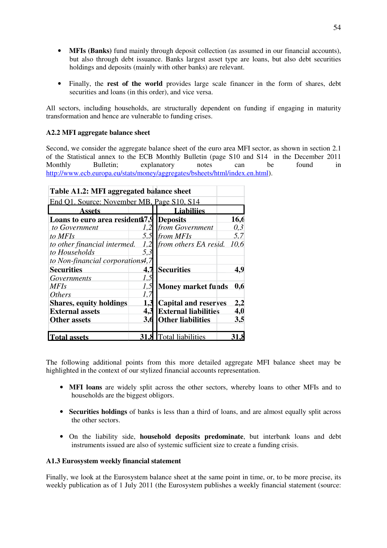- **MFIs (Banks)** fund mainly through deposit collection (as assumed in our financial accounts), but also through debt issuance. Banks largest asset type are loans, but also debt securities holdings and deposits (mainly with other banks) are relevant.
- Finally, the **rest of the world** provides large scale financer in the form of shares, debt securities and loans (in this order), and vice versa.

All sectors, including households, are structurally dependent on funding if engaging in maturity transformation and hence are vulnerable to funding crises.

## **A2.2 MFI aggregate balance sheet**

Second, we consider the aggregate balance sheet of the euro area MFI sector, as shown in section 2.1 of the Statistical annex to the ECB Monthly Bulletin (page S10 and S14 in the December 2011 Monthly Bulletin; explanatory notes can be found in http://www.ecb.europa.eu/stats/money/aggregates/bsheets/html/index.en.html).

| Table A1.2: MFI aggregated balance sheet   |     |                             |      |
|--------------------------------------------|-----|-----------------------------|------|
| End O1. Source: November MB. Page S10, S14 |     |                             |      |
| Assets                                     |     | <b>Liabiliies</b>           |      |
| Loans to euro area resident.79             |     | <b>Deposits</b>             | 16.6 |
| to Government                              | 1,2 | from Government             | 0,3  |
| to MFIs                                    | 5,5 | from MFIs                   | 5,7  |
| to other financial intermed.               | 1.2 | from others EA resid.       | 10,6 |
| to Households                              | 5.3 |                             |      |
| to Non-financial corporations4,7           |     |                             |      |
| <b>Securities</b>                          | 4.7 | <b>Securities</b>           | 4.9  |
| Governments                                | 1.5 |                             |      |
| <b>MFIs</b>                                | 1,5 | Money market funds          | 0.6  |
| <i>Others</i>                              | 1.7 |                             |      |
| <b>Shares, equity holdings</b>             | 1.3 | <b>Capital and reserves</b> | 2.2  |
| <b>External assets</b>                     |     | <b>External liabilities</b> | 4,0  |
| <b>Other assets</b>                        | 3,6 | <b>Other liabilities</b>    | 3,5  |
| <b>Total assets</b>                        |     | <b>8</b> Total liabilities  |      |

The following additional points from this more detailed aggregate MFI balance sheet may be highlighted in the context of our stylized financial accounts representation.

- **MFI loans** are widely split across the other sectors, whereby loans to other MFIs and to households are the biggest obligors.
- **Securities holdings** of banks is less than a third of loans, and are almost equally split across the other sectors.
- On the liability side, **household deposits predominate**, but interbank loans and debt instruments issued are also of systemic sufficient size to create a funding crisis.

### **A1.3 Eurosystem weekly financial statement**

Finally, we look at the Eurosystem balance sheet at the same point in time, or, to be more precise, its weekly publication as of 1 July 2011 (the Eurosystem publishes a weekly financial statement (source: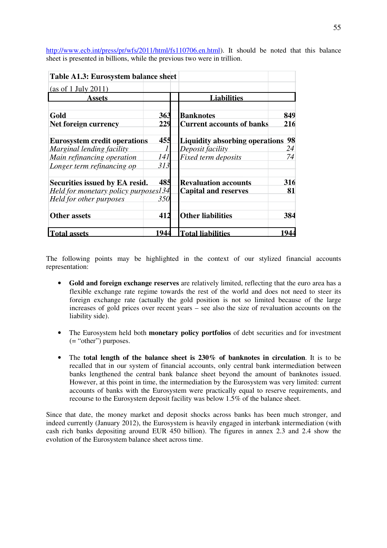| http://www.ecb.int/press/pr/wfs/2011/html/fs110706.en.html). It should be noted that this balance |  |  |  |  |
|---------------------------------------------------------------------------------------------------|--|--|--|--|
| sheet is presented in billions, while the previous two were in trillion.                          |  |  |  |  |
|                                                                                                   |  |  |  |  |

| Table A1.3: Eurosystem balance sheet |            |                                       |     |
|--------------------------------------|------------|---------------------------------------|-----|
| $\cos$ of 1 July 2011)               |            |                                       |     |
| Assets                               |            | <b>Liabilities</b>                    |     |
| Gold                                 | 363        | <b>Banknotes</b>                      | 849 |
| Net foreign currency                 | 229        | <b>Current accounts of banks</b>      | 216 |
| <b>Eurosystem credit operations</b>  | 455        | <b>Liquidity absorbing operations</b> | 98  |
| Marginal lending facility            |            | Deposit facility                      | 24  |
| Main refinancing operation           | <i>141</i> | Fixed term deposits                   | 74  |
| Longer term refinancing op           | 313        |                                       |     |
| Securities issued by EA resid.       | 485        | <b>Revaluation accounts</b>           | 316 |
| Held for monetary policy purposes134 |            | <b>Capital and reserves</b>           | 81  |
| Held for other purposes              | 350        |                                       |     |
| <b>Other assets</b>                  | 412        | <b>Other liabilities</b>              | 384 |
| <b>Total assets</b>                  | 944        | <b>Total liabilities</b>              | 944 |

The following points may be highlighted in the context of our stylized financial accounts representation:

- **Gold and foreign exchange reserves** are relatively limited, reflecting that the euro area has a flexible exchange rate regime towards the rest of the world and does not need to steer its foreign exchange rate (actually the gold position is not so limited because of the large increases of gold prices over recent years – see also the size of revaluation accounts on the liability side).
- The Eurosystem held both **monetary policy portfolios** of debt securities and for investment (= "other") purposes.
- The **total length of the balance sheet is 230% of banknotes in circulation**. It is to be recalled that in our system of financial accounts, only central bank intermediation between banks lengthened the central bank balance sheet beyond the amount of banknotes issued. However, at this point in time, the intermediation by the Eurosystem was very limited: current accounts of banks with the Eurosystem were practically equal to reserve requirements, and recourse to the Eurosystem deposit facility was below 1.5% of the balance sheet.

Since that date, the money market and deposit shocks across banks has been much stronger, and indeed currently (January 2012), the Eurosystem is heavily engaged in interbank intermediation (with cash rich banks depositing around EUR 450 billion). The figures in annex 2.3 and 2.4 show the evolution of the Eurosystem balance sheet across time.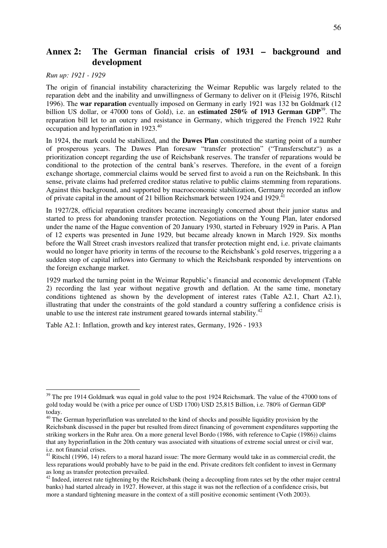# **Annex 2: The German financial crisis of 1931 – background and development**

*Run up: 1921 - 1929* 

 $\overline{a}$ 

The origin of financial instability characterizing the Weimar Republic was largely related to the reparation debt and the inability and unwillingness of Germany to deliver on it (Fleisig 1976, Ritschl 1996). The **war reparation** eventually imposed on Germany in early 1921 was 132 bn Goldmark (12 billion US dollar, or 47000 tons of Gold), i.e. an **estimated 250% of 1913 German GDP**<sup>39</sup>. The reparation bill let to an outcry and resistance in Germany, which triggered the French 1922 Ruhr occupation and hyperinflation in 1923.<sup>40</sup>

In 1924, the mark could be stabilized, and the **Dawes Plan** constituted the starting point of a number of prosperous years. The Dawes Plan foresaw "transfer protection" ("Transferschutz") as a prioritization concept regarding the use of Reichsbank reserves. The transfer of reparations would be conditional to the protection of the central bank's reserves. Therefore, in the event of a foreign exchange shortage, commercial claims would be served first to avoid a run on the Reichsbank. In this sense, private claims had preferred creditor status relative to public claims stemming from reparations. Against this background, and supported by macroeconomic stabilization, Germany recorded an inflow of private capital in the amount of 21 billion Reichsmark between 1924 and 1929.<sup>4</sup>

In 1927/28, official reparation creditors became increasingly concerned about their junior status and started to press for abandoning transfer protection. Negotiations on the Young Plan, later endorsed under the name of the Hague convention of 20 January 1930, started in February 1929 in Paris. A Plan of 12 experts was presented in June 1929, but became already known in March 1929. Six months before the Wall Street crash investors realized that transfer protection might end, i.e. private claimants would no longer have priority in terms of the recourse to the Reichsbank's gold reserves, triggering a a sudden stop of capital inflows into Germany to which the Reichsbank responded by interventions on the foreign exchange market.

1929 marked the turning point in the Weimar Republic's financial and economic development (Table 2) recording the last year without negative growth and deflation. At the same time, monetary conditions tightened as shown by the development of interest rates (Table A2.1, Chart A2.1), illustrating that under the constraints of the gold standard a country suffering a confidence crisis is unable to use the interest rate instrument geared towards internal stability.<sup>42</sup>

Table A2.1: Inflation, growth and key interest rates, Germany, 1926 - 1933

<sup>&</sup>lt;sup>39</sup> The pre 1914 Goldmark was equal in gold value to the post 1924 Reichsmark. The value of the 47000 tons of gold today would be (with a price per ounce of USD 1700) USD 25,815 Billion, i.e. 780% of German GDP today.

 $40$  The German hyperinflation was unrelated to the kind of shocks and possible liquidity provision by the Reichsbank discussed in the paper but resulted from direct financing of government expenditures supporting the striking workers in the Ruhr area. On a more general level Bordo (1986, with reference to Capie (1986)) claims that any hyperinflation in the 20th century was associated with situations of extreme social unrest or civil war, i.e. not financial crises.

<sup>&</sup>lt;sup>41</sup> Ritschl (1996, 14) refers to a moral hazard issue: The more Germany would take in as commercial credit, the less reparations would probably have to be paid in the end. Private creditors felt confident to invest in Germany as long as transfer protection prevailed.

 $42$  Indeed, interest rate tightening by the Reichsbank (being a decoupling from rates set by the other major central banks) had started already in 1927. However, at this stage it was not the reflection of a confidence crisis, but more a standard tightening measure in the context of a still positive economic sentiment (Voth 2003).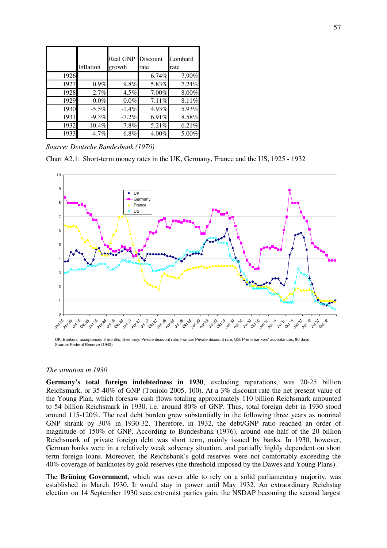|      | Inflation | <b>Real GNP</b><br>growth | Discount<br>rate | Lombard<br>rate |
|------|-----------|---------------------------|------------------|-----------------|
| 1926 |           |                           | 6.74%            | 7.90%           |
| 1927 | $0.9\%$   | $9.8\%$                   | 5.83%            | 7.24%           |
| 1928 | 2.7%      | 4.5%                      | 7.00%            | 8.00%           |
| 1929 | 0.0%      | $0.0\%$                   | 7.11%            | 8.11%           |
| 1930 | $-5.5\%$  | $-1.4%$                   | 4.93%            | 5.93%           |
| 1931 | $-9.3%$   | $-7.2%$                   | 6.91%            | 8.58%           |
| 1932 | $-10.4%$  | $-7.8%$                   | 5.21%            | 6.21%           |
| 1933 | $-4.7%$   | 6.8%                      | 4.00%            | 5.00%           |

*Source: Deutsche Bundesbank (1976)* 

Chart A2.1: Short-term money rates in the UK, Germany, France and the US, 1925 - 1932



UK: Bankers' acceptances 3 months, Germany: Private discount rate, France: Private discount rate, US: Prime bankers' acceptances, 90 days Source: Federal Reserve (1943)

### *The situation in 1930*

**Germany's total foreign indebtedness in 1930**, excluding reparations, was 20-25 billion Reichsmark, or 35-40% of GNP (Toniolo 2005, 100). At a 3% discount rate the net present value of the Young Plan, which foresaw cash flows totaling approximately 110 billion Reichsmark amounted to 54 billion Reichsmark in 1930, i.e. around 80% of GNP. Thus, total foreign debt in 1930 stood around 115-120%. The real debt burden grew substantially in the following three years as nominal GNP shrank by 30% in 1930-32. Therefore, in 1932, the debt/GNP ratio reached an order of magnitude of 150% of GNP. According to Bundesbank (1976), around one half of the 20 billion Reichsmark of private foreign debt was short term, mainly issued by banks. In 1930, however, German banks were in a relatively weak solvency situation, and partially highly dependent on short term foreign loans. Moreover, the Reichsbank's gold reserves were not comfortably exceeding the 40% coverage of banknotes by gold reserves (the threshold imposed by the Dawes and Young Plans).

The **Brüning Government**, which was never able to rely on a solid parliamentary majority, was established in March 1930. It would stay in power until May 1932. An extraordinary Reichstag election on 14 September 1930 sees extremist parties gain, the NSDAP becoming the second largest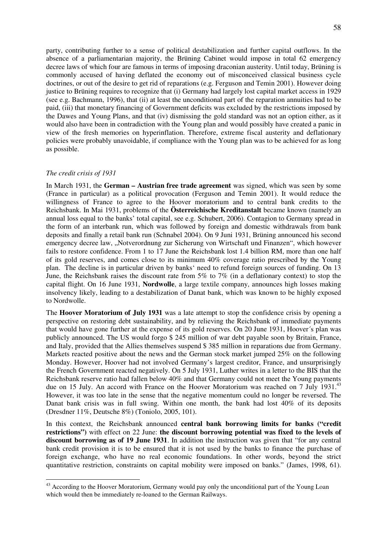party, contributing further to a sense of political destabilization and further capital outflows. In the absence of a parliamentarian majority, the Brüning Cabinet would impose in total 62 emergency decree laws of which four are famous in terms of imposing draconian austerity. Until today, Brüning is commonly accused of having deflated the economy out of misconceived classical business cycle doctrines, or out of the desire to get rid of reparations (e.g. Ferguson and Temin 2001). However doing justice to Brüning requires to recognize that (i) Germany had largely lost capital market access in 1929 (see e.g. Bachmann, 1996), that (ii) at least the unconditional part of the reparation annuities had to be paid, (iii) that monetary financing of Government deficits was excluded by the restrictions imposed by the Dawes and Young Plans, and that (iv) dismissing the gold standard was not an option either, as it would also have been in contradiction with the Young plan and would possibly have created a panic in view of the fresh memories on hyperinflation. Therefore, extreme fiscal austerity and deflationary policies were probably unavoidable, if compliance with the Young plan was to be achieved for as long as possible.

#### *The credit crisis of 1931*

 $\overline{a}$ 

In March 1931, the **German – Austrian free trade agreement** was signed, which was seen by some (France in particular) as a political provocation (Ferguson and Temin 2001). It would reduce the willingness of France to agree to the Hoover moratorium and to central bank credits to the Reichsbank. In Mai 1931, problems of the **Österreichische Kreditanstalt** became known (namely an annual loss equal to the banks' total capital, see e.g. Schubert, 2006). Contagion to Germany spread in the form of an interbank run, which was followed by foreign and domestic withdrawals from bank deposits and finally a retail bank run (Schnabel 2004). On 9 Juni 1931, Brüning announced his second emergency decree law, "Notverordnung zur Sicherung von Wirtschaft und Finanzen", which however fails to restore confidence. From 1 to 17 June the Reichsbank lost 1.4 billion RM, more than one half of its gold reserves, and comes close to its minimum 40% coverage ratio prescribed by the Young plan. The decline is in particular driven by banks' need to refund foreign sources of funding. On 13 June, the Reichsbank raises the discount rate from 5% to 7% (in a deflationary context) to stop the capital flight. On 16 June 1931, **Nordwolle**, a large textile company, announces high losses making insolvency likely, leading to a destabilization of Danat bank, which was known to be highly exposed to Nordwolle.

The **Hoover Moratorium of July 1931** was a late attempt to stop the confidence crisis by opening a perspective on restoring debt sustainability, and by relieving the Reichsbank of immediate payments that would have gone further at the expense of its gold reserves. On 20 June 1931, Hoover´s plan was publicly announced. The US would forgo \$ 245 million of war debt payable soon by Britain, France, and Italy, provided that the Allies themselves suspend \$ 385 million in reparations due from Germany. Markets reacted positive about the news and the German stock market jumped 25% on the following Monday. However, Hoover had not involved Germany's largest creditor, France, and unsurprisingly the French Government reacted negatively. On 5 July 1931, Luther writes in a letter to the BIS that the Reichsbank reserve ratio had fallen below 40% and that Germany could not meet the Young payments due on 15 July. An accord with France on the Hoover Moratorium was reached on 7 July 1931.<sup>43</sup> However, it was too late in the sense that the negative momentum could no longer be reversed. The Danat bank crisis was in full swing. Within one month, the bank had lost 40% of its deposits (Dresdner 11%, Deutsche 8%) (Toniolo, 2005, 101).

In this context, the Reichsbank announced **central bank borrowing limits for banks ("credit restrictions")** with effect on 22 June: **the discount borrowing potential was fixed to the levels of discount borrowing as of 19 June 1931**. In addition the instruction was given that "for any central bank credit provision it is to be ensured that it is not used by the banks to finance the purchase of foreign exchange, who have no real economic foundations. In other words, beyond the strict quantitative restriction, constraints on capital mobility were imposed on banks." (James, 1998, 61).

<sup>&</sup>lt;sup>43</sup> According to the Hoover Moratorium, Germany would pay only the unconditional part of the Young Loan which would then be immediately re-loaned to the German Railways.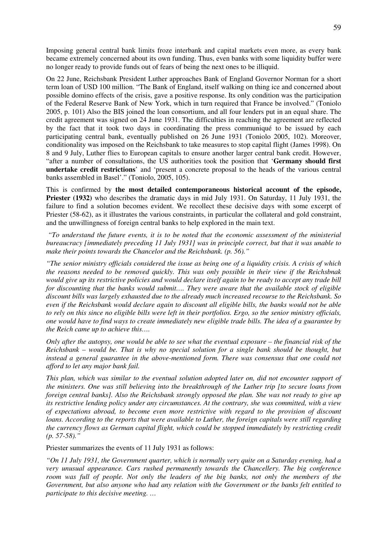Imposing general central bank limits froze interbank and capital markets even more, as every bank became extremely concerned about its own funding. Thus, even banks with some liquidity buffer were no longer ready to provide funds out of fears of being the next ones to be illiquid.

On 22 June, Reichsbank President Luther approaches Bank of England Governor Norman for a short term loan of USD 100 million. "The Bank of England, itself walking on thing ice and concerned about possible domino effects of the crisis, gave a positive response. Its only condition was the participation of the Federal Reserve Bank of New York, which in turn required that France be involved." (Toniolo 2005, p. 101) Also the BIS joined the loan consortium, and all four lenders put in an equal share. The credit agreement was signed on 24 June 1931. The difficulties in reaching the agreement are reflected by the fact that it took two days in coordinating the press communiqué to be issued by each participating central bank, eventually published on 26 June 1931 (Toniolo 2005, 102). Moreover, conditionality was imposed on the Reichsbank to take measures to stop capital flight (James 1998). On 8 and 9 July, Luther flies to European capitals to ensure another larger central bank credit. However, "after a number of consultations, the US authorities took the position that '**Germany should first undertake credit restrictions**' and 'present a concrete proposal to the heads of the various central banks assembled in Basel'." (Toniolo, 2005, 105).

This is confirmed by **the most detailed contemporaneous historical account of the episode, Priester (1932)** who describes the dramatic days in mid July 1931. On Saturday, 11 July 1931, the failure to find a solution becomes evident. We recollect these decisive days with some excerpt of Priester (58-62), as it illustrates the various constraints, in particular the collateral and gold constraint, and the unwillingness of foreign central banks to help explored in the main text.

*"To understand the future events, it is to be noted that the economic assessment of the ministerial bureaucracy [immediately preceding 11 July 1931] was in principle correct, but that it was unable to make their points towards the Chancelor and the Reichsbank. (p. 56)."* 

*"The senior ministry officials considered the issue as being one of a liquidity crisis. A crisis of which the reasons needed to be removed quickly. This was only possible in their view if the Reichsbnak would give up its restrictive policies and would declare itself again to be ready to accept any trade bill for discounting that the banks would submit…. They were aware that the available stock of eligible discount bills was largely exhausted due to the already much increased recourse to the Reichsbank. So even if the Reichsbank would declare again to discount all eligible bills, the banks would not be able to rely on this since no eligible bills were left in their portfolios. Ergo, so the senior ministry officials, one would have to find ways to create immediately new eligible trade bills. The idea of a guarantee by the Reich came up to achieve this….* 

*Only after the autopsy, one would be able to see what the eventual exposure – the financial risk of the Reichsbank – would be. That is why no special solution for a single bank should be thought, but instead a general guarantee in the above-mentioned form. There was consensus that one could not afford to let any major bank fail.* 

*This plan, which was similar to the eventual solution adopted later on, did not encounter support of the ministers. One was still believing into the breakthrough of the Luther trip [to secure loans from foreign central banks]. Also the Reichsbank strongly opposed the plan. She was not ready to give up its restrictive lending policy under any circumstances. At the contrary, she was committed, with a view of expectations abroad, to become even more restrictive with regard to the provision of discount loans. According to the reports that were available to Luther, the foreign capitals were still regarding the currency flows as German capital flight, which could be stopped immediately by restricting credit (p. 57-58)."* 

Priester summarizes the events of 11 July 1931 as follows:

*"On 11 July 1931, the Government quarter, which is normally very quite on a Saturday evening, had a very unusual appearance. Cars rushed permanently towards the Chancellery. The big conference room was full of people. Not only the leaders of the big banks, not only the members of the Government, but also anyone who had any relation with the Government or the banks felt entitled to participate to this decisive meeting. …*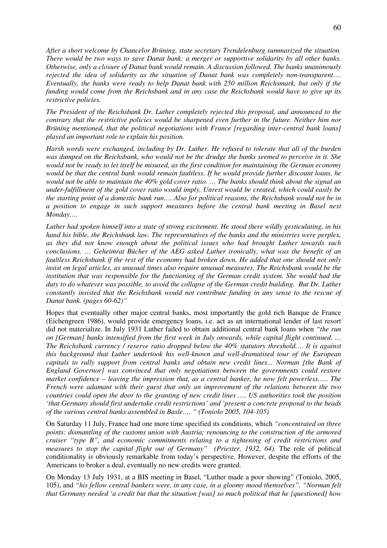*After a short welcome by Chancelor Brüning, state secretary Trendelenburg summarized the situation. There would be two ways to save Danat bank: a merger or supportive solidarity by all other banks. Otherwise, only a closure of Danat bank would remain. A discussion followed. The banks unanimously rejected the idea of solidarity as the situation of Danat bank was completely non-transparent…. Eventually, the banks were ready to help Danat bank with 250 million Reichsmark, but only if the funding would come from the Reichsbank and in any case the Reichsbank would have to give up its restrictive policies.* 

*The President of the Reichsbank Dr. Luther completely rejected this proposal, and announced to the contrary that the restrictive policies would be sharpened even further in the future. Neither him nor Brüning mentioned, that the political negotiations with France [regarding inter-central bank loans] played an important role to explain his position.* 

*Harsh words were exchanged, including by Dr. Luther. He refused to tolerate that all of the burden was dumped on the Reichsbank, who would not be the drudge the banks seemed to perceive in it. She would not be ready to let itself be misused, as the first condition for maintaining the German economy would be that the central bank would remain faultless. If he would provide further discount loans, he would not be able to maintain the 40% gold cover ratio. … The banks should think about the signal an under-fulfillment of the gold cover ratio would imply. Unrest would be created, which could easily be the starting point of a domestic bank run…. Also for political reasons, the Reichsbank would not be in a position to engage in such support measures before the central bank meeting in Basel next Monday….* 

*Luther had spoken himself into a state of strong excitement. He stood there wildly gesticulating, in his hand his bible, the Reichsbank law. The representatives of the banks and the ministries were perplex, as they did not know enough about the political issues who had brought Luther towards such conclusions. … Geheimrat Bücher of the AEG asked Luther ironically, what was the benefit of an faultless Reichsbank if the rest of the economy had broken down. He added that one should not only insist on legal articles, as unusual times also require unusual measures. The Reichsbank would be the institution that was responsible for the functioning of the German credit system. She would had the duty to do whatever was possible, to avoid the collapse of the German credit building. But Dr. Luther constantly insisted that the Reichsbank would not contribute funding in any sense to the rescue of Danat bank. (pages 60-62)"* 

Hopes that eventually other major central banks, most importantly the gold rich Banque de France (Eichengreen 1986), would provide emergency loans, i.e. act as an international lender of last resort did not materialize. In July 1931 Luther failed to obtain additional central bank loans when *"the run on [German] banks intensified from the first week in July onwards, while capital flight continued. … The Reichsbank currency / reserve ratio dropped below the 40% statutory threshold…. It is against this background that Luther undertook his well-known and well-dramatised tour of the European capitals to rally support from central banks and obtain new credit lines... Norman [the Bank of England Governor] was convinced that only negotiations between the governments could restore market confidence – leaving the impression that, as a central banker, he now felt powerless….. The French were adamant with their guest that only an improvement of the relations between the two countries could open the door to the granting of new credit lines …. US authorities took the position 'that Germany should first undertake credit restrictions' and 'present a concrete proposal to the heads of the various central banks assembled in Basle…. " (Toniolo 2005, 104-105)* 

On Saturday 11 July, France had one more time specified its conditions, which *"concentrated on three points: dismantling of the customs union with Austria; renouncing to the construction of the armored cruiser "type B", and economic commitments relating to a tightening of credit restrictions and measures to stop the capital flight out of Germany" (Priester, 1932, 64). The role of political* conditionality is obviously remarkable from today's perspective. However, despite the efforts of the Americans to broker a deal, eventually no new credits were granted.

On Monday 13 July 1931, at a BIS meeting in Basel, "Luther made a poor showing" (Toniolo, 2005, 105), and *"his fellow central bankers were, in any case, in a gloomy mood themselves". "Norman felt that Germany needed 'a credit but that the situation [was] so much political that he [questioned] how*